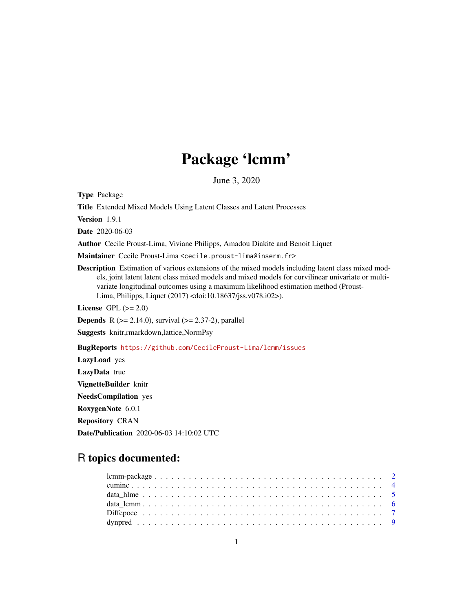# Package 'lcmm'

June 3, 2020

<span id="page-0-0"></span>Type Package

Title Extended Mixed Models Using Latent Classes and Latent Processes

Version 1.9.1

Date 2020-06-03

Author Cecile Proust-Lima, Viviane Philipps, Amadou Diakite and Benoit Liquet

Maintainer Cecile Proust-Lima <cecile.proust-lima@inserm.fr>

Description Estimation of various extensions of the mixed models including latent class mixed models, joint latent latent class mixed models and mixed models for curvilinear univariate or multivariate longitudinal outcomes using a maximum likelihood estimation method (Proust-Lima, Philipps, Liquet (2017) <doi:10.18637/jss.v078.i02>).

License GPL  $(>= 2.0)$ 

**Depends** R ( $>= 2.14.0$ ), survival ( $>= 2.37-2$ ), parallel

Suggests knitr,rmarkdown,lattice,NormPsy

BugReports <https://github.com/CecileProust-Lima/lcmm/issues>

LazyLoad yes LazyData true VignetteBuilder knitr NeedsCompilation yes RoxygenNote 6.0.1 Repository CRAN Date/Publication 2020-06-03 14:10:02 UTC

# R topics documented: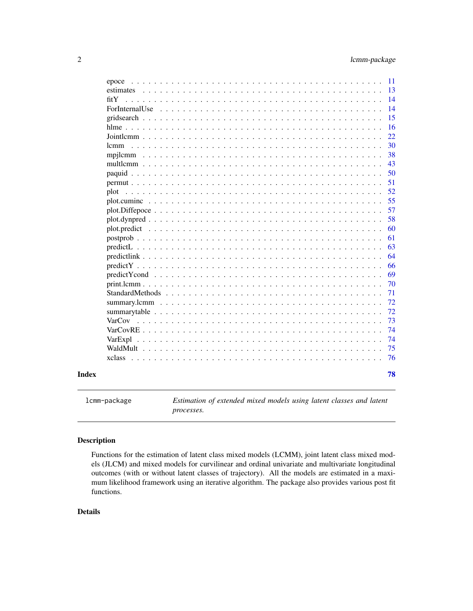<span id="page-1-0"></span>

|              |  |  |  |  |  |  |  |  |  |  |  |  |  |  |  |  | 15<br>16 |
|--------------|--|--|--|--|--|--|--|--|--|--|--|--|--|--|--|--|----------|
|              |  |  |  |  |  |  |  |  |  |  |  |  |  |  |  |  | 22       |
| lcmm         |  |  |  |  |  |  |  |  |  |  |  |  |  |  |  |  | 30       |
|              |  |  |  |  |  |  |  |  |  |  |  |  |  |  |  |  | 38       |
|              |  |  |  |  |  |  |  |  |  |  |  |  |  |  |  |  | 43       |
|              |  |  |  |  |  |  |  |  |  |  |  |  |  |  |  |  | 50       |
|              |  |  |  |  |  |  |  |  |  |  |  |  |  |  |  |  | 51       |
| plot         |  |  |  |  |  |  |  |  |  |  |  |  |  |  |  |  | 52       |
|              |  |  |  |  |  |  |  |  |  |  |  |  |  |  |  |  | 55       |
|              |  |  |  |  |  |  |  |  |  |  |  |  |  |  |  |  | 57       |
|              |  |  |  |  |  |  |  |  |  |  |  |  |  |  |  |  | 58       |
| plot.predict |  |  |  |  |  |  |  |  |  |  |  |  |  |  |  |  | 60       |
|              |  |  |  |  |  |  |  |  |  |  |  |  |  |  |  |  | 61       |
|              |  |  |  |  |  |  |  |  |  |  |  |  |  |  |  |  | 63<br>64 |
|              |  |  |  |  |  |  |  |  |  |  |  |  |  |  |  |  | 66       |
|              |  |  |  |  |  |  |  |  |  |  |  |  |  |  |  |  | 69       |
|              |  |  |  |  |  |  |  |  |  |  |  |  |  |  |  |  | 70       |
|              |  |  |  |  |  |  |  |  |  |  |  |  |  |  |  |  | 71       |
|              |  |  |  |  |  |  |  |  |  |  |  |  |  |  |  |  | 72       |
|              |  |  |  |  |  |  |  |  |  |  |  |  |  |  |  |  | 72       |
|              |  |  |  |  |  |  |  |  |  |  |  |  |  |  |  |  | 73       |
|              |  |  |  |  |  |  |  |  |  |  |  |  |  |  |  |  | 74       |
| VarExpl      |  |  |  |  |  |  |  |  |  |  |  |  |  |  |  |  | 74       |
|              |  |  |  |  |  |  |  |  |  |  |  |  |  |  |  |  | 75       |
|              |  |  |  |  |  |  |  |  |  |  |  |  |  |  |  |  | 76       |

lcmm-package *Estimation of extended mixed models using latent classes and latent processes.*

## Description

Functions for the estimation of latent class mixed models (LCMM), joint latent class mixed models (JLCM) and mixed models for curvilinear and ordinal univariate and multivariate longitudinal outcomes (with or without latent classes of trajectory). All the models are estimated in a maximum likelihood framework using an iterative algorithm. The package also provides various post fit functions.

## Details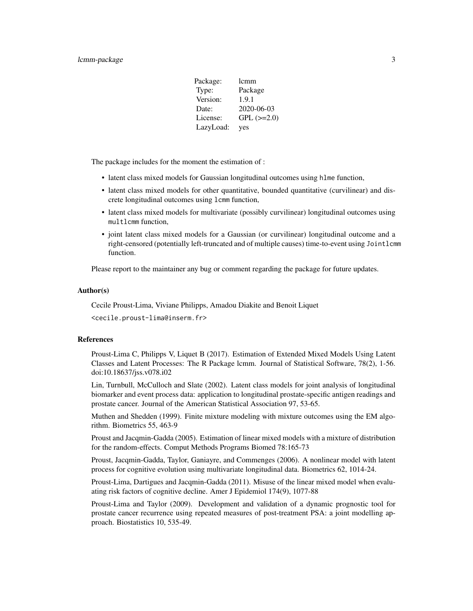## lcmm-package 3

| Package:  | lcmm            |
|-----------|-----------------|
| Type:     | Package         |
| Version:  | 1.9.1           |
| Date:     | 2020-06-03      |
| License:  | $GPL$ $(>=2.0)$ |
| LazyLoad: | yes             |

The package includes for the moment the estimation of :

- latent class mixed models for Gaussian longitudinal outcomes using hlme function,
- latent class mixed models for other quantitative, bounded quantitative (curvilinear) and discrete longitudinal outcomes using lcmm function,
- latent class mixed models for multivariate (possibly curvilinear) longitudinal outcomes using multlcmm function,
- joint latent class mixed models for a Gaussian (or curvilinear) longitudinal outcome and a right-censored (potentially left-truncated and of multiple causes) time-to-event using Jointlcmm function.

Please report to the maintainer any bug or comment regarding the package for future updates.

#### Author(s)

Cecile Proust-Lima, Viviane Philipps, Amadou Diakite and Benoit Liquet

<cecile.proust-lima@inserm.fr>

#### References

Proust-Lima C, Philipps V, Liquet B (2017). Estimation of Extended Mixed Models Using Latent Classes and Latent Processes: The R Package lcmm. Journal of Statistical Software, 78(2), 1-56. doi:10.18637/jss.v078.i02

Lin, Turnbull, McCulloch and Slate (2002). Latent class models for joint analysis of longitudinal biomarker and event process data: application to longitudinal prostate-specific antigen readings and prostate cancer. Journal of the American Statistical Association 97, 53-65.

Muthen and Shedden (1999). Finite mixture modeling with mixture outcomes using the EM algorithm. Biometrics 55, 463-9

Proust and Jacqmin-Gadda (2005). Estimation of linear mixed models with a mixture of distribution for the random-effects. Comput Methods Programs Biomed 78:165-73

Proust, Jacqmin-Gadda, Taylor, Ganiayre, and Commenges (2006). A nonlinear model with latent process for cognitive evolution using multivariate longitudinal data. Biometrics 62, 1014-24.

Proust-Lima, Dartigues and Jacqmin-Gadda (2011). Misuse of the linear mixed model when evaluating risk factors of cognitive decline. Amer J Epidemiol 174(9), 1077-88

Proust-Lima and Taylor (2009). Development and validation of a dynamic prognostic tool for prostate cancer recurrence using repeated measures of post-treatment PSA: a joint modelling approach. Biostatistics 10, 535-49.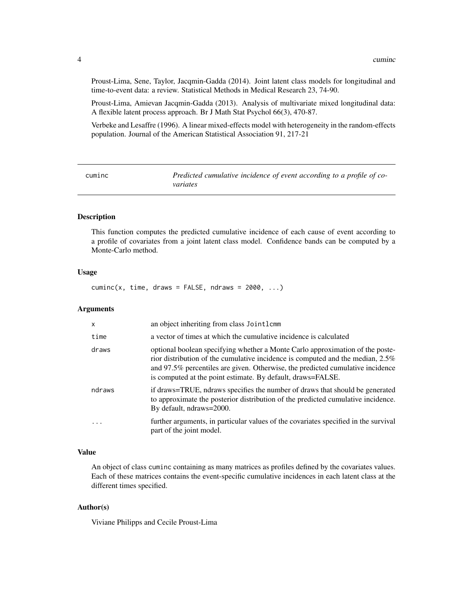<span id="page-3-0"></span>Proust-Lima, Sene, Taylor, Jacqmin-Gadda (2014). Joint latent class models for longitudinal and time-to-event data: a review. Statistical Methods in Medical Research 23, 74-90.

Proust-Lima, Amievan Jacqmin-Gadda (2013). Analysis of multivariate mixed longitudinal data: A flexible latent process approach. Br J Math Stat Psychol 66(3), 470-87.

Verbeke and Lesaffre (1996). A linear mixed-effects model with heterogeneity in the random-effects population. Journal of the American Statistical Association 91, 217-21

| cuminc | Predicted cumulative incidence of event according to a profile of co- |
|--------|-----------------------------------------------------------------------|
|        | variates                                                              |

## Description

This function computes the predicted cumulative incidence of each cause of event according to a profile of covariates from a joint latent class model. Confidence bands can be computed by a Monte-Carlo method.

#### Usage

 $cuminc(x, time, draws = FALSE, ndraws = 2000, ...)$ 

#### Arguments

| $\mathsf{x}$ | an object inheriting from class Jointlemm                                                                                                                                                                                                                                                                        |
|--------------|------------------------------------------------------------------------------------------------------------------------------------------------------------------------------------------------------------------------------------------------------------------------------------------------------------------|
| time         | a vector of times at which the cumulative incidence is calculated                                                                                                                                                                                                                                                |
| draws        | optional boolean specifying whether a Monte Carlo approximation of the poste-<br>rior distribution of the cumulative incidence is computed and the median, 2.5%<br>and 97.5% percentiles are given. Otherwise, the predicted cumulative incidence<br>is computed at the point estimate. By default, draws=FALSE. |
| ndraws       | if draws=TRUE, ndraws specifies the number of draws that should be generated<br>to approximate the posterior distribution of the predicted cumulative incidence.<br>By default, ndraws=2000.                                                                                                                     |
| $\cdot$      | further arguments, in particular values of the covariates specified in the survival<br>part of the joint model.                                                                                                                                                                                                  |

#### Value

An object of class cuminc containing as many matrices as profiles defined by the covariates values. Each of these matrices contains the event-specific cumulative incidences in each latent class at the different times specified.

## Author(s)

Viviane Philipps and Cecile Proust-Lima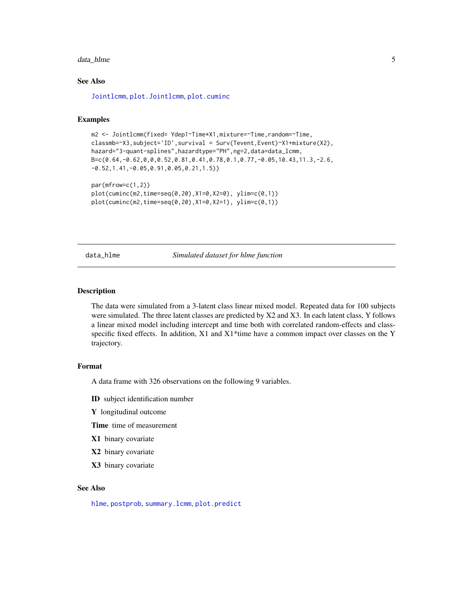#### <span id="page-4-0"></span>data\_hlme 5

## See Also

[Jointlcmm](#page-21-1), [plot.Jointlcmm](#page-51-1), [plot.cuminc](#page-54-1)

#### Examples

```
m2 <- Jointlcmm(fixed= Ydep1~Time*X1,mixture=~Time,random=~Time,
classmb=~X3,subject='ID',survival = Surv(Tevent,Event)~X1+mixture(X2),
hazard="3-quant-splines",hazardtype="PH",ng=2,data=data_lcmm,
B=c(0.64,-0.62,0,0,0.52,0.81,0.41,0.78,0.1,0.77,-0.05,10.43,11.3,-2.6,
-0.52,1.41,-0.05,0.91,0.05,0.21,1.5))
```

```
par(mfrow=c(1,2))
plot(cuminc(m2,time=seq(0,20),X1=0,X2=0), ylim=c(0,1))
plot(cuminc(m2,time=seq(0,20),X1=0,X2=1), ylim=c(0,1))
```
data\_hlme *Simulated dataset for hlme function*

#### Description

The data were simulated from a 3-latent class linear mixed model. Repeated data for 100 subjects were simulated. The three latent classes are predicted by X2 and X3. In each latent class, Y follows a linear mixed model including intercept and time both with correlated random-effects and classspecific fixed effects. In addition,  $X1$  and  $X1$ \*time have a common impact over classes on the Y trajectory.

#### Format

A data frame with 326 observations on the following 9 variables.

ID subject identification number

Y longitudinal outcome

Time time of measurement

- X1 binary covariate
- X2 binary covariate
- X3 binary covariate

## See Also

[hlme](#page-15-1), [postprob](#page-60-1), [summary.lcmm](#page-71-1), [plot.predict](#page-59-1)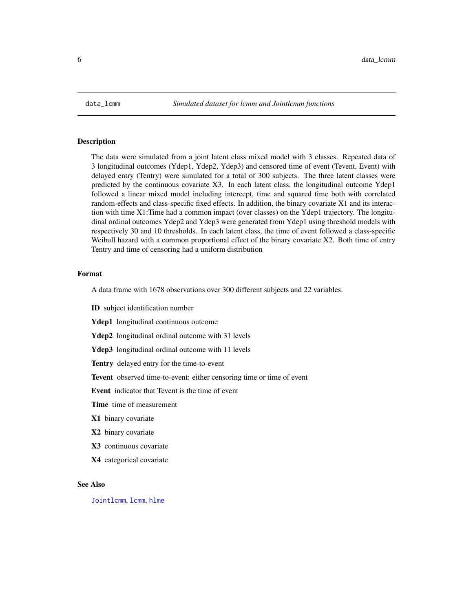<span id="page-5-0"></span>

#### Description

The data were simulated from a joint latent class mixed model with 3 classes. Repeated data of 3 longitudinal outcomes (Ydep1, Ydep2, Ydep3) and censored time of event (Tevent, Event) with delayed entry (Tentry) were simulated for a total of 300 subjects. The three latent classes were predicted by the continuous covariate X3. In each latent class, the longitudinal outcome Ydep1 followed a linear mixed model including intercept, time and squared time both with correlated random-effects and class-specific fixed effects. In addition, the binary covariate X1 and its interaction with time X1:Time had a common impact (over classes) on the Ydep1 trajectory. The longitudinal ordinal outcomes Ydep2 and Ydep3 were generated from Ydep1 using threshold models with respectively 30 and 10 thresholds. In each latent class, the time of event followed a class-specific Weibull hazard with a common proportional effect of the binary covariate X2. Both time of entry Tentry and time of censoring had a uniform distribution

#### Format

A data frame with 1678 observations over 300 different subjects and 22 variables.

ID subject identification number

Ydep1 longitudinal continuous outcome

Ydep2 longitudinal ordinal outcome with 31 levels

Ydep3 longitudinal ordinal outcome with 11 levels

Tentry delayed entry for the time-to-event

Tevent observed time-to-event: either censoring time or time of event

Event indicator that Tevent is the time of event

**Time** time of measurement

X1 binary covariate

X2 binary covariate

X3 continuous covariate

X4 categorical covariate

#### See Also

[Jointlcmm](#page-21-1), [lcmm](#page-29-1), [hlme](#page-15-1)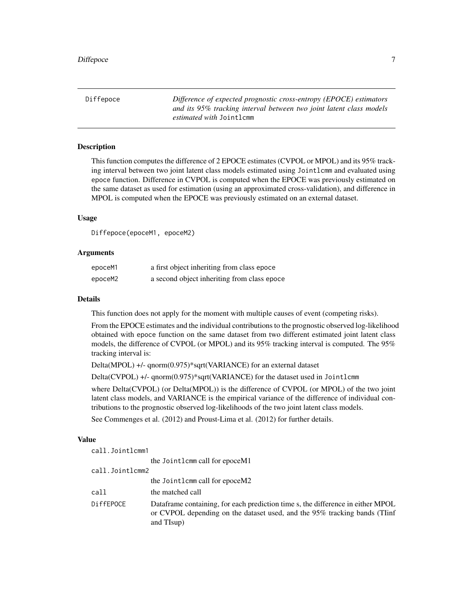<span id="page-6-0"></span>Diffepoce *Difference of expected prognostic cross-entropy (EPOCE) estimators and its 95% tracking interval between two joint latent class models estimated with* Jointlcmm

## **Description**

This function computes the difference of 2 EPOCE estimates (CVPOL or MPOL) and its 95% tracking interval between two joint latent class models estimated using Jointlcmm and evaluated using epoce function. Difference in CVPOL is computed when the EPOCE was previously estimated on the same dataset as used for estimation (using an approximated cross-validation), and difference in MPOL is computed when the EPOCE was previously estimated on an external dataset.

## Usage

Diffepoce(epoceM1, epoceM2)

#### Arguments

| epoceM1 | a first object inheriting from class epoce  |
|---------|---------------------------------------------|
| epoceM2 | a second object inheriting from class epoce |

#### Details

This function does not apply for the moment with multiple causes of event (competing risks).

From the EPOCE estimates and the individual contributions to the prognostic observed log-likelihood obtained with epoce function on the same dataset from two different estimated joint latent class models, the difference of CVPOL (or MPOL) and its 95% tracking interval is computed. The 95% tracking interval is:

Delta(MPOL) +/- qnorm(0.975)\*sqrt(VARIANCE) for an external dataset

Delta(CVPOL) +/- qnorm(0.975)\*sqrt(VARIANCE) for the dataset used in Jointlcmm

where Delta(CVPOL) (or Delta(MPOL)) is the difference of CVPOL (or MPOL) of the two joint latent class models, and VARIANCE is the empirical variance of the difference of individual contributions to the prognostic observed log-likelihoods of the two joint latent class models.

See Commenges et al. (2012) and Proust-Lima et al. (2012) for further details.

#### Value

call.Jointlcmm1 the Jointlcmm call for epoceM1 call.Jointlcmm2 the Jointlcmm call for epoceM2 call the matched call DiffEPOCE Dataframe containing, for each prediction time s, the difference in either MPOL or CVPOL depending on the dataset used, and the 95% tracking bands (TIinf and TIsup)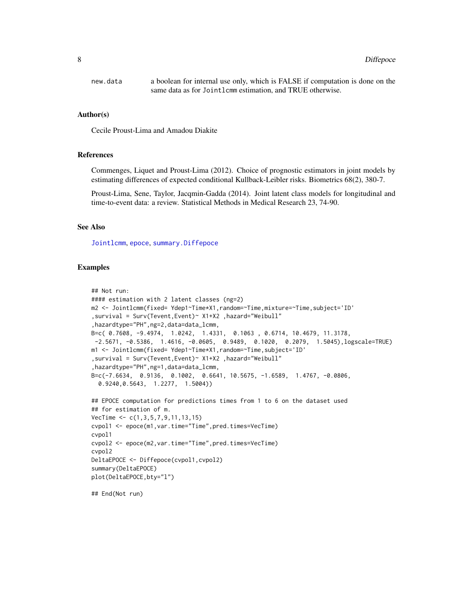| new.data | a boolean for internal use only, which is FALSE if computation is done on the |
|----------|-------------------------------------------------------------------------------|
|          | same data as for Jointlemm estimation, and TRUE otherwise.                    |

#### Author(s)

Cecile Proust-Lima and Amadou Diakite

#### References

Commenges, Liquet and Proust-Lima (2012). Choice of prognostic estimators in joint models by estimating differences of expected conditional Kullback-Leibler risks. Biometrics 68(2), 380-7.

Proust-Lima, Sene, Taylor, Jacqmin-Gadda (2014). Joint latent class models for longitudinal and time-to-event data: a review. Statistical Methods in Medical Research 23, 74-90.

## See Also

[Jointlcmm](#page-21-1), [epoce](#page-10-1), [summary.Diffepoce](#page-71-2)

## Examples

```
## Not run:
#### estimation with 2 latent classes (ng=2)
m2 <- Jointlcmm(fixed= Ydep1~Time*X1,random=~Time,mixture=~Time,subject='ID'
,survival = Surv(Tevent,Event)~ X1+X2 ,hazard="Weibull"
,hazardtype="PH",ng=2,data=data_lcmm,
B=c( 0.7608, -9.4974, 1.0242, 1.4331, 0.1063 , 0.6714, 10.4679, 11.3178,
-2.5671, -0.5386, 1.4616, -0.0605, 0.9489, 0.1020, 0.2079, 1.5045),logscale=TRUE)
m1 <- Jointlcmm(fixed= Ydep1~Time*X1,random=~Time,subject='ID'
,survival = Surv(Tevent,Event)~ X1+X2 ,hazard="Weibull"
,hazardtype="PH",ng=1,data=data_lcmm,
B=c(-7.6634, 0.9136, 0.1002, 0.6641, 10.5675, -1.6589, 1.4767, -0.0806,
  0.9240,0.5643, 1.2277, 1.5004))
## EPOCE computation for predictions times from 1 to 6 on the dataset used
## for estimation of m.
VecTime <- c(1,3,5,7,9,11,13,15)
cvpol1 <- epoce(m1,var.time="Time",pred.times=VecTime)
cvpol1
cvpol2 <- epoce(m2,var.time="Time",pred.times=VecTime)
cvpol2
DeltaEPOCE <- Diffepoce(cvpol1,cvpol2)
summary(DeltaEPOCE)
plot(DeltaEPOCE,bty="l")
```
## End(Not run)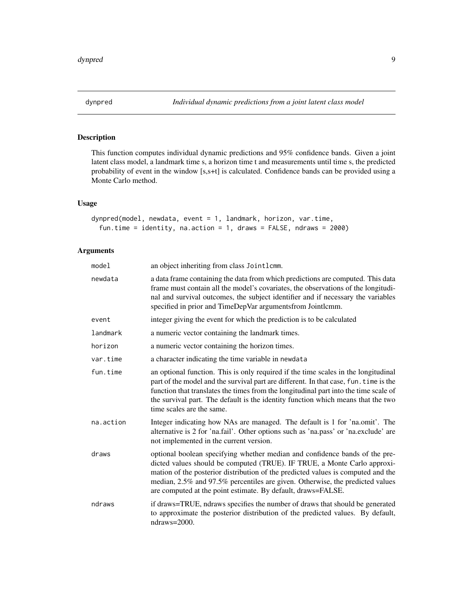<span id="page-8-0"></span>

## Description

This function computes individual dynamic predictions and 95% confidence bands. Given a joint latent class model, a landmark time s, a horizon time t and measurements until time s, the predicted probability of event in the window [s,s+t] is calculated. Confidence bands can be provided using a Monte Carlo method.

## Usage

```
dynpred(model, newdata, event = 1, landmark, horizon, var.time,
  fun.time = identity, na.action = 1, draws = FALSE, ndraws = 2000)
```
## Arguments

| model     | an object inheriting from class Jointlemm.                                                                                                                                                                                                                                                                                                                                                   |
|-----------|----------------------------------------------------------------------------------------------------------------------------------------------------------------------------------------------------------------------------------------------------------------------------------------------------------------------------------------------------------------------------------------------|
| newdata   | a data frame containing the data from which predictions are computed. This data<br>frame must contain all the model's covariates, the observations of the longitudi-<br>nal and survival outcomes, the subject identifier and if necessary the variables<br>specified in prior and TimeDepVar argumentsfrom Jointlemm.                                                                       |
| event     | integer giving the event for which the prediction is to be calculated                                                                                                                                                                                                                                                                                                                        |
| landmark  | a numeric vector containing the landmark times.                                                                                                                                                                                                                                                                                                                                              |
| horizon   | a numeric vector containing the horizon times.                                                                                                                                                                                                                                                                                                                                               |
| var.time  | a character indicating the time variable in newdata                                                                                                                                                                                                                                                                                                                                          |
| fun.time  | an optional function. This is only required if the time scales in the longitudinal<br>part of the model and the survival part are different. In that case, fun. time is the<br>function that translates the times from the longitudinal part into the time scale of<br>the survival part. The default is the identity function which means that the two<br>time scales are the same.         |
| na.action | Integer indicating how NAs are managed. The default is 1 for 'na.omit'. The<br>alternative is 2 for 'na.fail'. Other options such as 'na.pass' or 'na.exclude' are<br>not implemented in the current version.                                                                                                                                                                                |
| draws     | optional boolean specifying whether median and confidence bands of the pre-<br>dicted values should be computed (TRUE). IF TRUE, a Monte Carlo approxi-<br>mation of the posterior distribution of the predicted values is computed and the<br>median, 2.5% and 97.5% percentiles are given. Otherwise, the predicted values<br>are computed at the point estimate. By default, draws=FALSE. |
| ndraws    | if draws=TRUE, ndraws specifies the number of draws that should be generated<br>to approximate the posterior distribution of the predicted values. By default,<br>$ndraws = 2000$ .                                                                                                                                                                                                          |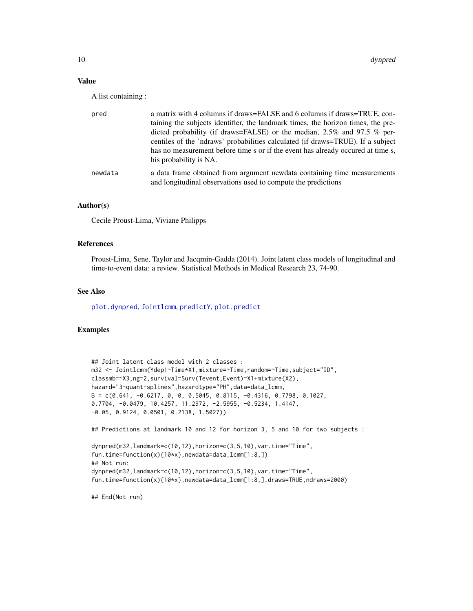## Value

A list containing :

| pred    | a matrix with 4 columns if draws=FALSE and 6 columns if draws=TRUE, con-                                                                  |
|---------|-------------------------------------------------------------------------------------------------------------------------------------------|
|         | taining the subjects identifier, the landmark times, the horizon times, the pre-                                                          |
|         | dicted probability (if draws=FALSE) or the median, $2.5\%$ and 97.5 % per-                                                                |
|         | centiles of the 'ndraws' probabilities calculated (if draws=TRUE). If a subject                                                           |
|         | has no measurement before time s or if the event has already occurred at time s,                                                          |
|         | his probability is NA.                                                                                                                    |
| newdata | a data frame obtained from argument newdata containing time measurements<br>and longitudinal observations used to compute the predictions |
|         |                                                                                                                                           |

#### Author(s)

Cecile Proust-Lima, Viviane Philipps

#### References

Proust-Lima, Sene, Taylor and Jacqmin-Gadda (2014). Joint latent class models of longitudinal and time-to-event data: a review. Statistical Methods in Medical Research 23, 74-90.

#### See Also

[plot.dynpred](#page-57-1), [Jointlcmm](#page-21-1), [predictY](#page-65-1), [plot.predict](#page-59-1)

## Examples

```
## Joint latent class model with 2 classes :
m32 <- Jointlcmm(Ydep1~Time*X1,mixture=~Time,random=~Time,subject="ID",
classmb=~X3,ng=2,survival=Surv(Tevent,Event)~X1+mixture(X2),
hazard="3-quant-splines",hazardtype="PH",data=data_lcmm,
B = c(0.641, -0.6217, 0, 0, 0.5045, 0.8115, -0.4316, 0.7798, 0.1027,0.7704, -0.0479, 10.4257, 11.2972, -2.5955, -0.5234, 1.4147,
-0.05, 0.9124, 0.0501, 0.2138, 1.5027))
## Predictions at landmark 10 and 12 for horizon 3, 5 and 10 for two subjects :
dynpred(m32,landmark=c(10,12),horizon=c(3,5,10),var.time="Time",
fun.time=function(x){10*x},newdata=data_lcmm[1:8,])
## Not run:
dynpred(m32,landmark=c(10,12),horizon=c(3,5,10),var.time="Time",
fun.time=function(x){10*x},newdata=data_lcmm[1:8,],draws=TRUE,ndraws=2000)
```
## End(Not run)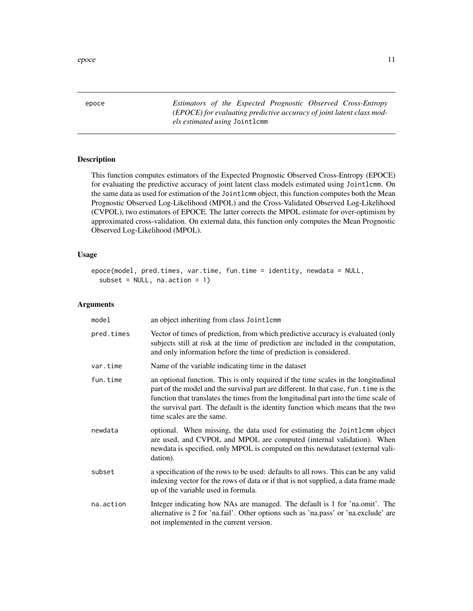<span id="page-10-0"></span>epoce and the second second second second second second second second second second second second second second second second second second second second second second second second second second second second second secon

<span id="page-10-1"></span>epoce *Estimators of the Expected Prognostic Observed Cross-Entropy (EPOCE) for evaluating predictive accuracy of joint latent class models estimated using* Jointlcmm

## Description

This function computes estimators of the Expected Prognostic Observed Cross-Entropy (EPOCE) for evaluating the predictive accuracy of joint latent class models estimated using Jointlcmm. On the same data as used for estimation of the Jointlcmm object, this function computes both the Mean Prognostic Observed Log-Likelihood (MPOL) and the Cross-Validated Observed Log-Likelihood (CVPOL), two estimators of EPOCE. The latter corrects the MPOL estimate for over-optimism by approximated cross-validation. On external data, this function only computes the Mean Prognostic Observed Log-Likelihood (MPOL).

## Usage

```
epoce(model, pred.times, var.time, fun.time = identity, newdata = NULL,
 subset = NULL, na.action = 1)
```
#### Arguments

| model      | an object inheriting from class Jointlemm                                                                                                                                                                                                                                                                                                                                            |
|------------|--------------------------------------------------------------------------------------------------------------------------------------------------------------------------------------------------------------------------------------------------------------------------------------------------------------------------------------------------------------------------------------|
| pred.times | Vector of times of prediction, from which predictive accuracy is evaluated (only<br>subjects still at risk at the time of prediction are included in the computation,<br>and only information before the time of prediction is considered.                                                                                                                                           |
| var.time   | Name of the variable indicating time in the dataset                                                                                                                                                                                                                                                                                                                                  |
| fun.time   | an optional function. This is only required if the time scales in the longitudinal<br>part of the model and the survival part are different. In that case, fun. time is the<br>function that translates the times from the longitudinal part into the time scale of<br>the survival part. The default is the identity function which means that the two<br>time scales are the same. |
| newdata    | optional. When missing, the data used for estimating the Jointler object<br>are used, and CVPOL and MPOL are computed (internal validation). When<br>newdata is specified, only MPOL is computed on this newdataset (external vali-<br>dation).                                                                                                                                      |
| subset     | a specification of the rows to be used: defaults to all rows. This can be any valid<br>indexing vector for the rows of data or if that is not supplied, a data frame made<br>up of the variable used in formula.                                                                                                                                                                     |
| na.action  | Integer indicating how NAs are managed. The default is 1 for 'na.omit'. The<br>alternative is 2 for 'na.fail'. Other options such as 'na.pass' or 'na.exclude' are<br>not implemented in the current version.                                                                                                                                                                        |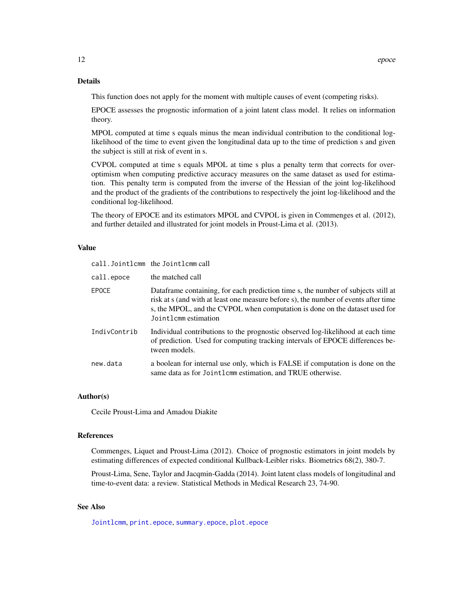## Details

This function does not apply for the moment with multiple causes of event (competing risks).

EPOCE assesses the prognostic information of a joint latent class model. It relies on information theory.

MPOL computed at time s equals minus the mean individual contribution to the conditional loglikelihood of the time to event given the longitudinal data up to the time of prediction s and given the subject is still at risk of event in s.

CVPOL computed at time s equals MPOL at time s plus a penalty term that corrects for overoptimism when computing predictive accuracy measures on the same dataset as used for estimation. This penalty term is computed from the inverse of the Hessian of the joint log-likelihood and the product of the gradients of the contributions to respectively the joint log-likelihood and the conditional log-likelihood.

The theory of EPOCE and its estimators MPOL and CVPOL is given in Commenges et al. (2012), and further detailed and illustrated for joint models in Proust-Lima et al. (2013).

#### Value

|              | call. Jointlcmm the Jointlcmm call                                                                                                                                                                                                                                               |
|--------------|----------------------------------------------------------------------------------------------------------------------------------------------------------------------------------------------------------------------------------------------------------------------------------|
| call.epoce   | the matched call                                                                                                                                                                                                                                                                 |
| <b>EPOCE</b> | Data frame containing, for each prediction time s, the number of subjects still at<br>risk at s (and with at least one measure before s), the number of events after time<br>s, the MPOL, and the CVPOL when computation is done on the dataset used for<br>Jointlemm estimation |
| IndivContrib | Individual contributions to the prognostic observed log-likelihood at each time<br>of prediction. Used for computing tracking intervals of EPOCE differences be-<br>tween models.                                                                                                |
| new.data     | a boolean for internal use only, which is FALSE if computation is done on the<br>same data as for Jointlemm estimation, and TRUE otherwise.                                                                                                                                      |

#### Author(s)

Cecile Proust-Lima and Amadou Diakite

#### References

Commenges, Liquet and Proust-Lima (2012). Choice of prognostic estimators in joint models by estimating differences of expected conditional Kullback-Leibler risks. Biometrics 68(2), 380-7.

Proust-Lima, Sene, Taylor and Jacqmin-Gadda (2014). Joint latent class models of longitudinal and time-to-event data: a review. Statistical Methods in Medical Research 23, 74-90.

## See Also

[Jointlcmm](#page-21-1), [print.epoce](#page-69-1), [summary.epoce](#page-71-2), [plot.epoce](#page-56-1)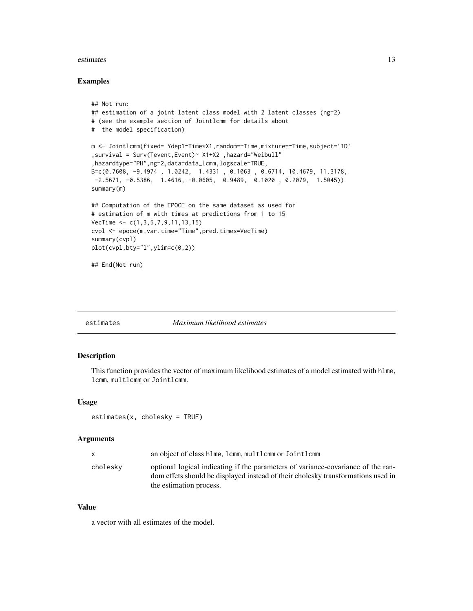#### <span id="page-12-0"></span>estimates 13

#### Examples

```
## Not run:
## estimation of a joint latent class model with 2 latent classes (ng=2)
# (see the example section of Jointlcmm for details about
# the model specification)
m <- Jointlcmm(fixed= Ydep1~Time*X1,random=~Time,mixture=~Time,subject='ID'
,survival = Surv(Tevent,Event)~ X1+X2 ,hazard="Weibull"
,hazardtype="PH",ng=2,data=data_lcmm,logscale=TRUE,
B=c(0.7608, -9.4974 , 1.0242, 1.4331 , 0.1063 , 0.6714, 10.4679, 11.3178,
-2.5671, -0.5386, 1.4616, -0.0605, 0.9489, 0.1020, 0.2079, 1.5045)summary(m)
## Computation of the EPOCE on the same dataset as used for
# estimation of m with times at predictions from 1 to 15
VecTime \leq c(1,3,5,7,9,11,13,15)cvpl <- epoce(m,var.time="Time",pred.times=VecTime)
summary(cvpl)
plot(cvpl,bty="l",ylim=c(0,2))
## End(Not run)
```
estimates *Maximum likelihood estimates*

## Description

This function provides the vector of maximum likelihood estimates of a model estimated with hlme, lcmm, multlcmm or Jointlcmm.

#### Usage

estimates(x, cholesky = TRUE)

#### Arguments

| $\mathsf{x}$ | an object of class hime, icmm, multicmm or Jointlemm                                                                                                                                            |
|--------------|-------------------------------------------------------------------------------------------------------------------------------------------------------------------------------------------------|
| cholesky     | optional logical indicating if the parameters of variance-covariance of the ran-<br>dom effets should be displayed instead of their cholesky transformations used in<br>the estimation process. |

#### Value

a vector with all estimates of the model.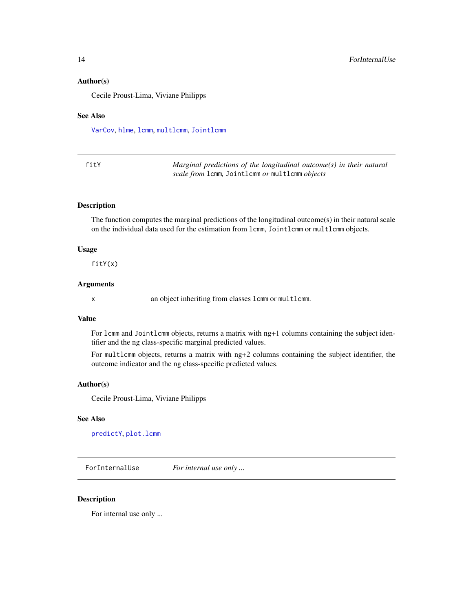#### <span id="page-13-0"></span>Author(s)

Cecile Proust-Lima, Viviane Philipps

#### See Also

[VarCov](#page-72-1), [hlme](#page-15-1), [lcmm](#page-29-1), [multlcmm](#page-42-1), [Jointlcmm](#page-21-1)

| fitY | Marginal predictions of the longitudinal outcome(s) in their natural |
|------|----------------------------------------------------------------------|
|      | scale from 1cmm, Joint1cmm or mult1cmm objects                       |

#### Description

The function computes the marginal predictions of the longitudinal outcome(s) in their natural scale on the individual data used for the estimation from lcmm, Jointlcmm or multlcmm objects.

#### Usage

fitY(x)

## Arguments

x an object inheriting from classes lcmm or multlcmm.

## Value

For lcmm and Jointlcmm objects, returns a matrix with ng+1 columns containing the subject identifier and the ng class-specific marginal predicted values.

For multlcmm objects, returns a matrix with ng+2 columns containing the subject identifier, the outcome indicator and the ng class-specific predicted values.

#### Author(s)

Cecile Proust-Lima, Viviane Philipps

#### See Also

[predictY](#page-65-1), [plot.lcmm](#page-51-1)

ForInternalUse *For internal use only ...*

## Description

For internal use only ...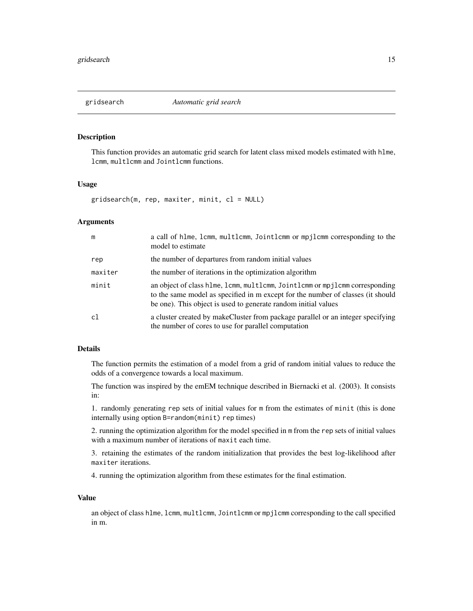<span id="page-14-0"></span>

## Description

This function provides an automatic grid search for latent class mixed models estimated with hlme, lcmm, multlcmm and Jointlcmm functions.

#### Usage

gridsearch(m, rep, maxiter, minit, cl = NULL)

#### Arguments

| m       | a call of hlme, lcmm, multlcmm, Jointlcmm or mpjlcmm corresponding to the<br>model to estimate                                                                                                                                   |
|---------|----------------------------------------------------------------------------------------------------------------------------------------------------------------------------------------------------------------------------------|
| rep     | the number of departures from random initial values                                                                                                                                                                              |
| maxiter | the number of iterations in the optimization algorithm                                                                                                                                                                           |
| minit   | an object of class hlme, lcmm, multlcmm, Jointlcmm or mpjlcmm corresponding<br>to the same model as specified in m except for the number of classes (it should<br>be one). This object is used to generate random initial values |
| c1      | a cluster created by makeCluster from package parallel or an integer specifying<br>the number of cores to use for parallel computation                                                                                           |

## Details

The function permits the estimation of a model from a grid of random initial values to reduce the odds of a convergence towards a local maximum.

The function was inspired by the emEM technique described in Biernacki et al. (2003). It consists in:

1. randomly generating rep sets of initial values for m from the estimates of minit (this is done internally using option B=random(minit) rep times)

2. running the optimization algorithm for the model specified in m from the rep sets of initial values with a maximum number of iterations of maxit each time.

3. retaining the estimates of the random initialization that provides the best log-likelihood after maxiter iterations.

4. running the optimization algorithm from these estimates for the final estimation.

#### Value

an object of class hlme, lcmm, multlcmm, Jointlcmm or mpjlcmm corresponding to the call specified in m.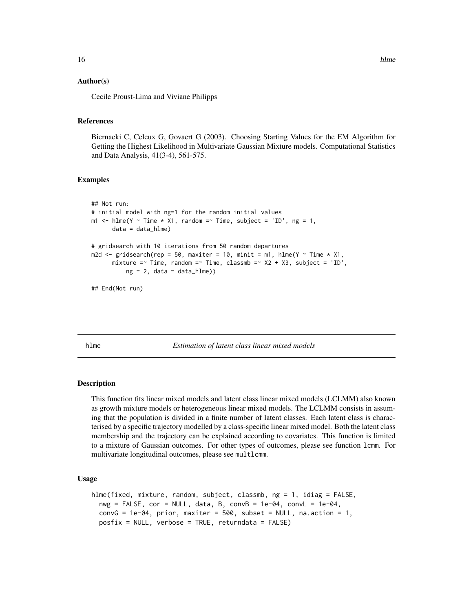#### Author(s)

Cecile Proust-Lima and Viviane Philipps

#### References

Biernacki C, Celeux G, Govaert G (2003). Choosing Starting Values for the EM Algorithm for Getting the Highest Likelihood in Multivariate Gaussian Mixture models. Computational Statistics and Data Analysis, 41(3-4), 561-575.

#### Examples

```
## Not run:
# initial model with ng=1 for the random initial values
m1 <- hlme(Y ~ Time * X1, random =~ Time, subject = 'ID', ng = 1,
      data = data_hlme)
# gridsearch with 10 iterations from 50 random departures
m2d \le gridsearch(rep = 50, maxiter = 10, minit = m1, hlme(Y \sim Time \star X1,
      mixture =~ Time, random =~ Time, classmb =~ X2 + X3, subject = 'ID',
          ng = 2, data = data_hlme))
```
## End(Not run)

<span id="page-15-1"></span>hlme *Estimation of latent class linear mixed models*

#### **Description**

This function fits linear mixed models and latent class linear mixed models (LCLMM) also known as growth mixture models or heterogeneous linear mixed models. The LCLMM consists in assuming that the population is divided in a finite number of latent classes. Each latent class is characterised by a specific trajectory modelled by a class-specific linear mixed model. Both the latent class membership and the trajectory can be explained according to covariates. This function is limited to a mixture of Gaussian outcomes. For other types of outcomes, please see function lcmm. For multivariate longitudinal outcomes, please see multlcmm.

#### Usage

```
hlme(fixed, mixture, random, subject, classmb, ng = 1, idiag = FALSE,
 nwg = FALSE, cor = NULL, data, B, convB = 1e-04, convL = 1e-04,convG = 1e-04, prior, maxiter = 500, subset = NULL, na.action = 1,
  posfix = NULL, verbose = TRUE, returndata = FALSE)
```
<span id="page-15-0"></span>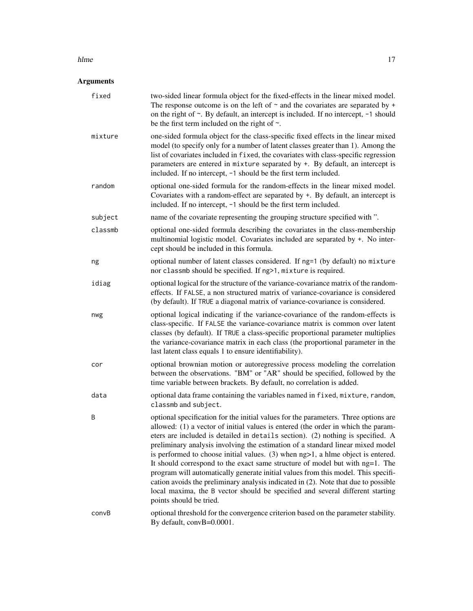#### hlme the contract of the contract of the contract of the contract of the contract of the contract of the contract of the contract of the contract of the contract of the contract of the contract of the contract of the contr

# Arguments

| fixed   | two-sided linear formula object for the fixed-effects in the linear mixed model.<br>The response outcome is on the left of $\sim$ and the covariates are separated by +<br>on the right of $\sim$ . By default, an intercept is included. If no intercept, $-1$ should<br>be the first term included on the right of $\sim$ .                                                                                                                                                                                                                                                                                                                                                                                                                                                                           |
|---------|---------------------------------------------------------------------------------------------------------------------------------------------------------------------------------------------------------------------------------------------------------------------------------------------------------------------------------------------------------------------------------------------------------------------------------------------------------------------------------------------------------------------------------------------------------------------------------------------------------------------------------------------------------------------------------------------------------------------------------------------------------------------------------------------------------|
| mixture | one-sided formula object for the class-specific fixed effects in the linear mixed<br>model (to specify only for a number of latent classes greater than 1). Among the<br>list of covariates included in fixed, the covariates with class-specific regression<br>parameters are entered in mixture separated by +. By default, an intercept is<br>included. If no intercept, -1 should be the first term included.                                                                                                                                                                                                                                                                                                                                                                                       |
| random  | optional one-sided formula for the random-effects in the linear mixed model.<br>Covariates with a random-effect are separated by +. By default, an intercept is<br>included. If no intercept, -1 should be the first term included.                                                                                                                                                                                                                                                                                                                                                                                                                                                                                                                                                                     |
| subject | name of the covariate representing the grouping structure specified with ".                                                                                                                                                                                                                                                                                                                                                                                                                                                                                                                                                                                                                                                                                                                             |
| classmb | optional one-sided formula describing the covariates in the class-membership<br>multinomial logistic model. Covariates included are separated by +. No inter-<br>cept should be included in this formula.                                                                                                                                                                                                                                                                                                                                                                                                                                                                                                                                                                                               |
| ng      | optional number of latent classes considered. If ng=1 (by default) no mixture<br>nor classmb should be specified. If ng>1, mixture is required.                                                                                                                                                                                                                                                                                                                                                                                                                                                                                                                                                                                                                                                         |
| idiag   | optional logical for the structure of the variance-covariance matrix of the random-<br>effects. If FALSE, a non structured matrix of variance-covariance is considered<br>(by default). If TRUE a diagonal matrix of variance-covariance is considered.                                                                                                                                                                                                                                                                                                                                                                                                                                                                                                                                                 |
| nwg     | optional logical indicating if the variance-covariance of the random-effects is<br>class-specific. If FALSE the variance-covariance matrix is common over latent<br>classes (by default). If TRUE a class-specific proportional parameter multiplies<br>the variance-covariance matrix in each class (the proportional parameter in the<br>last latent class equals 1 to ensure identifiability).                                                                                                                                                                                                                                                                                                                                                                                                       |
| cor     | optional brownian motion or autoregressive process modeling the correlation<br>between the observations. "BM" or "AR" should be specified, followed by the<br>time variable between brackets. By default, no correlation is added.                                                                                                                                                                                                                                                                                                                                                                                                                                                                                                                                                                      |
| data    | optional data frame containing the variables named in fixed, mixture, random,<br>classmb and subject.                                                                                                                                                                                                                                                                                                                                                                                                                                                                                                                                                                                                                                                                                                   |
| Β       | optional specification for the initial values for the parameters. Three options are<br>allowed: (1) a vector of initial values is entered (the order in which the param-<br>eters are included is detailed in details section). (2) nothing is specified. A<br>preliminary analysis involving the estimation of a standard linear mixed model<br>is performed to choose initial values. (3) when ng>1, a hlme object is entered.<br>It should correspond to the exact same structure of model but with ng=1. The<br>program will automatically generate initial values from this model. This specifi-<br>cation avoids the preliminary analysis indicated in (2). Note that due to possible<br>local maxima, the B vector should be specified and several different starting<br>points should be tried. |
| convB   | optional threshold for the convergence criterion based on the parameter stability.<br>By default, convB=0.0001.                                                                                                                                                                                                                                                                                                                                                                                                                                                                                                                                                                                                                                                                                         |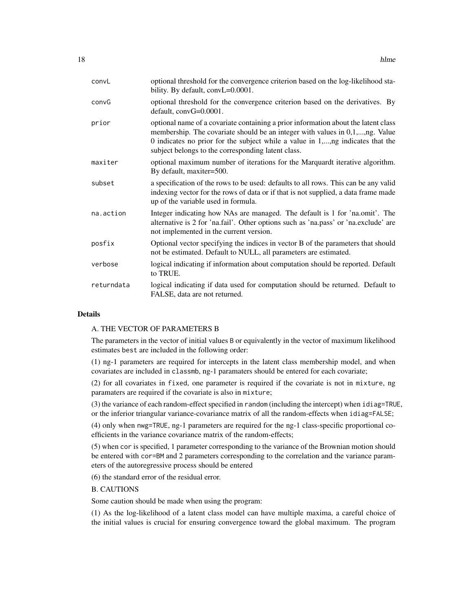| convL      | optional threshold for the convergence criterion based on the log-likelihood sta-<br>bility. By default, convL=0.0001.                                                                                                                                                                                     |
|------------|------------------------------------------------------------------------------------------------------------------------------------------------------------------------------------------------------------------------------------------------------------------------------------------------------------|
| convG      | optional threshold for the convergence criterion based on the derivatives. By<br>default, convG=0.0001.                                                                                                                                                                                                    |
| prior      | optional name of a covariate containing a prior information about the latent class<br>membership. The covariate should be an integer with values in 0,1,,ng. Value<br>0 indicates no prior for the subject while a value in 1,,ng indicates that the<br>subject belongs to the corresponding latent class. |
| maxiter    | optional maximum number of iterations for the Marquardt iterative algorithm.<br>By default, maxiter=500.                                                                                                                                                                                                   |
| subset     | a specification of the rows to be used: defaults to all rows. This can be any valid<br>indexing vector for the rows of data or if that is not supplied, a data frame made<br>up of the variable used in formula.                                                                                           |
| na.action  | Integer indicating how NAs are managed. The default is 1 for 'na.omit'. The<br>alternative is 2 for 'na.fail'. Other options such as 'na.pass' or 'na.exclude' are<br>not implemented in the current version.                                                                                              |
| posfix     | Optional vector specifying the indices in vector B of the parameters that should<br>not be estimated. Default to NULL, all parameters are estimated.                                                                                                                                                       |
| verbose    | logical indicating if information about computation should be reported. Default<br>to TRUE.                                                                                                                                                                                                                |
| returndata | logical indicating if data used for computation should be returned. Default to<br>FALSE, data are not returned.                                                                                                                                                                                            |

## Details

## A. THE VECTOR OF PARAMETERS B

The parameters in the vector of initial values B or equivalently in the vector of maximum likelihood estimates best are included in the following order:

(1) ng-1 parameters are required for intercepts in the latent class membership model, and when covariates are included in classmb, ng-1 paramaters should be entered for each covariate;

(2) for all covariates in fixed, one parameter is required if the covariate is not in mixture, ng paramaters are required if the covariate is also in mixture;

(3) the variance of each random-effect specified in random (including the intercept) when idiag=TRUE, or the inferior triangular variance-covariance matrix of all the random-effects when idiag=FALSE;

(4) only when nwg=TRUE, ng-1 parameters are required for the ng-1 class-specific proportional coefficients in the variance covariance matrix of the random-effects;

(5) when cor is specified, 1 parameter corresponding to the variance of the Brownian motion should be entered with cor=BM and 2 parameters corresponding to the correlation and the variance parameters of the autoregressive process should be entered

(6) the standard error of the residual error.

## B. CAUTIONS

Some caution should be made when using the program:

(1) As the log-likelihood of a latent class model can have multiple maxima, a careful choice of the initial values is crucial for ensuring convergence toward the global maximum. The program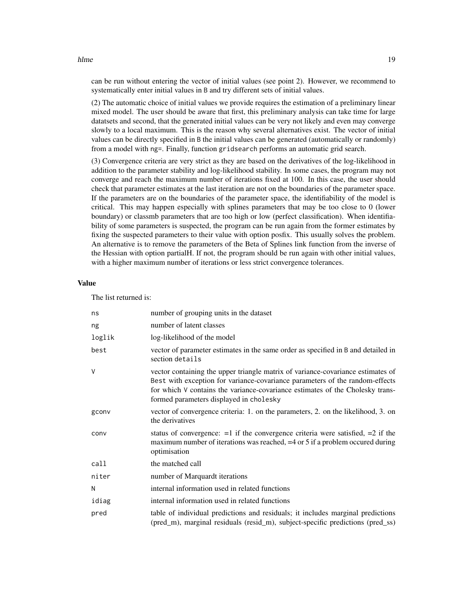#### hlme the contract of the contract of the contract of the contract of the contract of the contract of the contract of the contract of the contract of the contract of the contract of the contract of the contract of the contr

can be run without entering the vector of initial values (see point 2). However, we recommend to systematically enter initial values in B and try different sets of initial values.

(2) The automatic choice of initial values we provide requires the estimation of a preliminary linear mixed model. The user should be aware that first, this preliminary analysis can take time for large datatsets and second, that the generated initial values can be very not likely and even may converge slowly to a local maximum. This is the reason why several alternatives exist. The vector of initial values can be directly specified in B the initial values can be generated (automatically or randomly) from a model with ng=. Finally, function gridsearch performs an automatic grid search.

(3) Convergence criteria are very strict as they are based on the derivatives of the log-likelihood in addition to the parameter stability and log-likelihood stability. In some cases, the program may not converge and reach the maximum number of iterations fixed at 100. In this case, the user should check that parameter estimates at the last iteration are not on the boundaries of the parameter space. If the parameters are on the boundaries of the parameter space, the identifiability of the model is critical. This may happen especially with splines parameters that may be too close to 0 (lower boundary) or classmb parameters that are too high or low (perfect classification). When identifiability of some parameters is suspected, the program can be run again from the former estimates by fixing the suspected parameters to their value with option posfix. This usually solves the problem. An alternative is to remove the parameters of the Beta of Splines link function from the inverse of the Hessian with option partialH. If not, the program should be run again with other initial values, with a higher maximum number of iterations or less strict convergence tolerances.

## Value

The list returned is:

| ns     | number of grouping units in the dataset                                                                                                                                                                                                                                                     |
|--------|---------------------------------------------------------------------------------------------------------------------------------------------------------------------------------------------------------------------------------------------------------------------------------------------|
| ng     | number of latent classes                                                                                                                                                                                                                                                                    |
| loglik | log-likelihood of the model                                                                                                                                                                                                                                                                 |
| best   | vector of parameter estimates in the same order as specified in B and detailed in<br>section details                                                                                                                                                                                        |
| $\vee$ | vector containing the upper triangle matrix of variance-covariance estimates of<br>Best with exception for variance-covariance parameters of the random-effects<br>for which V contains the variance-covariance estimates of the Cholesky trans-<br>formed parameters displayed in cholesky |
| gconv  | vector of convergence criteria: 1. on the parameters, 2. on the likelihood, 3. on<br>the derivatives                                                                                                                                                                                        |
| conv   | status of convergence: $=1$ if the convergence criteria were satisfied, $=2$ if the<br>maximum number of iterations was reached, =4 or 5 if a problem occured during<br>optimisation                                                                                                        |
| call   | the matched call                                                                                                                                                                                                                                                                            |
| niter  | number of Marquardt iterations                                                                                                                                                                                                                                                              |
| N      | internal information used in related functions                                                                                                                                                                                                                                              |
| idiag  | internal information used in related functions                                                                                                                                                                                                                                              |
| pred   | table of individual predictions and residuals; it includes marginal predictions<br>(pred_m), marginal residuals (resid_m), subject-specific predictions (pred_ss)                                                                                                                           |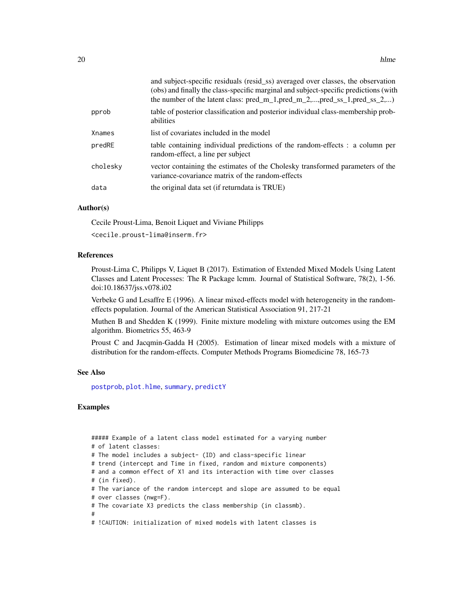|          | and subject-specific residuals (resid_ss) averaged over classes, the observation<br>(obs) and finally the class-specific marginal and subject-specific predictions (with<br>the number of the latent class: $pred_m_1, pred_m_2, , pred_s_1, pred_s_2, ,$ |
|----------|-----------------------------------------------------------------------------------------------------------------------------------------------------------------------------------------------------------------------------------------------------------|
| pprob    | table of posterior classification and posterior individual class-membership prob-<br>abilities                                                                                                                                                            |
| Xnames   | list of covariates included in the model                                                                                                                                                                                                                  |
| predRE   | table containing individual predictions of the random-effects : a column per<br>random-effect, a line per subject                                                                                                                                         |
| cholesky | vector containing the estimates of the Cholesky transformed parameters of the<br>variance-covariance matrix of the random-effects                                                                                                                         |
| data     | the original data set (if returndata is TRUE)                                                                                                                                                                                                             |
|          |                                                                                                                                                                                                                                                           |

## Author(s)

Cecile Proust-Lima, Benoit Liquet and Viviane Philipps

<cecile.proust-lima@inserm.fr>

## References

Proust-Lima C, Philipps V, Liquet B (2017). Estimation of Extended Mixed Models Using Latent Classes and Latent Processes: The R Package lcmm. Journal of Statistical Software, 78(2), 1-56. doi:10.18637/jss.v078.i02

Verbeke G and Lesaffre E (1996). A linear mixed-effects model with heterogeneity in the randomeffects population. Journal of the American Statistical Association 91, 217-21

Muthen B and Shedden K (1999). Finite mixture modeling with mixture outcomes using the EM algorithm. Biometrics 55, 463-9

Proust C and Jacqmin-Gadda H (2005). Estimation of linear mixed models with a mixture of distribution for the random-effects. Computer Methods Programs Biomedicine 78, 165-73

#### See Also

[postprob](#page-60-1), [plot.hlme](#page-51-1), [summary](#page-0-0), [predictY](#page-65-1)

#### Examples

##### Example of a latent class model estimated for a varying number # of latent classes: # The model includes a subject- (ID) and class-specific linear # trend (intercept and Time in fixed, random and mixture components) # and a common effect of X1 and its interaction with time over classes # (in fixed). # The variance of the random intercept and slope are assumed to be equal # over classes (nwg=F). # The covariate X3 predicts the class membership (in classmb). # # !CAUTION: initialization of mixed models with latent classes is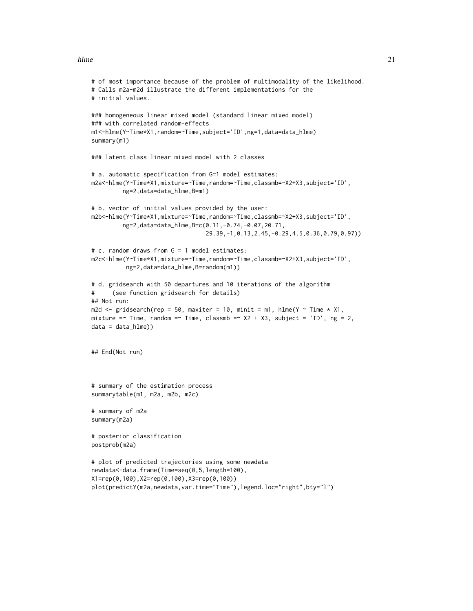#### hlme 21

```
# of most importance because of the problem of multimodality of the likelihood.
# Calls m2a-m2d illustrate the different implementations for the
# initial values.
### homogeneous linear mixed model (standard linear mixed model)
### with correlated random-effects
m1<-hlme(Y~Time*X1,random=~Time,subject='ID',ng=1,data=data_hlme)
summary(m1)
### latent class linear mixed model with 2 classes
# a. automatic specification from G=1 model estimates:
m2a<-hlme(Y~Time*X1,mixture=~Time,random=~Time,classmb=~X2+X3,subject='ID',
         ng=2,data=data_hlme,B=m1)
# b. vector of initial values provided by the user:
m2b<-hlme(Y~Time*X1,mixture=~Time,random=~Time,classmb=~X2+X3,subject='ID',
         ng=2,data=data_hlme,B=c(0.11,-0.74,-0.07,20.71,
                                 29.39,-1,0.13,2.45,-0.29,4.5,0.36,0.79,0.97))
# c. random draws from G = 1 model estimates:
m2c<-hlme(Y~Time*X1,mixture=~Time,random=~Time,classmb=~X2+X3,subject='ID',
          ng=2,data=data_hlme,B=random(m1))
# d. gridsearch with 50 departures and 10 iterations of the algorithm
# (see function gridsearch for details)
## Not run:
m2d <- gridsearch(rep = 50, maxiter = 10, minit = m1, hlme(Y \sim Time \star X1,
mixture =~ Time, random =~ Time, classmb =~ X2 + X3, subject = 'ID', ng = 2,
data = data_hlme))
## End(Not run)
# summary of the estimation process
summarytable(m1, m2a, m2b, m2c)
# summary of m2a
summary(m2a)
# posterior classification
postprob(m2a)
# plot of predicted trajectories using some newdata
newdata<-data.frame(Time=seq(0,5,length=100),
X1=rep(0,100),X2=rep(0,100),X3=rep(0,100))
plot(predictY(m2a,newdata,var.time="Time"),legend.loc="right",bty="l")
```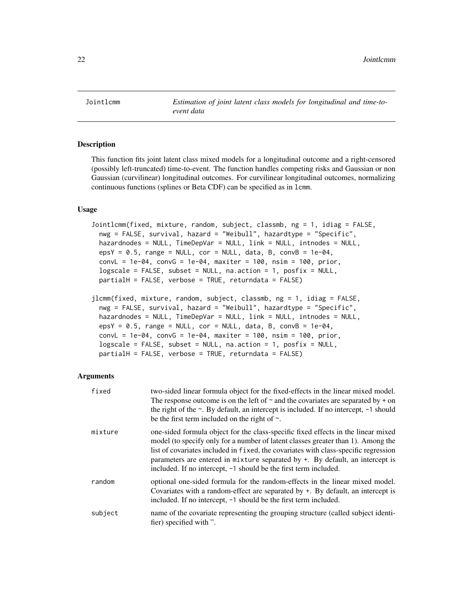<span id="page-21-1"></span><span id="page-21-0"></span>Jointlcmm *Estimation of joint latent class models for longitudinal and time-toevent data*

## Description

This function fits joint latent class mixed models for a longitudinal outcome and a right-censored (possibly left-truncated) time-to-event. The function handles competing risks and Gaussian or non Gaussian (curvilinear) longitudinal outcomes. For curvilinear longitudinal outcomes, normalizing continuous functions (splines or Beta CDF) can be specified as in lcmm.

#### Usage

```
Jointlcmm(fixed, mixture, random, subject, classmb, ng = 1, idiag = FALSE,
 nwg = FALSE, survival, hazard = "Weibull", hazardtype = "Specific",
 hazardnodes = NULL, TimeDepVar = NULL, link = NULL, intnodes = NULL,
 epsY = 0.5, range = NULL, cor = NULL, data, B, convB = 1e-04,
 convL = 1e-04, convG = 1e-04, maxiter = 100, nsim = 100, prior,
 logscale = FALSE, subset = NULL, na.action = 1, posfix = NULL,partialH = FALSE, verbose = TRUE, returndata = FALSE)
jlcmm(fixed, mixture, random, subject, classmb, ng = 1, idiag = FALSE,
 nwg = FALSE, survival, hazard = "Weibull", hazardtype = "Specific",
```

```
hazardnodes = NULL, TimeDepVar = NULL, link = NULL, intnodes = NULL,
epsY = 0.5, range = NULL, cor = NULL, data, B, convB = 1e-04,
convL = 1e-04, convG = 1e-04, maxiter = 100, nsim = 100, prior,
logscale = FALSE, subset = NULL, na. action = 1, posfix = NULL,partialH = FALSE, verbose = TRUE, returndata = FALSE)
```
#### Arguments

| fixed   | two-sided linear formula object for the fixed-effects in the linear mixed model.<br>The response outcome is on the left of $\sim$ and the covariates are separated by + on<br>the right of the $\sim$ . By default, an intercept is included. If no intercept, $-1$ should<br>be the first term included on the right of $\sim$ .                                                                                      |
|---------|------------------------------------------------------------------------------------------------------------------------------------------------------------------------------------------------------------------------------------------------------------------------------------------------------------------------------------------------------------------------------------------------------------------------|
| mixture | one-sided formula object for the class-specific fixed effects in the linear mixed<br>model (to specify only for a number of latent classes greater than 1). Among the<br>list of covariates included in fixed, the covariates with class-specific regression<br>parameters are entered in mixture separated by $+$ . By default, an intercept is<br>included. If no intercept, $-1$ should be the first term included. |
| random  | optional one-sided formula for the random-effects in the linear mixed model.<br>Covariates with a random-effect are separated by +. By default, an intercept is<br>included. If no intercept, $-1$ should be the first term included.                                                                                                                                                                                  |
| subject | name of the covariate representing the grouping structure (called subject identi-<br>fier) specified with ".                                                                                                                                                                                                                                                                                                           |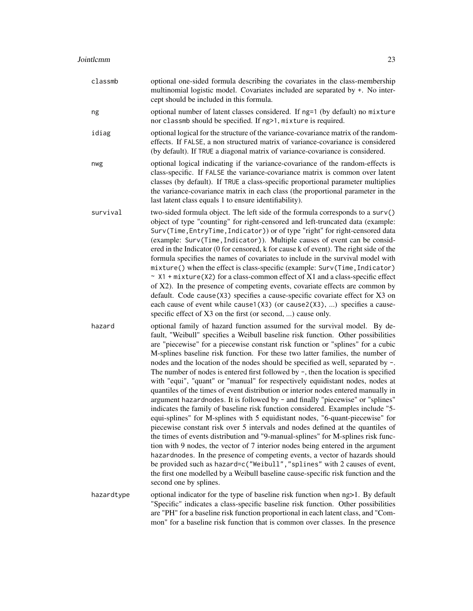| classmb    | optional one-sided formula describing the covariates in the class-membership<br>multinomial logistic model. Covariates included are separated by +. No inter-<br>cept should be included in this formula.                                                                                                                                                                                                                                                                                                                                                                                                                                                                                                                                                                                                                                                                                                                                                                                                                                                                                                                                                                                                                                                                                                                                                                                                                                                                           |
|------------|-------------------------------------------------------------------------------------------------------------------------------------------------------------------------------------------------------------------------------------------------------------------------------------------------------------------------------------------------------------------------------------------------------------------------------------------------------------------------------------------------------------------------------------------------------------------------------------------------------------------------------------------------------------------------------------------------------------------------------------------------------------------------------------------------------------------------------------------------------------------------------------------------------------------------------------------------------------------------------------------------------------------------------------------------------------------------------------------------------------------------------------------------------------------------------------------------------------------------------------------------------------------------------------------------------------------------------------------------------------------------------------------------------------------------------------------------------------------------------------|
| ng         | optional number of latent classes considered. If ng=1 (by default) no mixture<br>nor classmb should be specified. If ng>1, mixture is required.                                                                                                                                                                                                                                                                                                                                                                                                                                                                                                                                                                                                                                                                                                                                                                                                                                                                                                                                                                                                                                                                                                                                                                                                                                                                                                                                     |
| idiag      | optional logical for the structure of the variance-covariance matrix of the random-<br>effects. If FALSE, a non structured matrix of variance-covariance is considered<br>(by default). If TRUE a diagonal matrix of variance-covariance is considered.                                                                                                                                                                                                                                                                                                                                                                                                                                                                                                                                                                                                                                                                                                                                                                                                                                                                                                                                                                                                                                                                                                                                                                                                                             |
| nwg        | optional logical indicating if the variance-covariance of the random-effects is<br>class-specific. If FALSE the variance-covariance matrix is common over latent<br>classes (by default). If TRUE a class-specific proportional parameter multiplies<br>the variance-covariance matrix in each class (the proportional parameter in the<br>last latent class equals 1 to ensure identifiability).                                                                                                                                                                                                                                                                                                                                                                                                                                                                                                                                                                                                                                                                                                                                                                                                                                                                                                                                                                                                                                                                                   |
| survival   | two-sided formula object. The left side of the formula corresponds to a surv()<br>object of type "counting" for right-censored and left-truncated data (example:<br>Surv(Time, EntryTime, Indicator)) or of type "right" for right-censored data<br>(example: Surv(Time, Indicator)). Multiple causes of event can be consid-<br>ered in the Indicator (0 for censored, k for cause k of event). The right side of the<br>formula specifies the names of covariates to include in the survival model with<br>mixture() when the effect is class-specific (example: Surv(Time, Indicator)<br>$\sim$ X1 + mixture(X2) for a class-common effect of X1 and a class-specific effect<br>of X2). In the presence of competing events, covariate effects are common by<br>default. Code cause(X3) specifies a cause-specific covariate effect for X3 on<br>each cause of event while cause1( $X3$ ) (or cause2( $X3$ ), ) specifies a cause-<br>specific effect of X3 on the first (or second, ) cause only.                                                                                                                                                                                                                                                                                                                                                                                                                                                                               |
| hazard     | optional family of hazard function assumed for the survival model. By de-<br>fault, "Weibull" specifies a Weibull baseline risk function. Other possibilities<br>are "piecewise" for a piecewise constant risk function or "splines" for a cubic<br>M-splines baseline risk function. For these two latter families, the number of<br>nodes and the location of the nodes should be specified as well, separated by -.<br>The number of nodes is entered first followed by $\neg$ , then the location is specified<br>with "equi", "quant" or "manual" for respectively equidistant nodes, nodes at<br>quantiles of the times of event distribution or interior nodes entered manually in<br>argument hazardnodes. It is followed by - and finally "piecewise" or "splines"<br>indicates the family of baseline risk function considered. Examples include "5-<br>equi-splines" for M-splines with 5 equidistant nodes, "6-quant-piecewise" for<br>piecewise constant risk over 5 intervals and nodes defined at the quantiles of<br>the times of events distribution and "9-manual-splines" for M-splines risk func-<br>tion with 9 nodes, the vector of 7 interior nodes being entered in the argument<br>hazardnodes. In the presence of competing events, a vector of hazards should<br>be provided such as hazard=c("Weibull","splines" with 2 causes of event,<br>the first one modelled by a Weibull baseline cause-specific risk function and the<br>second one by splines. |
| hazardtype | optional indicator for the type of baseline risk function when ng>1. By default<br>"Specific" indicates a class-specific baseline risk function. Other possibilities<br>are "PH" for a baseline risk function proportional in each latent class, and "Com-<br>mon" for a baseline risk function that is common over classes. In the presence                                                                                                                                                                                                                                                                                                                                                                                                                                                                                                                                                                                                                                                                                                                                                                                                                                                                                                                                                                                                                                                                                                                                        |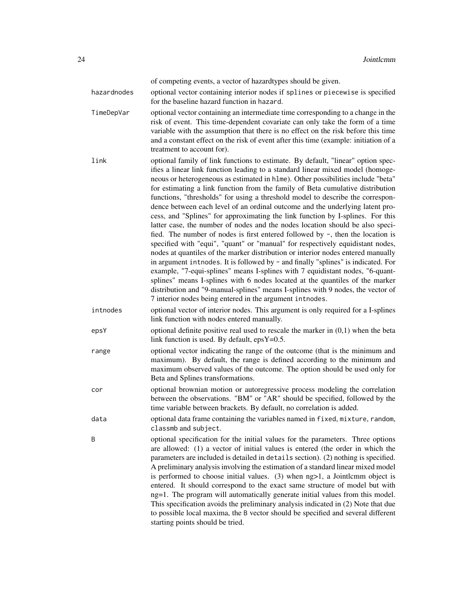|             | of competing events, a vector of hazardtypes should be given.                                                                                                                                                                                                                                                                                                                                                                                                                                                                                                                                                                                                                                                                                                                                                                                                                                                                                                                                                                                                                                                                                                                                                                                                                                                                               |
|-------------|---------------------------------------------------------------------------------------------------------------------------------------------------------------------------------------------------------------------------------------------------------------------------------------------------------------------------------------------------------------------------------------------------------------------------------------------------------------------------------------------------------------------------------------------------------------------------------------------------------------------------------------------------------------------------------------------------------------------------------------------------------------------------------------------------------------------------------------------------------------------------------------------------------------------------------------------------------------------------------------------------------------------------------------------------------------------------------------------------------------------------------------------------------------------------------------------------------------------------------------------------------------------------------------------------------------------------------------------|
| hazardnodes | optional vector containing interior nodes if splines or piecewise is specified<br>for the baseline hazard function in hazard.                                                                                                                                                                                                                                                                                                                                                                                                                                                                                                                                                                                                                                                                                                                                                                                                                                                                                                                                                                                                                                                                                                                                                                                                               |
| TimeDepVar  | optional vector containing an intermediate time corresponding to a change in the<br>risk of event. This time-dependent covariate can only take the form of a time<br>variable with the assumption that there is no effect on the risk before this time<br>and a constant effect on the risk of event after this time (example: initiation of a<br>treatment to account for).                                                                                                                                                                                                                                                                                                                                                                                                                                                                                                                                                                                                                                                                                                                                                                                                                                                                                                                                                                |
| link        | optional family of link functions to estimate. By default, "linear" option spec-<br>ifies a linear link function leading to a standard linear mixed model (homoge-<br>neous or heterogeneous as estimated in h1me). Other possibilities include "beta"<br>for estimating a link function from the family of Beta cumulative distribution<br>functions, "thresholds" for using a threshold model to describe the correspon-<br>dence between each level of an ordinal outcome and the underlying latent pro-<br>cess, and "Splines" for approximating the link function by I-splines. For this<br>latter case, the number of nodes and the nodes location should be also speci-<br>fied. The number of nodes is first entered followed by -, then the location is<br>specified with "equi", "quant" or "manual" for respectively equidistant nodes,<br>nodes at quantiles of the marker distribution or interior nodes entered manually<br>in argument introdes. It is followed by - and finally "splines" is indicated. For<br>example, "7-equi-splines" means I-splines with 7 equidistant nodes, "6-quant-<br>splines" means I-splines with 6 nodes located at the quantiles of the marker<br>distribution and "9-manual-splines" means I-splines with 9 nodes, the vector of<br>7 interior nodes being entered in the argument intnodes. |
| intnodes    | optional vector of interior nodes. This argument is only required for a I-splines<br>link function with nodes entered manually.                                                                                                                                                                                                                                                                                                                                                                                                                                                                                                                                                                                                                                                                                                                                                                                                                                                                                                                                                                                                                                                                                                                                                                                                             |
| epsY        | optional definite positive real used to rescale the marker in $(0,1)$ when the beta<br>link function is used. By default, $epsY=0.5$ .                                                                                                                                                                                                                                                                                                                                                                                                                                                                                                                                                                                                                                                                                                                                                                                                                                                                                                                                                                                                                                                                                                                                                                                                      |
| range       | optional vector indicating the range of the outcome (that is the minimum and<br>maximum). By default, the range is defined according to the minimum and<br>maximum observed values of the outcome. The option should be used only for<br>Beta and Splines transformations.                                                                                                                                                                                                                                                                                                                                                                                                                                                                                                                                                                                                                                                                                                                                                                                                                                                                                                                                                                                                                                                                  |
| cor         | optional brownian motion or autoregressive process modeling the correlation<br>between the observations. "BM" or "AR" should be specified, followed by the<br>time variable between brackets. By default, no correlation is added.                                                                                                                                                                                                                                                                                                                                                                                                                                                                                                                                                                                                                                                                                                                                                                                                                                                                                                                                                                                                                                                                                                          |
| data        | optional data frame containing the variables named in fixed, mixture, random,<br>classmb and subject.                                                                                                                                                                                                                                                                                                                                                                                                                                                                                                                                                                                                                                                                                                                                                                                                                                                                                                                                                                                                                                                                                                                                                                                                                                       |
| B           | optional specification for the initial values for the parameters. Three options<br>are allowed: (1) a vector of initial values is entered (the order in which the<br>parameters are included is detailed in details section). (2) nothing is specified.<br>A preliminary analysis involving the estimation of a standard linear mixed model<br>is performed to choose initial values. $(3)$ when $ng>1$ , a Jointlemm object is<br>entered. It should correspond to the exact same structure of model but with<br>ng=1. The program will automatically generate initial values from this model.<br>This specification avoids the preliminary analysis indicated in (2) Note that due<br>to possible local maxima, the B vector should be specified and several different<br>starting points should be tried.                                                                                                                                                                                                                                                                                                                                                                                                                                                                                                                                |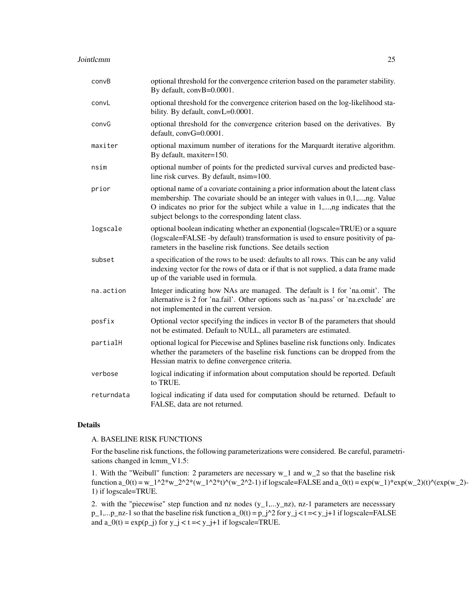| convB      | optional threshold for the convergence criterion based on the parameter stability.<br>By default, convB=0.0001.                                                                                                                                                                                            |
|------------|------------------------------------------------------------------------------------------------------------------------------------------------------------------------------------------------------------------------------------------------------------------------------------------------------------|
| convL      | optional threshold for the convergence criterion based on the log-likelihood sta-<br>bility. By default, convL=0.0001.                                                                                                                                                                                     |
| convG      | optional threshold for the convergence criterion based on the derivatives. By<br>default, convG=0.0001.                                                                                                                                                                                                    |
| maxiter    | optional maximum number of iterations for the Marquardt iterative algorithm.<br>By default, maxiter=150.                                                                                                                                                                                                   |
| nsim       | optional number of points for the predicted survival curves and predicted base-<br>line risk curves. By default, nsim=100.                                                                                                                                                                                 |
| prior      | optional name of a covariate containing a prior information about the latent class<br>membership. The covariate should be an integer with values in 0,1,,ng. Value<br>O indicates no prior for the subject while a value in 1,,ng indicates that the<br>subject belongs to the corresponding latent class. |
| logscale   | optional boolean indicating whether an exponential (logscale=TRUE) or a square<br>(logscale=FALSE -by default) transformation is used to ensure positivity of pa-<br>rameters in the baseline risk functions. See details section                                                                          |
| subset     | a specification of the rows to be used: defaults to all rows. This can be any valid<br>indexing vector for the rows of data or if that is not supplied, a data frame made<br>up of the variable used in formula.                                                                                           |
| na.action  | Integer indicating how NAs are managed. The default is 1 for 'na.omit'. The<br>alternative is 2 for 'na.fail'. Other options such as 'na.pass' or 'na.exclude' are<br>not implemented in the current version.                                                                                              |
| posfix     | Optional vector specifying the indices in vector B of the parameters that should<br>not be estimated. Default to NULL, all parameters are estimated.                                                                                                                                                       |
| partialH   | optional logical for Piecewise and Splines baseline risk functions only. Indicates<br>whether the parameters of the baseline risk functions can be dropped from the<br>Hessian matrix to define convergence criteria.                                                                                      |
| verbose    | logical indicating if information about computation should be reported. Default<br>to TRUE.                                                                                                                                                                                                                |
| returndata | logical indicating if data used for computation should be returned. Default to<br>FALSE, data are not returned.                                                                                                                                                                                            |

## Details

#### A. BASELINE RISK FUNCTIONS

For the baseline risk functions, the following parameterizations were considered. Be careful, parametrisations changed in lcmm\_V1.5:

1. With the "Weibull" function: 2 parameters are necessary w\_1 and w\_2 so that the baseline risk function a\_0(t) = w\_1^2\*w\_2^2\*(w\_1^2\*t)^(w\_2^2-1) if logscale=FALSE and a\_0(t) = exp(w\_1)\*exp(w\_2)(t)^(exp(w\_2)-1) if logscale=TRUE.

2. with the "piecewise" step function and nz nodes  $(y_1,...,y_n)$ , nz-1 parameters are necessary  $p_1,...p_n$  nz-1 so that the baseline risk function  $a_0(t) = p_1^2$  for  $y_1 < t < y_1 + 1$  if logscale=FALSE and  $a_0(t) = \exp(p_1)$  for  $y_1 < t < y_1 + 1$  if logscale=TRUE.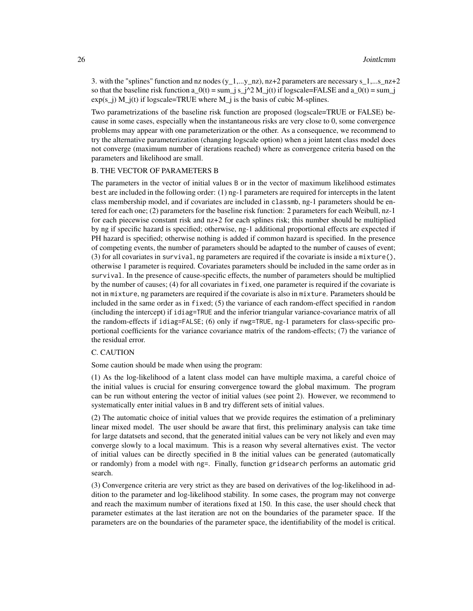3. with the "splines" function and nz nodes  $(y_1,...,y_n)$ , nz+2 parameters are necessary s\_1,...s\_nz+2 so that the baseline risk function  $a_0(t) = \sum_j s_j^2/2 M_j(t)$  if logscale=FALSE and  $a_0(t) = \sum_j s_j^2/2 M_j(t)$  $exp(s_i)$  M  $j(t)$  if logscale=TRUE where M  $j$  is the basis of cubic M-splines.

Two parametrizations of the baseline risk function are proposed (logscale=TRUE or FALSE) because in some cases, especially when the instantaneous risks are very close to 0, some convergence problems may appear with one parameterization or the other. As a consequence, we recommend to try the alternative parameterization (changing logscale option) when a joint latent class model does not converge (maximum number of iterations reached) where as convergence criteria based on the parameters and likelihood are small.

#### B. THE VECTOR OF PARAMETERS B

The parameters in the vector of initial values B or in the vector of maximum likelihood estimates best are included in the following order: (1) ng-1 parameters are required for intercepts in the latent class membership model, and if covariates are included in classmb, ng-1 parameters should be entered for each one; (2) parameters for the baseline risk function: 2 parameters for each Weibull, nz-1 for each piecewise constant risk and nz+2 for each splines risk; this number should be multiplied by ng if specific hazard is specified; otherwise, ng-1 additional proportional effects are expected if PH hazard is specified; otherwise nothing is added if common hazard is specified. In the presence of competing events, the number of parameters should be adapted to the number of causes of event; (3) for all covariates in survival, ng parameters are required if the covariate is inside a mixture(), otherwise 1 parameter is required. Covariates parameters should be included in the same order as in survival. In the presence of cause-specific effects, the number of parameters should be multiplied by the number of causes; (4) for all covariates in fixed, one parameter is required if the covariate is not in mixture, ng parameters are required if the covariate is also in mixture. Parameters should be included in the same order as in fixed; (5) the variance of each random-effect specified in random (including the intercept) if idiag=TRUE and the inferior triangular variance-covariance matrix of all the random-effects if idiag=FALSE; (6) only if nwg=TRUE, ng-1 parameters for class-specific proportional coefficients for the variance covariance matrix of the random-effects; (7) the variance of the residual error.

#### C. CAUTION

Some caution should be made when using the program:

(1) As the log-likelihood of a latent class model can have multiple maxima, a careful choice of the initial values is crucial for ensuring convergence toward the global maximum. The program can be run without entering the vector of initial values (see point 2). However, we recommend to systematically enter initial values in B and try different sets of initial values.

(2) The automatic choice of initial values that we provide requires the estimation of a preliminary linear mixed model. The user should be aware that first, this preliminary analysis can take time for large datatsets and second, that the generated initial values can be very not likely and even may converge slowly to a local maximum. This is a reason why several alternatives exist. The vector of initial values can be directly specified in B the initial values can be generated (automatically or randomly) from a model with ng=. Finally, function gridsearch performs an automatic grid search.

(3) Convergence criteria are very strict as they are based on derivatives of the log-likelihood in addition to the parameter and log-likelihood stability. In some cases, the program may not converge and reach the maximum number of iterations fixed at 150. In this case, the user should check that parameter estimates at the last iteration are not on the boundaries of the parameter space. If the parameters are on the boundaries of the parameter space, the identifiability of the model is critical.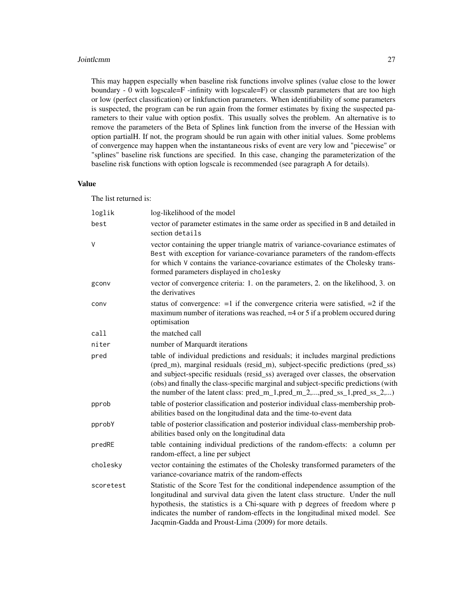#### **Jointlemm** 27

This may happen especially when baseline risk functions involve splines (value close to the lower boundary - 0 with logscale=F -infinity with logscale=F) or classmb parameters that are too high or low (perfect classification) or linkfunction parameters. When identifiability of some parameters is suspected, the program can be run again from the former estimates by fixing the suspected parameters to their value with option posfix. This usually solves the problem. An alternative is to remove the parameters of the Beta of Splines link function from the inverse of the Hessian with option partialH. If not, the program should be run again with other initial values. Some problems of convergence may happen when the instantaneous risks of event are very low and "piecewise" or "splines" baseline risk functions are specified. In this case, changing the parameterization of the baseline risk functions with option logscale is recommended (see paragraph A for details).

### Value

The list returned is:

| loglik    | log-likelihood of the model                                                                                                                                                                                                                                                                                                                                                                                                    |
|-----------|--------------------------------------------------------------------------------------------------------------------------------------------------------------------------------------------------------------------------------------------------------------------------------------------------------------------------------------------------------------------------------------------------------------------------------|
| best      | vector of parameter estimates in the same order as specified in B and detailed in<br>section details                                                                                                                                                                                                                                                                                                                           |
| V         | vector containing the upper triangle matrix of variance-covariance estimates of<br>Best with exception for variance-covariance parameters of the random-effects<br>for which V contains the variance-covariance estimates of the Cholesky trans-<br>formed parameters displayed in cholesky                                                                                                                                    |
| gconv     | vector of convergence criteria: 1. on the parameters, 2. on the likelihood, 3. on<br>the derivatives                                                                                                                                                                                                                                                                                                                           |
| conv      | status of convergence: $=1$ if the convergence criteria were satisfied, $=2$ if the<br>maximum number of iterations was reached, $=4$ or 5 if a problem occurred during<br>optimisation                                                                                                                                                                                                                                        |
| call      | the matched call                                                                                                                                                                                                                                                                                                                                                                                                               |
| niter     | number of Marquardt iterations                                                                                                                                                                                                                                                                                                                                                                                                 |
| pred      | table of individual predictions and residuals; it includes marginal predictions<br>(pred_m), marginal residuals (resid_m), subject-specific predictions (pred_ss)<br>and subject-specific residuals (resid_ss) averaged over classes, the observation<br>(obs) and finally the class-specific marginal and subject-specific predictions (with<br>the number of the latent class: $pred_m_1, pred_m_2, , pred_s_1, pred_s_2, ,$ |
| pprob     | table of posterior classification and posterior individual class-membership prob-<br>abilities based on the longitudinal data and the time-to-event data                                                                                                                                                                                                                                                                       |
| pprobY    | table of posterior classification and posterior individual class-membership prob-<br>abilities based only on the longitudinal data                                                                                                                                                                                                                                                                                             |
| predRE    | table containing individual predictions of the random-effects: a column per<br>random-effect, a line per subject                                                                                                                                                                                                                                                                                                               |
| cholesky  | vector containing the estimates of the Cholesky transformed parameters of the<br>variance-covariance matrix of the random-effects                                                                                                                                                                                                                                                                                              |
| scoretest | Statistic of the Score Test for the conditional independence assumption of the<br>longitudinal and survival data given the latent class structure. Under the null<br>hypothesis, the statistics is a Chi-square with p degrees of freedom where p<br>indicates the number of random-effects in the longitudinal mixed model. See<br>Jacqmin-Gadda and Proust-Lima (2009) for more details.                                     |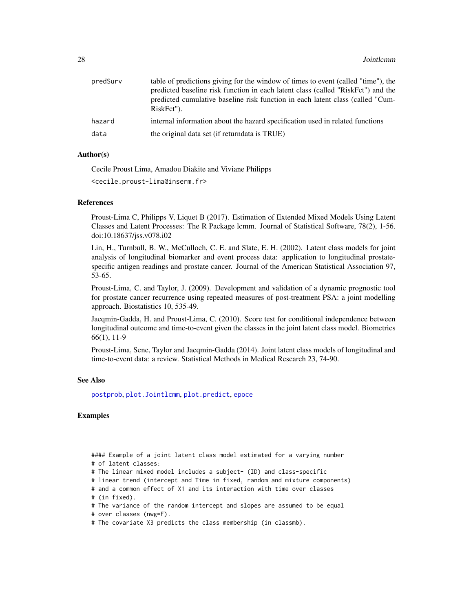| predSurv | table of predictions giving for the window of times to event (called "time"), the            |
|----------|----------------------------------------------------------------------------------------------|
|          | predicted baseline risk function in each latent class (called "RiskFct") and the             |
|          | predicted cumulative baseline risk function in each latent class (called "Cum-<br>RiskFct"). |
| hazard   | internal information about the hazard specification used in related functions                |
| data     | the original data set (if returndata is TRUE)                                                |

## Author(s)

Cecile Proust Lima, Amadou Diakite and Viviane Philipps

```
<cecile.proust-lima@inserm.fr>
```
#### **References**

Proust-Lima C, Philipps V, Liquet B (2017). Estimation of Extended Mixed Models Using Latent Classes and Latent Processes: The R Package lcmm. Journal of Statistical Software, 78(2), 1-56. doi:10.18637/jss.v078.i02

Lin, H., Turnbull, B. W., McCulloch, C. E. and Slate, E. H. (2002). Latent class models for joint analysis of longitudinal biomarker and event process data: application to longitudinal prostatespecific antigen readings and prostate cancer. Journal of the American Statistical Association 97, 53-65.

Proust-Lima, C. and Taylor, J. (2009). Development and validation of a dynamic prognostic tool for prostate cancer recurrence using repeated measures of post-treatment PSA: a joint modelling approach. Biostatistics 10, 535-49.

Jacqmin-Gadda, H. and Proust-Lima, C. (2010). Score test for conditional independence between longitudinal outcome and time-to-event given the classes in the joint latent class model. Biometrics 66(1), 11-9

Proust-Lima, Sene, Taylor and Jacqmin-Gadda (2014). Joint latent class models of longitudinal and time-to-event data: a review. Statistical Methods in Medical Research 23, 74-90.

#### See Also

[postprob](#page-60-1), [plot.Jointlcmm](#page-51-1), [plot.predict](#page-59-1), [epoce](#page-10-1)

## Examples

#### Example of a joint latent class model estimated for a varying number # of latent classes:

# The linear mixed model includes a subject- (ID) and class-specific

# linear trend (intercept and Time in fixed, random and mixture components)

# and a common effect of X1 and its interaction with time over classes # (in fixed).

# The variance of the random intercept and slopes are assumed to be equal

```
# over classes (nwg=F).
```
# The covariate X3 predicts the class membership (in classmb).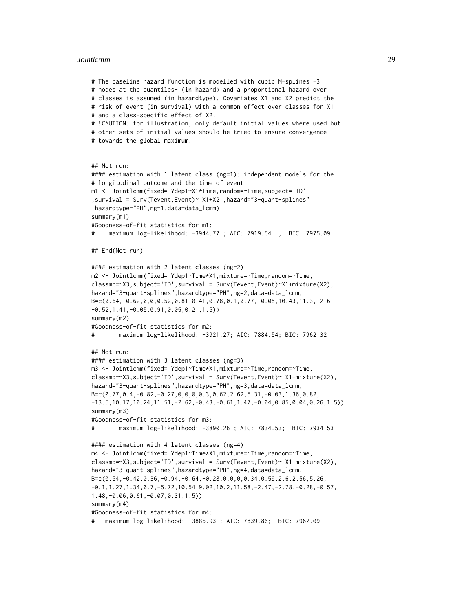#### Jointlcmm 29

```
# The baseline hazard function is modelled with cubic M-splines -3
# nodes at the quantiles- (in hazard) and a proportional hazard over
# classes is assumed (in hazardtype). Covariates X1 and X2 predict the
# risk of event (in survival) with a common effect over classes for X1
# and a class-specific effect of X2.
# !CAUTION: for illustration, only default initial values where used but
# other sets of initial values should be tried to ensure convergence
# towards the global maximum.
## Not run:
#### estimation with 1 latent class (ng=1): independent models for the
# longitudinal outcome and the time of event
m1 <- Jointlcmm(fixed= Ydep1~X1*Time,random=~Time,subject='ID'
,survival = Surv(Tevent,Event)~ X1+X2 ,hazard="3-quant-splines"
,hazardtype="PH",ng=1,data=data_lcmm)
summary(m1)
#Goodness-of-fit statistics for m1:
# maximum log-likelihood: -3944.77 ; AIC: 7919.54 ; BIC: 7975.09
## End(Not run)
#### estimation with 2 latent classes (ng=2)
m2 <- Jointlcmm(fixed= Ydep1~Time*X1,mixture=~Time,random=~Time,
classmb=~X3,subject='ID',survival = Surv(Tevent,Event)~X1+mixture(X2),
hazard="3-quant-splines",hazardtype="PH",ng=2,data=data_lcmm,
B=c(0.64,-0.62,0,0,0.52,0.81,0.41,0.78,0.1,0.77,-0.05,10.43,11.3,-2.6,
-0.52,1.41,-0.05,0.91,0.05,0.21,1.5))
summary(m2)
#Goodness-of-fit statistics for m2:
# maximum log-likelihood: -3921.27; AIC: 7884.54; BIC: 7962.32
## Not run:
#### estimation with 3 latent classes (ng=3)
m3 <- Jointlcmm(fixed= Ydep1~Time*X1,mixture=~Time,random=~Time,
classmb=~X3,subject='ID',survival = Surv(Tevent,Event)~ X1+mixture(X2),
hazard="3-quant-splines",hazardtype="PH",ng=3,data=data_lcmm,
B=c(0.77,0.4,-0.82,-0.27,0,0,0,0.3,0.62,2.62,5.31,-0.03,1.36,0.82,
-13.5,10.17,10.24,11.51,-2.62,-0.43,-0.61,1.47,-0.04,0.85,0.04,0.26,1.5))
summary(m3)
#Goodness-of-fit statistics for m3:
# maximum log-likelihood: -3890.26 ; AIC: 7834.53; BIC: 7934.53
#### estimation with 4 latent classes (ng=4)
m4 <- Jointlcmm(fixed= Ydep1~Time*X1,mixture=~Time,random=~Time,
classmb=~X3,subject='ID',survival = Surv(Tevent,Event)~ X1+mixture(X2),
hazard="3-quant-splines",hazardtype="PH",ng=4,data=data_lcmm,
B=c(0.54,-0.42,0.36,-0.94,-0.64,-0.28,0,0,0,0.34,0.59,2.6,2.56,5.26,
-0.1,1.27,1.34,0.7,-5.72,10.54,9.02,10.2,11.58,-2.47,-2.78,-0.28,-0.57,
1.48,-0.06,0.61,-0.07,0.31,1.5))
summary(m4)
#Goodness-of-fit statistics for m4:
# maximum log-likelihood: -3886.93 ; AIC: 7839.86; BIC: 7962.09
```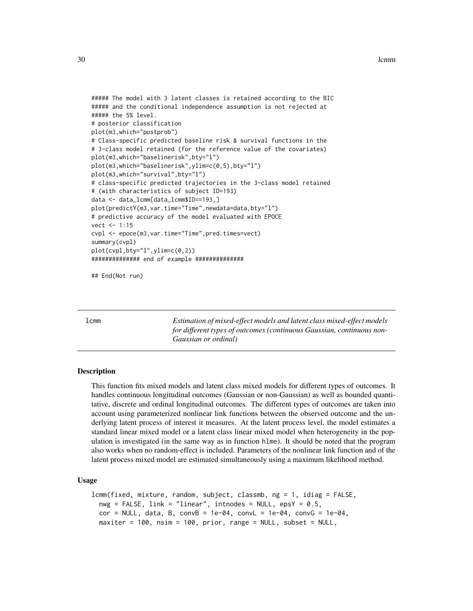#### <span id="page-29-0"></span>30 community and the contract of the contract of the contract of the contract of the contract of the contract of the contract of the contract of the contract of the contract of the contract of the contract of the contract

```
##### The model with 3 latent classes is retained according to the BIC
##### and the conditional independence assumption is not rejected at
##### the 5% level.
# posterior classification
plot(m3,which="postprob")
# Class-specific predicted baseline risk & survival functions in the
# 3-class model retained (for the reference value of the covariates)
plot(m3,which="baselinerisk",bty="l")
plot(m3,which="baselinerisk",ylim=c(0,5),bty="l")
plot(m3,which="survival",bty="l")
# class-specific predicted trajectories in the 3-class model retained
# (with characteristics of subject ID=193)
data <- data_lcmm[data_lcmm$ID==193,]
plot(predictY(m3,var.time="Time",newdata=data,bty="l")
# predictive accuracy of the model evaluated with EPOCE
vect < -1:15cvpl <- epoce(m3,var.time="Time",pred.times=vect)
summary(cvpl)
plot(cvpl,bty="l",ylim=c(0,2))
############## end of example ##############
```
## End(Not run)

<span id="page-29-1"></span>lcmm *Estimation of mixed-effect models and latent class mixed-effect models for different types of outcomes (continuous Gaussian, continuous non-Gaussian or ordinal)*

## **Description**

This function fits mixed models and latent class mixed models for different types of outcomes. It handles continuous longitudinal outcomes (Gaussian or non-Gaussian) as well as bounded quantitative, discrete and ordinal longitudinal outcomes. The different types of outcomes are taken into account using parameterized nonlinear link functions between the observed outcome and the underlying latent process of interest it measures. At the latent process level, the model estimates a standard linear mixed model or a latent class linear mixed model when heterogeneity in the population is investigated (in the same way as in function hlme). It should be noted that the program also works when no random-effect is included. Parameters of the nonlinear link function and of the latent process mixed model are estimated simultaneously using a maximum likelihood method.

#### Usage

```
lcmm(fixed, mixture, random, subject, classmb, ng = 1, idiag = FALSE,
 nwg = FALSE, link = "linear", intnodes = NULL, epsY = 0.5,cor = NULL, data, B, convB = 1e-04, convL = 1e-04, convG = 1e-04,
 maxiter = 100, nsim = 100, prior, range = NULL, subset = NULL,
```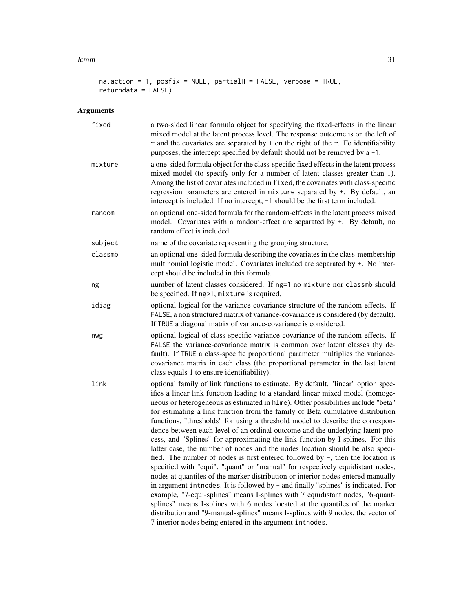#### $lcmm$  31

```
na.action = 1, posfix = NULL, partialH = FALSE, verbose = TRUE,
returndata = FALSE)
```
# Arguments

| fixed   | a two-sided linear formula object for specifying the fixed-effects in the linear<br>mixed model at the latent process level. The response outcome is on the left of<br>$\sim$ and the covariates are separated by + on the right of the $\sim$ . Fo identifiability<br>purposes, the intercept specified by default should not be removed by $a - 1$ .                                                                                                                                                                                                                                                                                                                                                                                                                                                                                                                                                                                                                                                                                                                                                                                                                                                                                                                                                                                      |
|---------|---------------------------------------------------------------------------------------------------------------------------------------------------------------------------------------------------------------------------------------------------------------------------------------------------------------------------------------------------------------------------------------------------------------------------------------------------------------------------------------------------------------------------------------------------------------------------------------------------------------------------------------------------------------------------------------------------------------------------------------------------------------------------------------------------------------------------------------------------------------------------------------------------------------------------------------------------------------------------------------------------------------------------------------------------------------------------------------------------------------------------------------------------------------------------------------------------------------------------------------------------------------------------------------------------------------------------------------------|
| mixture | a one-sided formula object for the class-specific fixed effects in the latent process<br>mixed model (to specify only for a number of latent classes greater than 1).<br>Among the list of covariates included in fixed, the covariates with class-specific<br>regression parameters are entered in mixture separated by +. By default, an<br>intercept is included. If no intercept, -1 should be the first term included.                                                                                                                                                                                                                                                                                                                                                                                                                                                                                                                                                                                                                                                                                                                                                                                                                                                                                                                 |
| random  | an optional one-sided formula for the random-effects in the latent process mixed<br>model. Covariates with a random-effect are separated by +. By default, no<br>random effect is included.                                                                                                                                                                                                                                                                                                                                                                                                                                                                                                                                                                                                                                                                                                                                                                                                                                                                                                                                                                                                                                                                                                                                                 |
| subject | name of the covariate representing the grouping structure.                                                                                                                                                                                                                                                                                                                                                                                                                                                                                                                                                                                                                                                                                                                                                                                                                                                                                                                                                                                                                                                                                                                                                                                                                                                                                  |
| classmb | an optional one-sided formula describing the covariates in the class-membership<br>multinomial logistic model. Covariates included are separated by +. No inter-<br>cept should be included in this formula.                                                                                                                                                                                                                                                                                                                                                                                                                                                                                                                                                                                                                                                                                                                                                                                                                                                                                                                                                                                                                                                                                                                                |
| ng      | number of latent classes considered. If ng=1 no mixture nor classmb should<br>be specified. If ng>1, mixture is required.                                                                                                                                                                                                                                                                                                                                                                                                                                                                                                                                                                                                                                                                                                                                                                                                                                                                                                                                                                                                                                                                                                                                                                                                                   |
| idiag   | optional logical for the variance-covariance structure of the random-effects. If<br>FALSE, a non structured matrix of variance-covariance is considered (by default).<br>If TRUE a diagonal matrix of variance-covariance is considered.                                                                                                                                                                                                                                                                                                                                                                                                                                                                                                                                                                                                                                                                                                                                                                                                                                                                                                                                                                                                                                                                                                    |
| nwg     | optional logical of class-specific variance-covariance of the random-effects. If<br>FALSE the variance-covariance matrix is common over latent classes (by de-<br>fault). If TRUE a class-specific proportional parameter multiplies the variance-<br>covariance matrix in each class (the proportional parameter in the last latent<br>class equals 1 to ensure identifiability).                                                                                                                                                                                                                                                                                                                                                                                                                                                                                                                                                                                                                                                                                                                                                                                                                                                                                                                                                          |
| link    | optional family of link functions to estimate. By default, "linear" option spec-<br>ifies a linear link function leading to a standard linear mixed model (homoge-<br>neous or heterogeneous as estimated in h1me). Other possibilities include "beta"<br>for estimating a link function from the family of Beta cumulative distribution<br>functions, "thresholds" for using a threshold model to describe the correspon-<br>dence between each level of an ordinal outcome and the underlying latent pro-<br>cess, and "Splines" for approximating the link function by I-splines. For this<br>latter case, the number of nodes and the nodes location should be also speci-<br>fied. The number of nodes is first entered followed by -, then the location is<br>specified with "equi", "quant" or "manual" for respectively equidistant nodes,<br>nodes at quantiles of the marker distribution or interior nodes entered manually<br>in argument introdes. It is followed by - and finally "splines" is indicated. For<br>example, "7-equi-splines" means I-splines with 7 equidistant nodes, "6-quant-<br>splines" means I-splines with 6 nodes located at the quantiles of the marker<br>distribution and "9-manual-splines" means I-splines with 9 nodes, the vector of<br>7 interior nodes being entered in the argument intnodes. |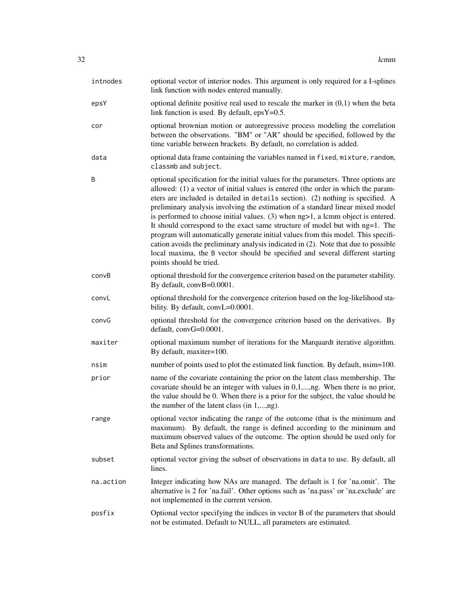| intnodes  | optional vector of interior nodes. This argument is only required for a I-splines<br>link function with nodes entered manually.                                                                                                                                                                                                                                                                                                                                                                                                                                                                                                                                                                                                                                                                         |
|-----------|---------------------------------------------------------------------------------------------------------------------------------------------------------------------------------------------------------------------------------------------------------------------------------------------------------------------------------------------------------------------------------------------------------------------------------------------------------------------------------------------------------------------------------------------------------------------------------------------------------------------------------------------------------------------------------------------------------------------------------------------------------------------------------------------------------|
| epsY      | optional definite positive real used to rescale the marker in $(0,1)$ when the beta<br>link function is used. By default, $epsY=0.5$ .                                                                                                                                                                                                                                                                                                                                                                                                                                                                                                                                                                                                                                                                  |
| cor       | optional brownian motion or autoregressive process modeling the correlation<br>between the observations. "BM" or "AR" should be specified, followed by the<br>time variable between brackets. By default, no correlation is added.                                                                                                                                                                                                                                                                                                                                                                                                                                                                                                                                                                      |
| data      | optional data frame containing the variables named in fixed, mixture, random,<br>classmb and subject.                                                                                                                                                                                                                                                                                                                                                                                                                                                                                                                                                                                                                                                                                                   |
| B         | optional specification for the initial values for the parameters. Three options are<br>allowed: (1) a vector of initial values is entered (the order in which the param-<br>eters are included is detailed in details section). (2) nothing is specified. A<br>preliminary analysis involving the estimation of a standard linear mixed model<br>is performed to choose initial values. (3) when ng>1, a lcmm object is entered.<br>It should correspond to the exact same structure of model but with ng=1. The<br>program will automatically generate initial values from this model. This specifi-<br>cation avoids the preliminary analysis indicated in (2). Note that due to possible<br>local maxima, the B vector should be specified and several different starting<br>points should be tried. |
| convB     | optional threshold for the convergence criterion based on the parameter stability.<br>By default, convB=0.0001.                                                                                                                                                                                                                                                                                                                                                                                                                                                                                                                                                                                                                                                                                         |
| convL     | optional threshold for the convergence criterion based on the log-likelihood sta-<br>bility. By default, convL=0.0001.                                                                                                                                                                                                                                                                                                                                                                                                                                                                                                                                                                                                                                                                                  |
| convG     | optional threshold for the convergence criterion based on the derivatives. By<br>default, convG=0.0001.                                                                                                                                                                                                                                                                                                                                                                                                                                                                                                                                                                                                                                                                                                 |
| maxiter   | optional maximum number of iterations for the Marquardt iterative algorithm.<br>By default, maxiter=100.                                                                                                                                                                                                                                                                                                                                                                                                                                                                                                                                                                                                                                                                                                |
| nsim      | number of points used to plot the estimated link function. By default, nsim=100.                                                                                                                                                                                                                                                                                                                                                                                                                                                                                                                                                                                                                                                                                                                        |
| prior     | name of the covariate containing the prior on the latent class membership. The<br>covariate should be an integer with values in $0,1,,ng$ . When there is no prior,<br>the value should be 0. When there is a prior for the subject, the value should be<br>the number of the latent class (in 1,,ng).                                                                                                                                                                                                                                                                                                                                                                                                                                                                                                  |
| range     | optional vector indicating the range of the outcome (that is the minimum and<br>maximum). By default, the range is defined according to the minimum and<br>maximum observed values of the outcome. The option should be used only for<br>Beta and Splines transformations.                                                                                                                                                                                                                                                                                                                                                                                                                                                                                                                              |
| subset    | optional vector giving the subset of observations in data to use. By default, all<br>lines.                                                                                                                                                                                                                                                                                                                                                                                                                                                                                                                                                                                                                                                                                                             |
| na.action | Integer indicating how NAs are managed. The default is 1 for 'na.omit'. The<br>alternative is 2 for 'na.fail'. Other options such as 'na.pass' or 'na.exclude' are<br>not implemented in the current version.                                                                                                                                                                                                                                                                                                                                                                                                                                                                                                                                                                                           |
| posfix    | Optional vector specifying the indices in vector B of the parameters that should<br>not be estimated. Default to NULL, all parameters are estimated.                                                                                                                                                                                                                                                                                                                                                                                                                                                                                                                                                                                                                                                    |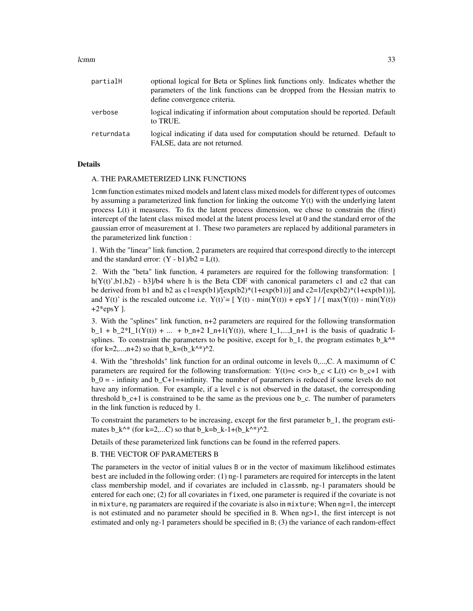#### lcmm 33

| partialH   | optional logical for Beta or Splines link functions only. Indicates whether the<br>parameters of the link functions can be dropped from the Hessian matrix to<br>define convergence criteria. |
|------------|-----------------------------------------------------------------------------------------------------------------------------------------------------------------------------------------------|
| verbose    | logical indicating if information about computation should be reported. Default<br>to TRUE.                                                                                                   |
| returndata | logical indicating if data used for computation should be returned. Default to<br>FALSE, data are not returned.                                                                               |

#### Details

#### A. THE PARAMETERIZED LINK FUNCTIONS

lcmm function estimates mixed models and latent class mixed models for different types of outcomes by assuming a parameterized link function for linking the outcome  $Y(t)$  with the underlying latent process L(t) it measures. To fix the latent process dimension, we chose to constrain the (first) intercept of the latent class mixed model at the latent process level at 0 and the standard error of the gaussian error of measurement at 1. These two parameters are replaced by additional parameters in the parameterized link function :

1. With the "linear" link function, 2 parameters are required that correspond directly to the intercept and the standard error:  $(Y - b1)/b2 = L(t)$ .

2. With the "beta" link function, 4 parameters are required for the following transformation: [ h( $Y(t)$ ',b1,b2) - b3]/b4 where h is the Beta CDF with canonical parameters c1 and c2 that can be derived from b1 and b2 as  $c1 = exp(b1)/[exp(b2)*(1+exp(b1))]$  and  $c2 = 1/[exp(b2)*(1+exp(b1))]$ , and Y(t)' is the rescaled outcome i.e.  $Y(t) = [ Y(t) - min(Y(t)) + exp Y ] / [ max(Y(t)) - min(Y(t)) ]$  $+2*epsY$ ].

3. With the "splines" link function, n+2 parameters are required for the following transformation  $b_1 + b_2^*I_1(Y(t)) + ... + b_n+2 I_n+1(Y(t))$ , where  $I_1,...,I_n+1$  is the basis of quadratic Isplines. To constraint the parameters to be positive, except for  $b_1$ , the program estimates  $b_k^*$ (for k=2,...,n+2) so that b k=(b  $k^{\text{A}}$ \*)^2.

4. With the "thresholds" link function for an ordinal outcome in levels 0,...,C. A maximumn of C parameters are required for the following transformation:  $Y(t)=c \leq b \ c \leq L(t) \leq b \ c+1$  with  $b_0 = -$  infinity and  $b_0 = -1$  = +infinity. The number of parameters is reduced if some levels do not have any information. For example, if a level c is not observed in the dataset, the corresponding threshold  $b_c+1$  is constrained to be the same as the previous one  $b_c$ . The number of parameters in the link function is reduced by 1.

To constraint the parameters to be increasing, except for the first parameter b\_1, the program estimates  $b_k^*$  (for k=2,...C) so that  $b_k=b_k-1+(b_k^*')^2$ .

Details of these parameterized link functions can be found in the referred papers.

## B. THE VECTOR OF PARAMETERS B

The parameters in the vector of initial values B or in the vector of maximum likelihood estimates best are included in the following order: (1) ng-1 parameters are required for intercepts in the latent class membership model, and if covariates are included in classmb, ng-1 paramaters should be entered for each one; (2) for all covariates in fixed, one parameter is required if the covariate is not in mixture, ng paramaters are required if the covariate is also in mixture; When ng=1, the intercept is not estimated and no parameter should be specified in B. When ng>1, the first intercept is not estimated and only ng-1 parameters should be specified in B; (3) the variance of each random-effect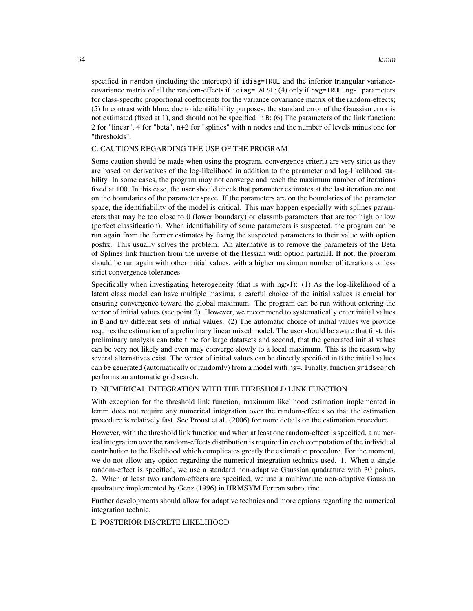specified in random (including the intercept) if idiag=TRUE and the inferior triangular variancecovariance matrix of all the random-effects if idiag=FALSE; (4) only if nwg=TRUE, ng-1 parameters for class-specific proportional coefficients for the variance covariance matrix of the random-effects; (5) In contrast with hlme, due to identifiability purposes, the standard error of the Gaussian error is not estimated (fixed at 1), and should not be specified in B; (6) The parameters of the link function: 2 for "linear", 4 for "beta", n+2 for "splines" with n nodes and the number of levels minus one for "thresholds".

## C. CAUTIONS REGARDING THE USE OF THE PROGRAM

Some caution should be made when using the program. convergence criteria are very strict as they are based on derivatives of the log-likelihood in addition to the parameter and log-likelihood stability. In some cases, the program may not converge and reach the maximum number of iterations fixed at 100. In this case, the user should check that parameter estimates at the last iteration are not on the boundaries of the parameter space. If the parameters are on the boundaries of the parameter space, the identifiability of the model is critical. This may happen especially with splines parameters that may be too close to 0 (lower boundary) or classmb parameters that are too high or low (perfect classification). When identifiability of some parameters is suspected, the program can be run again from the former estimates by fixing the suspected parameters to their value with option posfix. This usually solves the problem. An alternative is to remove the parameters of the Beta of Splines link function from the inverse of the Hessian with option partialH. If not, the program should be run again with other initial values, with a higher maximum number of iterations or less strict convergence tolerances.

Specifically when investigating heterogeneity (that is with ng>1): (1) As the log-likelihood of a latent class model can have multiple maxima, a careful choice of the initial values is crucial for ensuring convergence toward the global maximum. The program can be run without entering the vector of initial values (see point 2). However, we recommend to systematically enter initial values in B and try different sets of initial values. (2) The automatic choice of initial values we provide requires the estimation of a preliminary linear mixed model. The user should be aware that first, this preliminary analysis can take time for large datatsets and second, that the generated initial values can be very not likely and even may converge slowly to a local maximum. This is the reason why several alternatives exist. The vector of initial values can be directly specified in B the initial values can be generated (automatically or randomly) from a model with ng=. Finally, function gridsearch performs an automatic grid search.

#### D. NUMERICAL INTEGRATION WITH THE THRESHOLD LINK FUNCTION

With exception for the threshold link function, maximum likelihood estimation implemented in lcmm does not require any numerical integration over the random-effects so that the estimation procedure is relatively fast. See Proust et al. (2006) for more details on the estimation procedure.

However, with the threshold link function and when at least one random-effect is specified, a numerical integration over the random-effects distribution is required in each computation of the individual contribution to the likelihood which complicates greatly the estimation procedure. For the moment, we do not allow any option regarding the numerical integration technics used. 1. When a single random-effect is specified, we use a standard non-adaptive Gaussian quadrature with 30 points. 2. When at least two random-effects are specified, we use a multivariate non-adaptive Gaussian quadrature implemented by Genz (1996) in HRMSYM Fortran subroutine.

Further developments should allow for adaptive technics and more options regarding the numerical integration technic.

E. POSTERIOR DISCRETE LIKELIHOOD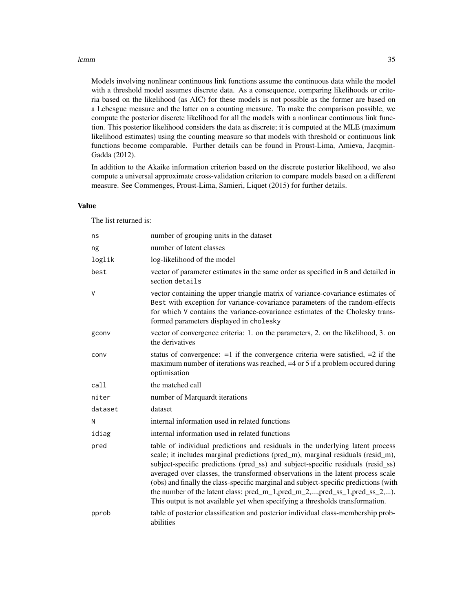#### lcmm 35

Models involving nonlinear continuous link functions assume the continuous data while the model with a threshold model assumes discrete data. As a consequence, comparing likelihoods or criteria based on the likelihood (as AIC) for these models is not possible as the former are based on a Lebesgue measure and the latter on a counting measure. To make the comparison possible, we compute the posterior discrete likelihood for all the models with a nonlinear continuous link function. This posterior likelihood considers the data as discrete; it is computed at the MLE (maximum likelihood estimates) using the counting measure so that models with threshold or continuous link functions become comparable. Further details can be found in Proust-Lima, Amieva, Jacqmin-Gadda (2012).

In addition to the Akaike information criterion based on the discrete posterior likelihood, we also compute a universal approximate cross-validation criterion to compare models based on a different measure. See Commenges, Proust-Lima, Samieri, Liquet (2015) for further details.

#### Value

The list returned is:

| ns      | number of grouping units in the dataset                                                                                                                                                                                                                                                                                                                                                                                                                                                                                                                                                            |
|---------|----------------------------------------------------------------------------------------------------------------------------------------------------------------------------------------------------------------------------------------------------------------------------------------------------------------------------------------------------------------------------------------------------------------------------------------------------------------------------------------------------------------------------------------------------------------------------------------------------|
| ng      | number of latent classes                                                                                                                                                                                                                                                                                                                                                                                                                                                                                                                                                                           |
| loglik  | log-likelihood of the model                                                                                                                                                                                                                                                                                                                                                                                                                                                                                                                                                                        |
| best    | vector of parameter estimates in the same order as specified in B and detailed in<br>section details                                                                                                                                                                                                                                                                                                                                                                                                                                                                                               |
| $\vee$  | vector containing the upper triangle matrix of variance-covariance estimates of<br>Best with exception for variance-covariance parameters of the random-effects<br>for which V contains the variance-covariance estimates of the Cholesky trans-<br>formed parameters displayed in cholesky                                                                                                                                                                                                                                                                                                        |
| gconv   | vector of convergence criteria: 1. on the parameters, 2. on the likelihood, 3. on<br>the derivatives                                                                                                                                                                                                                                                                                                                                                                                                                                                                                               |
| conv    | status of convergence: $=1$ if the convergence criteria were satisfied, $=2$ if the<br>maximum number of iterations was reached, $=4$ or 5 if a problem occurred during<br>optimisation                                                                                                                                                                                                                                                                                                                                                                                                            |
| call    | the matched call                                                                                                                                                                                                                                                                                                                                                                                                                                                                                                                                                                                   |
| niter   | number of Marquardt iterations                                                                                                                                                                                                                                                                                                                                                                                                                                                                                                                                                                     |
| dataset | dataset                                                                                                                                                                                                                                                                                                                                                                                                                                                                                                                                                                                            |
| N       | internal information used in related functions                                                                                                                                                                                                                                                                                                                                                                                                                                                                                                                                                     |
| idiag   | internal information used in related functions                                                                                                                                                                                                                                                                                                                                                                                                                                                                                                                                                     |
| pred    | table of individual predictions and residuals in the underlying latent process<br>scale; it includes marginal predictions (pred_m), marginal residuals (resid_m),<br>subject-specific predictions (pred_ss) and subject-specific residuals (resid_ss)<br>averaged over classes, the transformed observations in the latent process scale<br>(obs) and finally the class-specific marginal and subject-specific predictions (with<br>the number of the latent class: $pred_m_1, pred_m_2, , pred_s_1, pred_s_2, ,$<br>This output is not available yet when specifying a thresholds transformation. |
| pprob   | table of posterior classification and posterior individual class-membership prob-<br>abilities                                                                                                                                                                                                                                                                                                                                                                                                                                                                                                     |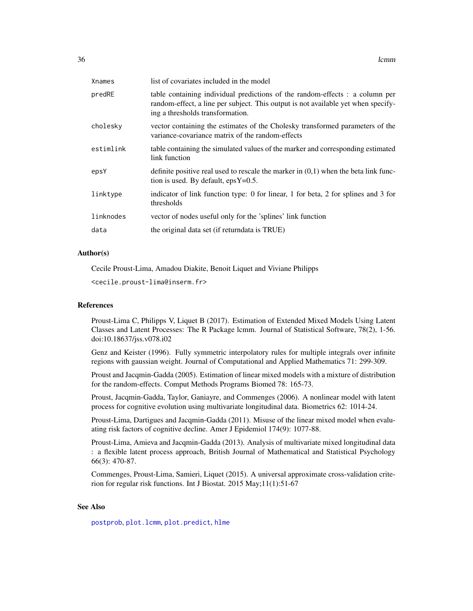| Xnames    | list of covariates included in the model                                                                                                                                                              |
|-----------|-------------------------------------------------------------------------------------------------------------------------------------------------------------------------------------------------------|
| predRE    | table containing individual predictions of the random-effects : a column per<br>random-effect, a line per subject. This output is not available yet when specify-<br>ing a thresholds transformation. |
| cholesky  | vector containing the estimates of the Cholesky transformed parameters of the<br>variance-covariance matrix of the random-effects                                                                     |
| estimlink | table containing the simulated values of the marker and corresponding estimated<br>link function                                                                                                      |
| epsY      | definite positive real used to rescale the marker in $(0,1)$ when the beta link func-<br>tion is used. By default, $epsY=0.5$ .                                                                       |
| linktype  | indicator of link function type: 0 for linear, 1 for beta, 2 for splines and 3 for<br>thresholds                                                                                                      |
| linknodes | vector of nodes useful only for the 'splines' link function                                                                                                                                           |
| data      | the original data set (if returndata is TRUE)                                                                                                                                                         |
|           |                                                                                                                                                                                                       |

## Author(s)

Cecile Proust-Lima, Amadou Diakite, Benoit Liquet and Viviane Philipps

<cecile.proust-lima@inserm.fr>

#### References

Proust-Lima C, Philipps V, Liquet B (2017). Estimation of Extended Mixed Models Using Latent Classes and Latent Processes: The R Package lcmm. Journal of Statistical Software, 78(2), 1-56. doi:10.18637/jss.v078.i02

Genz and Keister (1996). Fully symmetric interpolatory rules for multiple integrals over infinite regions with gaussian weight. Journal of Computational and Applied Mathematics 71: 299-309.

Proust and Jacqmin-Gadda (2005). Estimation of linear mixed models with a mixture of distribution for the random-effects. Comput Methods Programs Biomed 78: 165-73.

Proust, Jacqmin-Gadda, Taylor, Ganiayre, and Commenges (2006). A nonlinear model with latent process for cognitive evolution using multivariate longitudinal data. Biometrics 62: 1014-24.

Proust-Lima, Dartigues and Jacqmin-Gadda (2011). Misuse of the linear mixed model when evaluating risk factors of cognitive decline. Amer J Epidemiol 174(9): 1077-88.

Proust-Lima, Amieva and Jacqmin-Gadda (2013). Analysis of multivariate mixed longitudinal data : a flexible latent process approach, British Journal of Mathematical and Statistical Psychology 66(3): 470-87.

Commenges, Proust-Lima, Samieri, Liquet (2015). A universal approximate cross-validation criterion for regular risk functions. Int J Biostat. 2015 May;11(1):51-67

## See Also

[postprob](#page-60-1), [plot.lcmm](#page-51-1), [plot.predict](#page-59-1), [hlme](#page-15-1)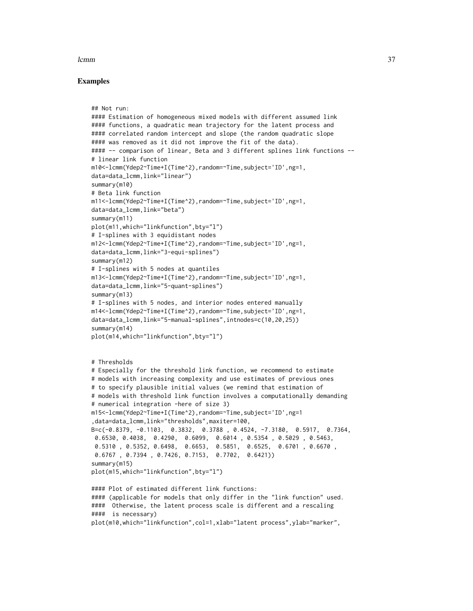#### lcmm 37

## Examples

```
## Not run:
#### Estimation of homogeneous mixed models with different assumed link
#### functions, a quadratic mean trajectory for the latent process and
#### correlated random intercept and slope (the random quadratic slope
#### was removed as it did not improve the fit of the data).
#### -- comparison of linear, Beta and 3 different splines link functions --
# linear link function
m10<-lcmm(Ydep2~Time+I(Time^2),random=~Time,subject='ID',ng=1,
data=data_lcmm,link="linear")
summary(m10)
# Beta link function
m11<-lcmm(Ydep2~Time+I(Time^2),random=~Time,subject='ID',ng=1,
data=data_lcmm,link="beta")
summary(m11)
plot(m11,which="linkfunction",bty="l")
# I-splines with 3 equidistant nodes
m12<-lcmm(Ydep2~Time+I(Time^2),random=~Time,subject='ID',ng=1,
data=data_lcmm,link="3-equi-splines")
summary(m12)
# I-splines with 5 nodes at quantiles
m13<-lcmm(Ydep2~Time+I(Time^2),random=~Time,subject='ID',ng=1,
data=data_lcmm,link="5-quant-splines")
summary(m13)
# I-splines with 5 nodes, and interior nodes entered manually
m14<-lcmm(Ydep2~Time+I(Time^2),random=~Time,subject='ID',ng=1,
data=data_lcmm,link="5-manual-splines",intnodes=c(10,20,25))
summary(m14)
plot(m14,which="linkfunction",bty="l")
# Thresholds
# Especially for the threshold link function, we recommend to estimate
# models with increasing complexity and use estimates of previous ones
# to specify plausible initial values (we remind that estimation of
# models with threshold link function involves a computationally demanding
# numerical integration -here of size 3)
m15<-lcmm(Ydep2~Time+I(Time^2),random=~Time,subject='ID',ng=1
,data=data_lcmm,link="thresholds",maxiter=100,
B=c(-0.8379, -0.1103, 0.3832, 0.3788 , 0.4524, -7.3180, 0.5917, 0.7364,
0.6530, 0.4038, 0.4290, 0.6099, 0.6014 , 0.5354 , 0.5029 , 0.5463,
 0.5310 , 0.5352, 0.6498, 0.6653, 0.5851, 0.6525, 0.6701 , 0.6670 ,
 0.6767 , 0.7394 , 0.7426, 0.7153, 0.7702, 0.6421))
summary(m15)
plot(m15,which="linkfunction",bty="l")
#### Plot of estimated different link functions:
#### (applicable for models that only differ in the "link function" used.
#### Otherwise, the latent process scale is different and a rescaling
#### is necessary)
plot(m10,which="linkfunction",col=1,xlab="latent process",ylab="marker",
```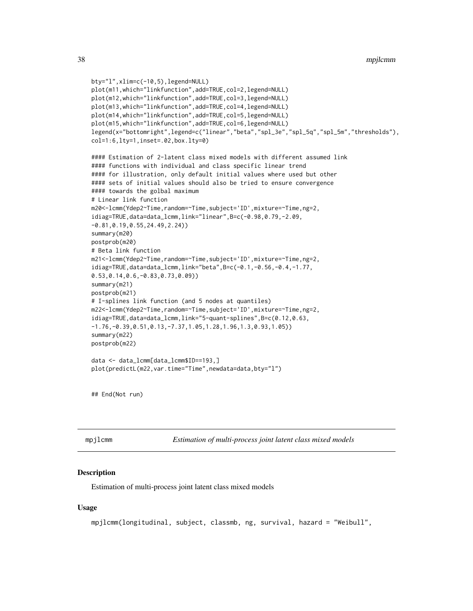```
bty="l",xlim=c(-10,5),legend=NULL)
plot(m11,which="linkfunction",add=TRUE,col=2,legend=NULL)
plot(m12,which="linkfunction",add=TRUE,col=3,legend=NULL)
plot(m13,which="linkfunction",add=TRUE,col=4,legend=NULL)
plot(m14,which="linkfunction",add=TRUE,col=5,legend=NULL)
plot(m15,which="linkfunction",add=TRUE,col=6,legend=NULL)
legend(x="bottomright",legend=c("linear","beta","spl_3e","spl_5q","spl_5m","thresholds"),
col=1:6,lty=1,inset=.02,box.lty=0)
#### Estimation of 2-latent class mixed models with different assumed link
#### functions with individual and class specific linear trend
#### for illustration, only default initial values where used but other
#### sets of initial values should also be tried to ensure convergence
#### towards the golbal maximum
# Linear link function
m20<-lcmm(Ydep2~Time,random=~Time,subject='ID',mixture=~Time,ng=2,
idiag=TRUE,data=data_lcmm,link="linear",B=c(-0.98,0.79,-2.09,
-0.81,0.19,0.55,24.49,2.24))
summary(m20)
postprob(m20)
# Beta link function
m21<-lcmm(Ydep2~Time,random=~Time,subject='ID',mixture=~Time,ng=2,
idiag=TRUE,data=data_lcmm,link="beta",B=c(-0.1,-0.56,-0.4,-1.77,
0.53,0.14,0.6,-0.83,0.73,0.09))
summary(m21)
postprob(m21)
# I-splines link function (and 5 nodes at quantiles)
m22<-lcmm(Ydep2~Time,random=~Time,subject='ID',mixture=~Time,ng=2,
idiag=TRUE,data=data_lcmm,link="5-quant-splines",B=c(0.12,0.63,
-1.76,-0.39,0.51,0.13,-7.37,1.05,1.28,1.96,1.3,0.93,1.05))
summary(m22)
postprob(m22)
data <- data_lcmm[data_lcmm$ID==193,]
plot(predictL(m22,var.time="Time",newdata=data,bty="l")
```
## End(Not run)

mpjlcmm *Estimation of multi-process joint latent class mixed models*

## **Description**

Estimation of multi-process joint latent class mixed models

## Usage

```
mpjlcmm(longitudinal, subject, classmb, ng, survival, hazard = "Weibull",
```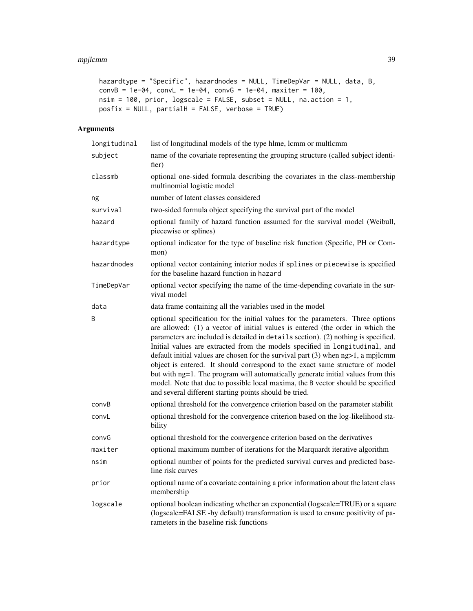#### mpjlcmm 39

```
hazardtype = "Specific", hazardnodes = NULL, TimeDepVar = NULL, data, B,
convB = 1e-04, convL = 1e-04, convG = 1e-04, maxiter = 100,
nsim = 100, prior, logscale = FALSE, subset = NULL, na.action = 1,
posfix = NULL, partialH = FALSE, verbose = TRUE)
```
# Arguments

| longitudinal | list of longitudinal models of the type hlme, lcmm or multlcmm                                                                                                                                                                                                                                                                                                                                                                                                                                                                                                                                                                                                                                                                                  |
|--------------|-------------------------------------------------------------------------------------------------------------------------------------------------------------------------------------------------------------------------------------------------------------------------------------------------------------------------------------------------------------------------------------------------------------------------------------------------------------------------------------------------------------------------------------------------------------------------------------------------------------------------------------------------------------------------------------------------------------------------------------------------|
| subject      | name of the covariate representing the grouping structure (called subject identi-<br>fier)                                                                                                                                                                                                                                                                                                                                                                                                                                                                                                                                                                                                                                                      |
| classmb      | optional one-sided formula describing the covariates in the class-membership<br>multinomial logistic model                                                                                                                                                                                                                                                                                                                                                                                                                                                                                                                                                                                                                                      |
| ng           | number of latent classes considered                                                                                                                                                                                                                                                                                                                                                                                                                                                                                                                                                                                                                                                                                                             |
| survival     | two-sided formula object specifying the survival part of the model                                                                                                                                                                                                                                                                                                                                                                                                                                                                                                                                                                                                                                                                              |
| hazard       | optional family of hazard function assumed for the survival model (Weibull,<br>piecewise or splines)                                                                                                                                                                                                                                                                                                                                                                                                                                                                                                                                                                                                                                            |
| hazardtype   | optional indicator for the type of baseline risk function (Specific, PH or Com-<br>mon)                                                                                                                                                                                                                                                                                                                                                                                                                                                                                                                                                                                                                                                         |
| hazardnodes  | optional vector containing interior nodes if splines or piecewise is specified<br>for the baseline hazard function in hazard                                                                                                                                                                                                                                                                                                                                                                                                                                                                                                                                                                                                                    |
| TimeDepVar   | optional vector specifying the name of the time-depending covariate in the sur-<br>vival model                                                                                                                                                                                                                                                                                                                                                                                                                                                                                                                                                                                                                                                  |
| data         | data frame containing all the variables used in the model                                                                                                                                                                                                                                                                                                                                                                                                                                                                                                                                                                                                                                                                                       |
| B            | optional specification for the initial values for the parameters. Three options<br>are allowed: (1) a vector of initial values is entered (the order in which the<br>parameters are included is detailed in details section). (2) nothing is specified.<br>Initial values are extracted from the models specified in longitudinal, and<br>default initial values are chosen for the survival part $(3)$ when $ng>1$ , a mpjlcmm<br>object is entered. It should correspond to the exact same structure of model<br>but with ng=1. The program will automatically generate initial values from this<br>model. Note that due to possible local maxima, the B vector should be specified<br>and several different starting points should be tried. |
| convB        | optional threshold for the convergence criterion based on the parameter stabilit                                                                                                                                                                                                                                                                                                                                                                                                                                                                                                                                                                                                                                                                |
| convL        | optional threshold for the convergence criterion based on the log-likelihood sta-<br>bility                                                                                                                                                                                                                                                                                                                                                                                                                                                                                                                                                                                                                                                     |
| convG        | optional threshold for the convergence criterion based on the derivatives                                                                                                                                                                                                                                                                                                                                                                                                                                                                                                                                                                                                                                                                       |
| maxiter      | optional maximum number of iterations for the Marquardt iterative algorithm                                                                                                                                                                                                                                                                                                                                                                                                                                                                                                                                                                                                                                                                     |
| nsim         | optional number of points for the predicted survival curves and predicted base-<br>line risk curves                                                                                                                                                                                                                                                                                                                                                                                                                                                                                                                                                                                                                                             |
| prior        | optional name of a covariate containing a prior information about the latent class<br>membership                                                                                                                                                                                                                                                                                                                                                                                                                                                                                                                                                                                                                                                |
| logscale     | optional boolean indicating whether an exponential (logscale=TRUE) or a square<br>(logscale=FALSE -by default) transformation is used to ensure positivity of pa-<br>rameters in the baseline risk functions                                                                                                                                                                                                                                                                                                                                                                                                                                                                                                                                    |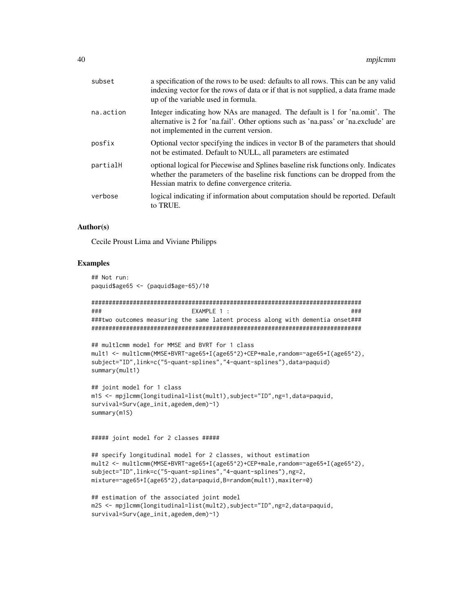| subset    | a specification of the rows to be used: defaults to all rows. This can be any valid<br>indexing vector for the rows of data or if that is not supplied, a data frame made<br>up of the variable used in formula.      |
|-----------|-----------------------------------------------------------------------------------------------------------------------------------------------------------------------------------------------------------------------|
| na.action | Integer indicating how NAs are managed. The default is 1 for 'na.omit'. The<br>alternative is 2 for 'na.fail'. Other options such as 'na.pass' or 'na.exclude' are<br>not implemented in the current version.         |
| posfix    | Optional vector specifying the indices in vector B of the parameters that should<br>not be estimated. Default to NULL, all parameters are estimated                                                                   |
| partialH  | optional logical for Piecewise and Splines baseline risk functions only. Indicates<br>whether the parameters of the baseline risk functions can be dropped from the<br>Hessian matrix to define convergence criteria. |
| verbose   | logical indicating if information about computation should be reported. Default<br>to TRUE.                                                                                                                           |
|           |                                                                                                                                                                                                                       |

## Author(s)

Cecile Proust Lima and Viviane Philipps

# Examples

## Not run: paquid\$age65 <- (paquid\$age-65)/10 ############################################################################## ### EXAMPLE 1 : ### ###two outcomes measuring the same latent process along with dementia onset### ############################################################################## ## multlcmm model for MMSE and BVRT for 1 class mult1 <- multlcmm(MMSE+BVRT~age65+I(age65^2)+CEP+male,random=~age65+I(age65^2), subject="ID", link=c("5-quant-splines", "4-quant-splines"), data=paquid) summary(mult1) ## joint model for 1 class m1S <- mpjlcmm(longitudinal=list(mult1),subject="ID",ng=1,data=paquid, survival=Surv(age\_init,agedem,dem)~1) summary(m1S) ##### joint model for 2 classes ##### ## specify longitudinal model for 2 classes, without estimation mult2 <- multlcmm(MMSE+BVRT~age65+I(age65^2)+CEP+male,random=~age65+I(age65^2), subject="ID",link=c("5-quant-splines","4-quant-splines"),ng=2, mixture=~age65+I(age65^2),data=paquid,B=random(mult1),maxiter=0) ## estimation of the associated joint model

```
m2S <- mpjlcmm(longitudinal=list(mult2),subject="ID",ng=2,data=paquid,
survival=Surv(age_init,agedem,dem)~1)
```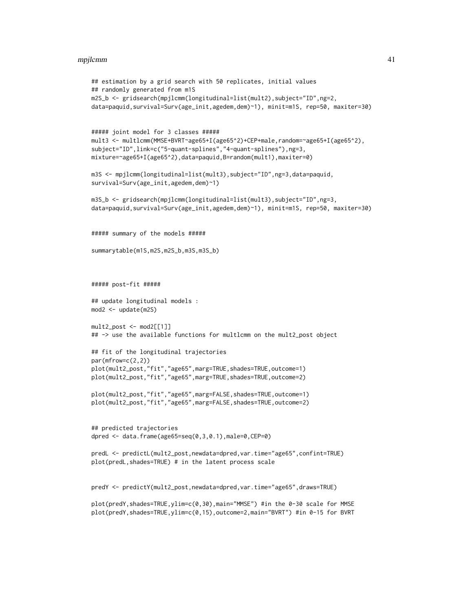#### mpjlcmm 41

```
## estimation by a grid search with 50 replicates, initial values
## randomly generated from m1S
m2S_b <- gridsearch(mpjlcmm(longitudinal=list(mult2),subject="ID",ng=2,
data=paquid,survival=Surv(age_init,agedem,dem)~1), minit=m1S, rep=50, maxiter=30)
##### joint model for 3 classes #####
mult3 <- multlcmm(MMSE+BVRT~age65+I(age65^2)+CEP+male,random=~age65+I(age65^2),
subject="ID",link=c("5-quant-splines","4-quant-splines"),ng=3,
mixture=~age65+I(age65^2),data=paquid,B=random(mult1),maxiter=0)
m3S <- mpjlcmm(longitudinal=list(mult3),subject="ID",ng=3,data=paquid,
survival=Surv(age_init,agedem,dem)~1)
m3S_b <- gridsearch(mpjlcmm(longitudinal=list(mult3),subject="ID",ng=3,
data=paquid,survival=Surv(age_init,agedem,dem)~1), minit=m1S, rep=50, maxiter=30)
##### summary of the models #####
summarytable(m1S,m2S,m2S_b,m3S,m3S_b)
##### post-fit #####
## update longitudinal models :
mod2 <- update(m2S)
mult2\_post \leftarrow mod2[[1]]## -> use the available functions for multlcmm on the mult2_post object
## fit of the longitudinal trajectories
par(mfrow=c(2,2))
plot(mult2_post,"fit","age65",marg=TRUE,shades=TRUE,outcome=1)
plot(mult2_post,"fit","age65",marg=TRUE,shades=TRUE,outcome=2)
plot(mult2_post,"fit","age65",marg=FALSE,shades=TRUE,outcome=1)
plot(mult2_post,"fit","age65",marg=FALSE,shades=TRUE,outcome=2)
## predicted trajectories
dpred <- data.frame(age65=seq(0,3,0.1),male=0,CEP=0)
predL <- predictL(mult2_post,newdata=dpred,var.time="age65",confint=TRUE)
plot(predL,shades=TRUE) # in the latent process scale
predY <- predictY(mult2_post,newdata=dpred,var.time="age65",draws=TRUE)
plot(predY,shades=TRUE,ylim=c(0,30),main="MMSE") #in the 0-30 scale for MMSE
plot(predY,shades=TRUE,ylim=c(0,15),outcome=2,main="BVRT") #in 0-15 for BVRT
```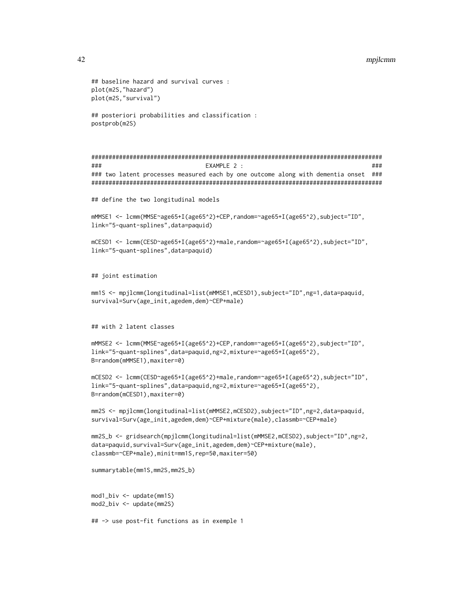#### 42 mpjlcmm

```
## baseline hazard and survival curves :
plot(m2S,"hazard")
plot(m2S,"survival")
## posteriori probabilities and classification :
postprob(m2S)
####################################################################################
### EXAMPLE 2 : ###
### two latent processes measured each by one outcome along with dementia onset ###
####################################################################################
## define the two longitudinal models
mMMSE1 <- lcmm(MMSE~age65+I(age65^2)+CEP,random=~age65+I(age65^2),subject="ID",
link="5-quant-splines",data=paquid)
mCESD1 <- lcmm(CESD~age65+I(age65^2)+male,random=~age65+I(age65^2),subject="ID",
link="5-quant-splines",data=paquid)
## joint estimation
mm1S <- mpjlcmm(longitudinal=list(mMMSE1,mCESD1),subject="ID",ng=1,data=paquid,
survival=Surv(age_init,agedem,dem)~CEP+male)
## with 2 latent classes
mMMSE2 <- lcmm(MMSE~age65+I(age65^2)+CEP,random=~age65+I(age65^2),subject="ID",
link="5-quant-splines",data=paquid,ng=2,mixture=~age65+I(age65^2),
B=random(mMMSE1),maxiter=0)
mCESD2 <- lcmm(CESD~age65+I(age65^2)+male,random=~age65+I(age65^2),subject="ID",
link="5-quant-splines",data=paquid,ng=2,mixture=~age65+I(age65^2),
B=random(mCESD1),maxiter=0)
mm2S <- mpjlcmm(longitudinal=list(mMMSE2,mCESD2),subject="ID",ng=2,data=paquid,
survival=Surv(age_init,agedem,dem)~CEP+mixture(male),classmb=~CEP+male)
mm2S_b <- gridsearch(mpjlcmm(longitudinal=list(mMMSE2,mCESD2),subject="ID",ng=2,
data=paquid,survival=Surv(age_init,agedem,dem)~CEP+mixture(male),
classmb=~CEP+male),minit=mm1S,rep=50,maxiter=50)
summarytable(mm1S,mm2S,mm2S_b)
mod1_biv <- update(mm1S)
mod2_biv <- update(mm2S)
## -> use post-fit functions as in exemple 1
```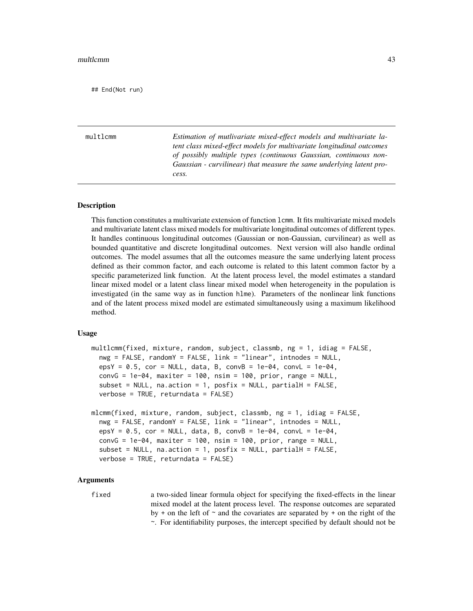## End(Not run)

<span id="page-42-0"></span>multlcmm *Estimation of mutlivariate mixed-effect models and multivariate latent class mixed-effect models for multivariate longitudinal outcomes of possibly multiple types (continuous Gaussian, continuous non-Gaussian - curvilinear) that measure the same underlying latent process.*

#### **Description**

This function constitutes a multivariate extension of function lcmm. It fits multivariate mixed models and multivariate latent class mixed models for multivariate longitudinal outcomes of different types. It handles continuous longitudinal outcomes (Gaussian or non-Gaussian, curvilinear) as well as bounded quantitative and discrete longitudinal outcomes. Next version will also handle ordinal outcomes. The model assumes that all the outcomes measure the same underlying latent process defined as their common factor, and each outcome is related to this latent common factor by a specific parameterized link function. At the latent process level, the model estimates a standard linear mixed model or a latent class linear mixed model when heterogeneity in the population is investigated (in the same way as in function hlme). Parameters of the nonlinear link functions and of the latent process mixed model are estimated simultaneously using a maximum likelihood method.

## Usage

```
multlcmm(fixed, mixture, random, subject, classmb, ng = 1, idiag = FALSE,
  nwg = FALSE, randomY = FALSE, link = "linear", intnodes = NULL,
  epsY = 0.5, cor = NULL, data, B, convB = 1e-04, convL = 1e-04,
  convG = 1e-04, maxiter = 100, nsim = 100, prior, range = NULL,
  subset = NULL, na.action = 1, posfix = NULL, partialH = FALSE,
  verbose = TRUE, returndata = FALSE)
mlcmm(fixed, mixture, random, subject, classmb, ng = 1, idiag = FALSE,
  nwg = FALSE, randomY = FALSE, link = "linear", intnodes = NULL,
  epsY = 0.5, cor = NULL, data, B, convB = 1e-04, convL = 1e-04,
  convG = 1e-04, maxiter = 100, nsim = 100, prior, range = NULL,
  subset = NULL, na.action = 1, posfix = NULL, partialH = FALSE,
  verbose = TRUE, returndata = FALSE)
```
#### Arguments

fixed a two-sided linear formula object for specifying the fixed-effects in the linear mixed model at the latent process level. The response outcomes are separated by + on the left of  $\sim$  and the covariates are separated by + on the right of the ~. For identifiability purposes, the intercept specified by default should not be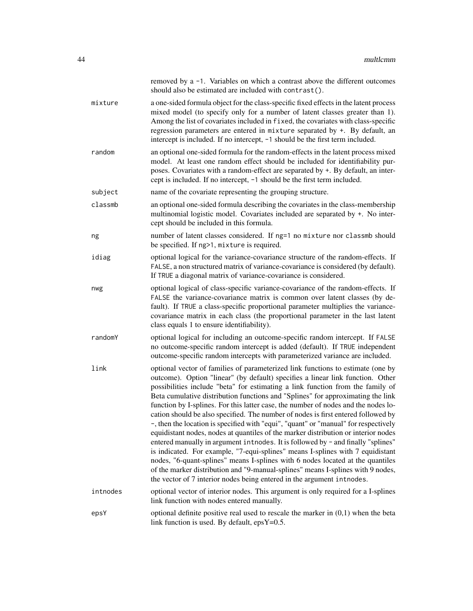|          | removed by a -1. Variables on which a contrast above the different outcomes<br>should also be estimated are included with contrast().                                                                                                                                                                                                                                                                                                                                                                                                                                                                                                                                                                                                                                                                                                                                                                                                                                                                                                                                                                              |
|----------|--------------------------------------------------------------------------------------------------------------------------------------------------------------------------------------------------------------------------------------------------------------------------------------------------------------------------------------------------------------------------------------------------------------------------------------------------------------------------------------------------------------------------------------------------------------------------------------------------------------------------------------------------------------------------------------------------------------------------------------------------------------------------------------------------------------------------------------------------------------------------------------------------------------------------------------------------------------------------------------------------------------------------------------------------------------------------------------------------------------------|
| mixture  | a one-sided formula object for the class-specific fixed effects in the latent process<br>mixed model (to specify only for a number of latent classes greater than 1).<br>Among the list of covariates included in fixed, the covariates with class-specific<br>regression parameters are entered in mixture separated by +. By default, an<br>intercept is included. If no intercept, -1 should be the first term included.                                                                                                                                                                                                                                                                                                                                                                                                                                                                                                                                                                                                                                                                                        |
| random   | an optional one-sided formula for the random-effects in the latent process mixed<br>model. At least one random effect should be included for identifiability pur-<br>poses. Covariates with a random-effect are separated by +. By default, an inter-<br>cept is included. If no intercept, -1 should be the first term included.                                                                                                                                                                                                                                                                                                                                                                                                                                                                                                                                                                                                                                                                                                                                                                                  |
| subject  | name of the covariate representing the grouping structure.                                                                                                                                                                                                                                                                                                                                                                                                                                                                                                                                                                                                                                                                                                                                                                                                                                                                                                                                                                                                                                                         |
| classmb  | an optional one-sided formula describing the covariates in the class-membership<br>multinomial logistic model. Covariates included are separated by +. No inter-<br>cept should be included in this formula.                                                                                                                                                                                                                                                                                                                                                                                                                                                                                                                                                                                                                                                                                                                                                                                                                                                                                                       |
| ng       | number of latent classes considered. If ng=1 no mixture nor classmb should<br>be specified. If ng>1, mixture is required.                                                                                                                                                                                                                                                                                                                                                                                                                                                                                                                                                                                                                                                                                                                                                                                                                                                                                                                                                                                          |
| idiag    | optional logical for the variance-covariance structure of the random-effects. If<br>FALSE, a non structured matrix of variance-covariance is considered (by default).<br>If TRUE a diagonal matrix of variance-covariance is considered.                                                                                                                                                                                                                                                                                                                                                                                                                                                                                                                                                                                                                                                                                                                                                                                                                                                                           |
| nwg      | optional logical of class-specific variance-covariance of the random-effects. If<br>FALSE the variance-covariance matrix is common over latent classes (by de-<br>fault). If TRUE a class-specific proportional parameter multiplies the variance-<br>covariance matrix in each class (the proportional parameter in the last latent<br>class equals 1 to ensure identifiability).                                                                                                                                                                                                                                                                                                                                                                                                                                                                                                                                                                                                                                                                                                                                 |
| randomY  | optional logical for including an outcome-specific random intercept. If FALSE<br>no outcome-specific random intercept is added (default). If TRUE independent<br>outcome-specific random intercepts with parameterized variance are included.                                                                                                                                                                                                                                                                                                                                                                                                                                                                                                                                                                                                                                                                                                                                                                                                                                                                      |
| link     | optional vector of families of parameterized link functions to estimate (one by<br>outcome). Option "linear" (by default) specifies a linear link function. Other<br>possibilities include "beta" for estimating a link function from the family of<br>Beta cumulative distribution functions and "Splines" for approximating the link<br>function by I-splines. For this latter case, the number of nodes and the nodes lo-<br>cation should be also specified. The number of nodes is first entered followed by<br>, then the location is specified with "equi", "quant" or "manual" for respectively<br>equidistant nodes, nodes at quantiles of the marker distribution or interior nodes<br>entered manually in argument intnodes. It is followed by - and finally "splines"<br>is indicated. For example, "7-equi-splines" means I-splines with 7 equidistant<br>nodes, "6-quant-splines" means I-splines with 6 nodes located at the quantiles<br>of the marker distribution and "9-manual-splines" means I-splines with 9 nodes,<br>the vector of 7 interior nodes being entered in the argument introdes. |
| intnodes | optional vector of interior nodes. This argument is only required for a I-splines<br>link function with nodes entered manually.                                                                                                                                                                                                                                                                                                                                                                                                                                                                                                                                                                                                                                                                                                                                                                                                                                                                                                                                                                                    |
| epsY     | optional definite positive real used to rescale the marker in $(0,1)$ when the beta<br>link function is used. By default, epsY=0.5.                                                                                                                                                                                                                                                                                                                                                                                                                                                                                                                                                                                                                                                                                                                                                                                                                                                                                                                                                                                |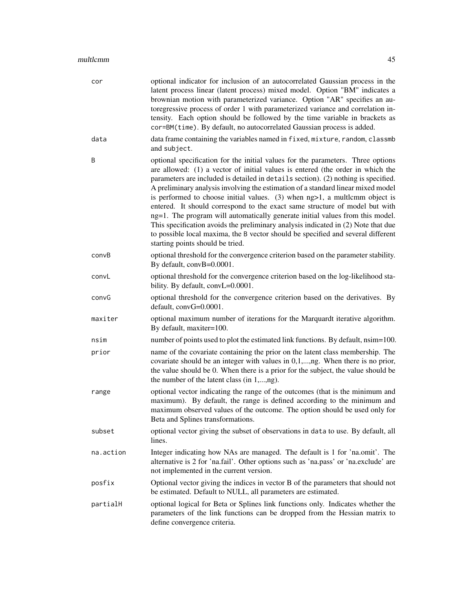| cor       | optional indicator for inclusion of an autocorrelated Gaussian process in the<br>latent process linear (latent process) mixed model. Option "BM" indicates a<br>brownian motion with parameterized variance. Option "AR" specifies an au-<br>toregressive process of order 1 with parameterized variance and correlation in-<br>tensity. Each option should be followed by the time variable in brackets as<br>cor=BM(time). By default, no autocorrelated Gaussian process is added.                                                                                                                                                                                                                                                                                                                       |
|-----------|-------------------------------------------------------------------------------------------------------------------------------------------------------------------------------------------------------------------------------------------------------------------------------------------------------------------------------------------------------------------------------------------------------------------------------------------------------------------------------------------------------------------------------------------------------------------------------------------------------------------------------------------------------------------------------------------------------------------------------------------------------------------------------------------------------------|
| data      | data frame containing the variables named in fixed, mixture, random, classmb<br>and subject.                                                                                                                                                                                                                                                                                                                                                                                                                                                                                                                                                                                                                                                                                                                |
| B         | optional specification for the initial values for the parameters. Three options<br>are allowed: (1) a vector of initial values is entered (the order in which the<br>parameters are included is detailed in details section). (2) nothing is specified.<br>A preliminary analysis involving the estimation of a standard linear mixed model<br>is performed to choose initial values. $(3)$ when $ng>1$ , a multlemm object is<br>entered. It should correspond to the exact same structure of model but with<br>ng=1. The program will automatically generate initial values from this model.<br>This specification avoids the preliminary analysis indicated in (2) Note that due<br>to possible local maxima, the B vector should be specified and several different<br>starting points should be tried. |
| convB     | optional threshold for the convergence criterion based on the parameter stability.<br>By default, convB=0.0001.                                                                                                                                                                                                                                                                                                                                                                                                                                                                                                                                                                                                                                                                                             |
| convL     | optional threshold for the convergence criterion based on the log-likelihood sta-<br>bility. By default, convL=0.0001.                                                                                                                                                                                                                                                                                                                                                                                                                                                                                                                                                                                                                                                                                      |
| convG     | optional threshold for the convergence criterion based on the derivatives. By<br>default, convG=0.0001.                                                                                                                                                                                                                                                                                                                                                                                                                                                                                                                                                                                                                                                                                                     |
| maxiter   | optional maximum number of iterations for the Marquardt iterative algorithm.<br>By default, maxiter=100.                                                                                                                                                                                                                                                                                                                                                                                                                                                                                                                                                                                                                                                                                                    |
| nsim      | number of points used to plot the estimated link functions. By default, nsim=100.                                                                                                                                                                                                                                                                                                                                                                                                                                                                                                                                                                                                                                                                                                                           |
| prior     | name of the covariate containing the prior on the latent class membership. The<br>covariate should be an integer with values in $0,1,,ng$ . When there is no prior,<br>the value should be 0. When there is a prior for the subject, the value should be<br>the number of the latent class (in 1,,ng).                                                                                                                                                                                                                                                                                                                                                                                                                                                                                                      |
| range     | optional vector indicating the range of the outcomes (that is the minimum and<br>maximum). By default, the range is defined according to the minimum and<br>maximum observed values of the outcome. The option should be used only for<br>Beta and Splines transformations.                                                                                                                                                                                                                                                                                                                                                                                                                                                                                                                                 |
| subset    | optional vector giving the subset of observations in data to use. By default, all<br>lines.                                                                                                                                                                                                                                                                                                                                                                                                                                                                                                                                                                                                                                                                                                                 |
| na.action | Integer indicating how NAs are managed. The default is 1 for 'na.omit'. The<br>alternative is 2 for 'na.fail'. Other options such as 'na.pass' or 'na.exclude' are<br>not implemented in the current version.                                                                                                                                                                                                                                                                                                                                                                                                                                                                                                                                                                                               |
| posfix    | Optional vector giving the indices in vector B of the parameters that should not<br>be estimated. Default to NULL, all parameters are estimated.                                                                                                                                                                                                                                                                                                                                                                                                                                                                                                                                                                                                                                                            |
| partialH  | optional logical for Beta or Splines link functions only. Indicates whether the<br>parameters of the link functions can be dropped from the Hessian matrix to<br>define convergence criteria.                                                                                                                                                                                                                                                                                                                                                                                                                                                                                                                                                                                                               |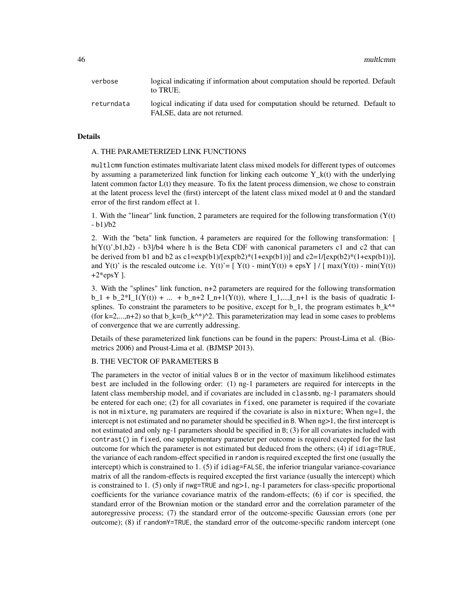46 multlcmm

| verbose    | logical indicating if information about computation should be reported. Default<br>to TRUE.                     |
|------------|-----------------------------------------------------------------------------------------------------------------|
| returndata | logical indicating if data used for computation should be returned. Default to<br>FALSE, data are not returned. |

#### Details

## A. THE PARAMETERIZED LINK FUNCTIONS

multlcmm function estimates multivariate latent class mixed models for different types of outcomes by assuming a parameterized link function for linking each outcome  $Y_k(t)$  with the underlying latent common factor L(t) they measure. To fix the latent process dimension, we chose to constrain at the latent process level the (first) intercept of the latent class mixed model at 0 and the standard error of the first random effect at 1.

1. With the "linear" link function, 2 parameters are required for the following transformation  $(Y(t))$ - b1)/b2

2. With the "beta" link function, 4 parameters are required for the following transformation: [ h( $Y(t)$ ',b1,b2) - b3]/b4 where h is the Beta CDF with canonical parameters c1 and c2 that can be derived from b1 and b2 as  $c1 = exp(b1)/[exp(b2)*(1+exp(b1))]$  and  $c2 = 1/[exp(b2)*(1+exp(b1))]$ , and Y(t)' is the rescaled outcome i.e.  $Y(t) = [ Y(t) - min(Y(t)) + exp Y ] / [ max(Y(t)) - min(Y(t)) ]$  $+2*epsY$ ].

3. With the "splines" link function, n+2 parameters are required for the following transformation b\_1 + b\_2\*I\_1(Y(t)) + ... + b\_n+2 I\_n+1(Y(t)), where I\_1,...,I\_n+1 is the basis of quadratic Isplines. To constraint the parameters to be positive, except for b\_1, the program estimates b  $k^{\wedge *}$ (for k=2,...,n+2) so that  $b_k=(b_k^k)^2$ . This parameterization may lead in some cases to problems of convergence that we are currently addressing.

Details of these parameterized link functions can be found in the papers: Proust-Lima et al. (Biometrics 2006) and Proust-Lima et al. (BJMSP 2013).

#### B. THE VECTOR OF PARAMETERS B

The parameters in the vector of initial values B or in the vector of maximum likelihood estimates best are included in the following order: (1) ng-1 parameters are required for intercepts in the latent class membership model, and if covariates are included in classmb, ng-1 paramaters should be entered for each one; (2) for all covariates in fixed, one parameter is required if the covariate is not in mixture, ng paramaters are required if the covariate is also in mixture; When ng=1, the intercept is not estimated and no parameter should be specified in B. When ng>1, the first intercept is not estimated and only ng-1 parameters should be specified in B; (3) for all covariates included with contrast() in fixed, one supplementary parameter per outcome is required excepted for the last outcome for which the parameter is not estimated but deduced from the others; (4) if idiag=TRUE, the variance of each random-effect specified in random is required excepted the first one (usually the intercept) which is constrained to 1. (5) if idiag=FALSE, the inferior triangular variance-covariance matrix of all the random-effects is required excepted the first variance (usually the intercept) which is constrained to 1. (5) only if nwg=TRUE and ng>1, ng-1 parameters for class-specific proportional coefficients for the variance covariance matrix of the random-effects; (6) if cor is specified, the standard error of the Brownian motion or the standard error and the correlation parameter of the autoregressive process; (7) the standard error of the outcome-specific Gaussian errors (one per outcome); (8) if randomY=TRUE, the standard error of the outcome-specific random intercept (one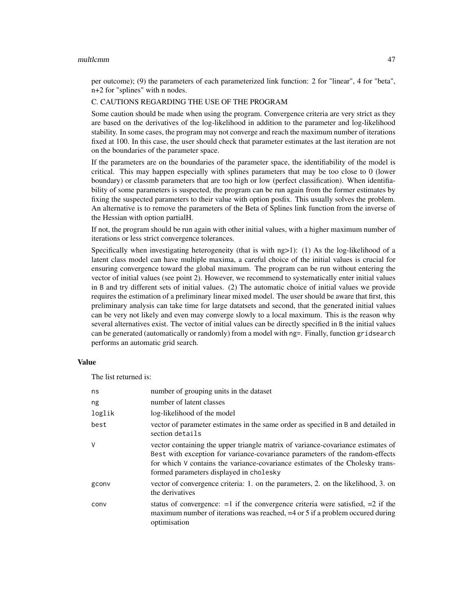#### multlcmm and the contract of the contract of the contract of the contract of the contract of the contract of the contract of the contract of the contract of the contract of the contract of the contract of the contract of t

per outcome); (9) the parameters of each parameterized link function: 2 for "linear", 4 for "beta", n+2 for "splines" with n nodes.

# C. CAUTIONS REGARDING THE USE OF THE PROGRAM

Some caution should be made when using the program. Convergence criteria are very strict as they are based on the derivatives of the log-likelihood in addition to the parameter and log-likelihood stability. In some cases, the program may not converge and reach the maximum number of iterations fixed at 100. In this case, the user should check that parameter estimates at the last iteration are not on the boundaries of the parameter space.

If the parameters are on the boundaries of the parameter space, the identifiability of the model is critical. This may happen especially with splines parameters that may be too close to 0 (lower boundary) or classmb parameters that are too high or low (perfect classification). When identifiability of some parameters is suspected, the program can be run again from the former estimates by fixing the suspected parameters to their value with option posfix. This usually solves the problem. An alternative is to remove the parameters of the Beta of Splines link function from the inverse of the Hessian with option partialH.

If not, the program should be run again with other initial values, with a higher maximum number of iterations or less strict convergence tolerances.

Specifically when investigating heterogeneity (that is with ng>1): (1) As the log-likelihood of a latent class model can have multiple maxima, a careful choice of the initial values is crucial for ensuring convergence toward the global maximum. The program can be run without entering the vector of initial values (see point 2). However, we recommend to systematically enter initial values in B and try different sets of initial values. (2) The automatic choice of initial values we provide requires the estimation of a preliminary linear mixed model. The user should be aware that first, this preliminary analysis can take time for large datatsets and second, that the generated initial values can be very not likely and even may converge slowly to a local maximum. This is the reason why several alternatives exist. The vector of initial values can be directly specified in B the initial values can be generated (automatically or randomly) from a model with ng=. Finally, function gridsearch performs an automatic grid search.

## Value

The list returned is:

| ns     | number of grouping units in the dataset                                                                                                                                                                                                                                                     |
|--------|---------------------------------------------------------------------------------------------------------------------------------------------------------------------------------------------------------------------------------------------------------------------------------------------|
| ng     | number of latent classes                                                                                                                                                                                                                                                                    |
| loglik | log-likelihood of the model                                                                                                                                                                                                                                                                 |
| best   | vector of parameter estimates in the same order as specified in B and detailed in<br>section details                                                                                                                                                                                        |
| V      | vector containing the upper triangle matrix of variance-covariance estimates of<br>Best with exception for variance-covariance parameters of the random-effects<br>for which V contains the variance-covariance estimates of the Cholesky trans-<br>formed parameters displayed in cholesky |
| gconv  | vector of convergence criteria: 1. on the parameters, 2. on the likelihood, 3. on<br>the derivatives                                                                                                                                                                                        |
| conv   | status of convergence: $=1$ if the convergence criteria were satisfied, $=2$ if the<br>maximum number of iterations was reached, $=4$ or 5 if a problem occurred during<br>optimisation                                                                                                     |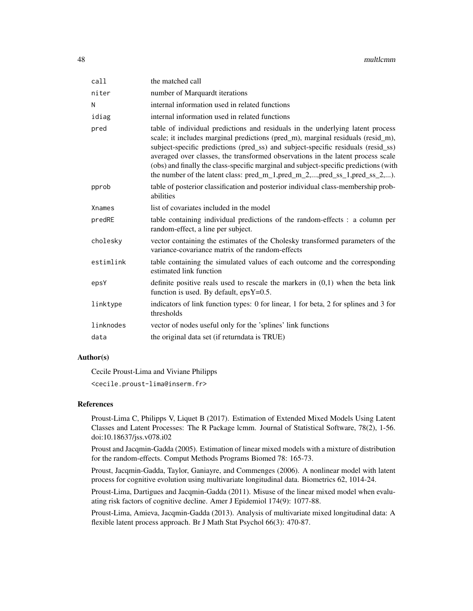| call      | the matched call                                                                                                                                                                                                                                                                                                                                                                                                                                                                                              |
|-----------|---------------------------------------------------------------------------------------------------------------------------------------------------------------------------------------------------------------------------------------------------------------------------------------------------------------------------------------------------------------------------------------------------------------------------------------------------------------------------------------------------------------|
| niter     | number of Marquardt iterations                                                                                                                                                                                                                                                                                                                                                                                                                                                                                |
| N         | internal information used in related functions                                                                                                                                                                                                                                                                                                                                                                                                                                                                |
| idiag     | internal information used in related functions                                                                                                                                                                                                                                                                                                                                                                                                                                                                |
| pred      | table of individual predictions and residuals in the underlying latent process<br>scale; it includes marginal predictions (pred_m), marginal residuals (resid_m),<br>subject-specific predictions (pred_ss) and subject-specific residuals (resid_ss)<br>averaged over classes, the transformed observations in the latent process scale<br>(obs) and finally the class-specific marginal and subject-specific predictions (with<br>the number of the latent class: pred_m_1,pred_m_2,,pred_ss_1,pred_ss_2,). |
| pprob     | table of posterior classification and posterior individual class-membership prob-<br>abilities                                                                                                                                                                                                                                                                                                                                                                                                                |
| Xnames    | list of covariates included in the model                                                                                                                                                                                                                                                                                                                                                                                                                                                                      |
| predRE    | table containing individual predictions of the random-effects : a column per<br>random-effect, a line per subject.                                                                                                                                                                                                                                                                                                                                                                                            |
| cholesky  | vector containing the estimates of the Cholesky transformed parameters of the<br>variance-covariance matrix of the random-effects                                                                                                                                                                                                                                                                                                                                                                             |
| estimlink | table containing the simulated values of each outcome and the corresponding<br>estimated link function                                                                                                                                                                                                                                                                                                                                                                                                        |
| epsY      | definite positive reals used to rescale the markers in $(0,1)$ when the beta link<br>function is used. By default, $epsY=0.5$ .                                                                                                                                                                                                                                                                                                                                                                               |
| linktype  | indicators of link function types: 0 for linear, 1 for beta, 2 for splines and 3 for<br>thresholds                                                                                                                                                                                                                                                                                                                                                                                                            |
| linknodes | vector of nodes useful only for the 'splines' link functions                                                                                                                                                                                                                                                                                                                                                                                                                                                  |
| data      | the original data set (if returndata is TRUE)                                                                                                                                                                                                                                                                                                                                                                                                                                                                 |
|           |                                                                                                                                                                                                                                                                                                                                                                                                                                                                                                               |

# Author(s)

Cecile Proust-Lima and Viviane Philipps <cecile.proust-lima@inserm.fr>

## References

Proust-Lima C, Philipps V, Liquet B (2017). Estimation of Extended Mixed Models Using Latent Classes and Latent Processes: The R Package lcmm. Journal of Statistical Software, 78(2), 1-56. doi:10.18637/jss.v078.i02

Proust and Jacqmin-Gadda (2005). Estimation of linear mixed models with a mixture of distribution for the random-effects. Comput Methods Programs Biomed 78: 165-73.

Proust, Jacqmin-Gadda, Taylor, Ganiayre, and Commenges (2006). A nonlinear model with latent process for cognitive evolution using multivariate longitudinal data. Biometrics 62, 1014-24.

Proust-Lima, Dartigues and Jacqmin-Gadda (2011). Misuse of the linear mixed model when evaluating risk factors of cognitive decline. Amer J Epidemiol 174(9): 1077-88.

Proust-Lima, Amieva, Jacqmin-Gadda (2013). Analysis of multivariate mixed longitudinal data: A flexible latent process approach. Br J Math Stat Psychol 66(3): 470-87.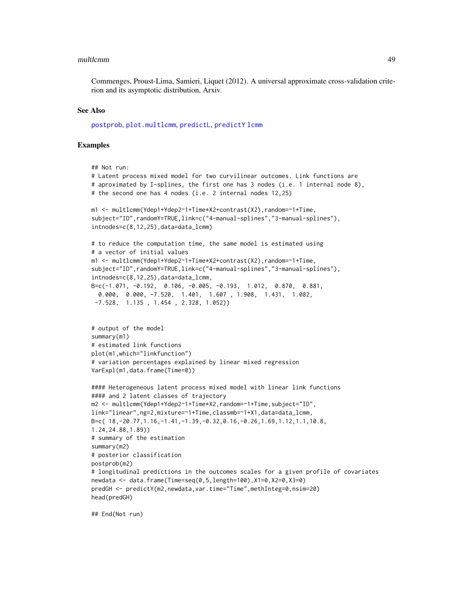#### multlcmm and the control of the control of the control of the control of the control of the control of the control of the control of the control of the control of the control of the control of the control of the control of

Commenges, Proust-Lima, Samieri, Liquet (2012). A universal approximate cross-validation criterion and its asymptotic distribution, Arxiv.

#### See Also

[postprob](#page-60-0), [plot.multlcmm](#page-51-0), [predictL](#page-62-0), [predictY](#page-65-0) [lcmm](#page-29-0)

## Examples

```
## Not run:
# Latent process mixed model for two curvilinear outcomes. Link functions are
# aproximated by I-splines, the first one has 3 nodes (i.e. 1 internal node 8),
# the second one has 4 nodes (i.e. 2 internal nodes 12,25)
m1 <- multlcmm(Ydep1+Ydep2~1+Time*X2+contrast(X2),random=~1+Time,
subject="ID",randomY=TRUE,link=c("4-manual-splines","3-manual-splines"),
intnodes=c(8,12,25),data=data_lcmm)
# to reduce the computation time, the same model is estimated using
# a vector of initial values
m1 <- multlcmm(Ydep1+Ydep2~1+Time*X2+contrast(X2),random=~1+Time,
subject="ID",randomY=TRUE,link=c("4-manual-splines","3-manual-splines"),
intnodes=c(8,12,25),data=data_lcmm,
B=c(-1.071, -0.192, 0.106, -0.005, -0.193, 1.012, 0.870, 0.881,
  0.000, 0.000, -7.520, 1.401, 1.607 , 1.908, 1.431, 1.082,
 -7.528, 1.135 , 1.454 , 2.328, 1.052))
# output of the model
summary(m1)
# estimated link functions
plot(m1,which="linkfunction")
# variation percentages explained by linear mixed regression
VarExpl(m1,data.frame(Time=0))
#### Heterogeneous latent process mixed model with linear link functions
#### and 2 latent classes of trajectory
m2 <- multlcmm(Ydep1+Ydep2~1+Time*X2,random=~1+Time,subject="ID",
link="linear",ng=2,mixture=~1+Time,classmb=~1+X1,data=data_lcmm,
B=c( 18,-20.77,1.16,-1.41,-1.39,-0.32,0.16,-0.26,1.69,1.12,1.1,10.8,
1.24,24.88,1.89))
# summary of the estimation
summary(m2)
# posterior classification
postprob(m2)
# longitudinal predictions in the outcomes scales for a given profile of covariates
newdata <- data.frame(Time=seq(0,5,length=100),X1=0,X2=0,X3=0)
predGH <- predictY(m2,newdata,var.time="Time",methInteg=0,nsim=20)
head(predGH)
```
## End(Not run)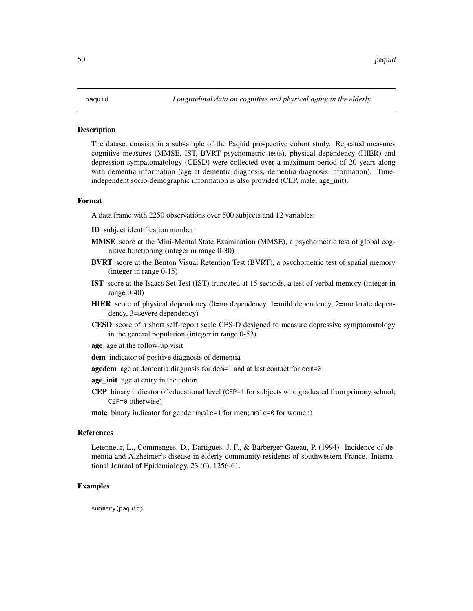The dataset consists in a subsample of the Paquid prospective cohort study. Repeated measures cognitive measures (MMSE, IST, BVRT psychometric tests), physical dependency (HIER) and depression sympatomatology (CESD) were collected over a maximum period of 20 years along with dementia information (age at dementia diagnosis, dementia diagnosis information). Timeindependent socio-demographic information is also provided (CEP, male, age\_init).

## Format

A data frame with 2250 observations over 500 subjects and 12 variables:

- ID subject identification number
- MMSE score at the Mini-Mental State Examination (MMSE), a psychometric test of global cognitive functioning (integer in range 0-30)
- **BVRT** score at the Benton Visual Retention Test (BVRT), a psychometric test of spatial memory (integer in range 0-15)
- IST score at the Isaacs Set Test (IST) truncated at 15 seconds, a test of verbal memory (integer in range 0-40)
- HIER score of physical dependency (0=no dependency, 1=mild dependency, 2=moderate dependency, 3=severe dependency)
- CESD score of a short self-report scale CES-D designed to measure depressive symptomatology in the general population (integer in range 0-52)
- age age at the follow-up visit
- dem indicator of positive diagnosis of dementia
- agedem age at dementia diagnosis for dem=1 and at last contact for dem=0
- age\_init age at entry in the cohort
- CEP binary indicator of educational level (CEP=1 for subjects who graduated from primary school; CEP=0 otherwise)
- male binary indicator for gender (male=1 for men; male=0 for women)

## References

Letenneur, L., Commenges, D., Dartigues, J. F., & Barberger-Gateau, P. (1994). Incidence of dementia and Alzheimer's disease in elderly community residents of southwestern France. International Journal of Epidemiology, 23 (6), 1256-61.

#### Examples

summary(paquid)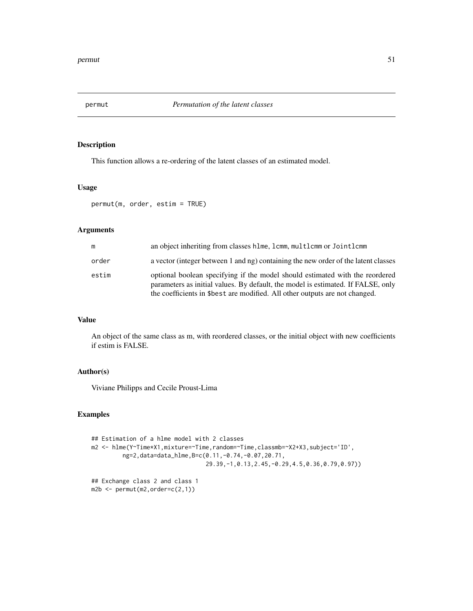This function allows a re-ordering of the latent classes of an estimated model.

# Usage

permut(m, order, estim = TRUE)

# Arguments

| m     | an object inheriting from classes hlme, lcmm, multlcmm or Jointlcmm                                                                                                                                                                             |
|-------|-------------------------------------------------------------------------------------------------------------------------------------------------------------------------------------------------------------------------------------------------|
| order | a vector (integer between 1 and ng) containing the new order of the latent classes                                                                                                                                                              |
| estim | optional boolean specifying if the model should estimated with the reordered<br>parameters as initial values. By default, the model is estimated. If FALSE, only<br>the coefficients in \$best are modified. All other outputs are not changed. |

#### Value

An object of the same class as m, with reordered classes, or the initial object with new coefficients if estim is FALSE.

# Author(s)

Viviane Philipps and Cecile Proust-Lima

# Examples

```
## Estimation of a hlme model with 2 classes
m2 <- hlme(Y~Time*X1,mixture=~Time,random=~Time,classmb=~X2+X3,subject='ID',
        ng=2,data=data_hlme,B=c(0.11,-0.74,-0.07,20.71,
                                 29.39,-1,0.13,2.45,-0.29,4.5,0.36,0.79,0.97))
## Exchange class 2 and class 1
m2b <- permut(m2,order=c(2,1))
```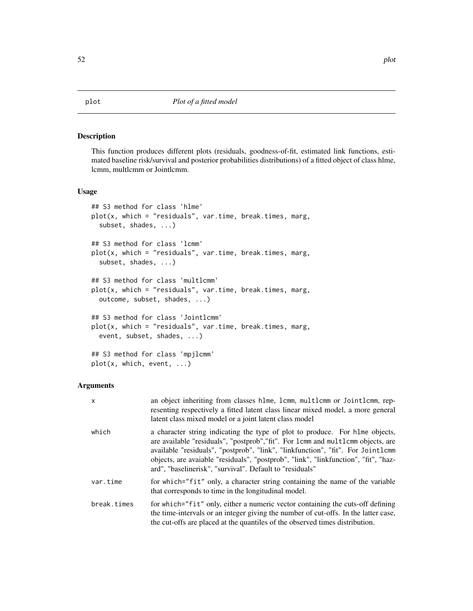<span id="page-51-0"></span>This function produces different plots (residuals, goodness-of-fit, estimated link functions, estimated baseline risk/survival and posterior probabilities distributions) of a fitted object of class hlme, lcmm, multlcmm or Jointlcmm.

# Usage

```
## S3 method for class 'hlme'
plot(x, which = "residuals", var.time, break.times, marg,
  subset, shades, ...)
## S3 method for class 'lcmm'
plot(x, which = "residuals", var.time, break.times, marg,
  subset, shades, ...)
## S3 method for class 'multlcmm'
plot(x, which = "residuals", var.time, break.times, marg,
 outcome, subset, shades, ...)
## S3 method for class 'Jointlcmm'
plot(x, which = "residuals", var.time, break.times, marg,
 event, subset, shades, ...)
## S3 method for class 'mpjlcmm'
plot(x, which, event, ...)
```
# Arguments

| $\mathsf{x}$ | an object inheriting from classes hime, icmm, multicmm or Jointicmm, rep-<br>resenting respectively a fitted latent class linear mixed model, a more general<br>latent class mixed model or a joint latent class model                                                                                                                                                                                 |
|--------------|--------------------------------------------------------------------------------------------------------------------------------------------------------------------------------------------------------------------------------------------------------------------------------------------------------------------------------------------------------------------------------------------------------|
| which        | a character string indicating the type of plot to produce. For hlme objects,<br>are available "residuals", "postprob", "fit". For 1cmm and multlcmm objects, are<br>available "residuals", "postprob", "link", "linkfunction", "fit". For Jointlcmm<br>objects, are avaiable "residuals", "postprob", "link", "linkfunction", "fit", "haz-<br>ard", "baselinerisk", "survival". Default to "residuals" |
| var.time     | for which="fit" only, a character string containing the name of the variable<br>that corresponds to time in the longitudinal model.                                                                                                                                                                                                                                                                    |
| break.times  | for which="fit" only, either a numeric vector containing the cuts-off defining<br>the time-intervals or an integer giving the number of cut-offs. In the latter case,<br>the cut-offs are placed at the quantiles of the observed times distribution.                                                                                                                                                  |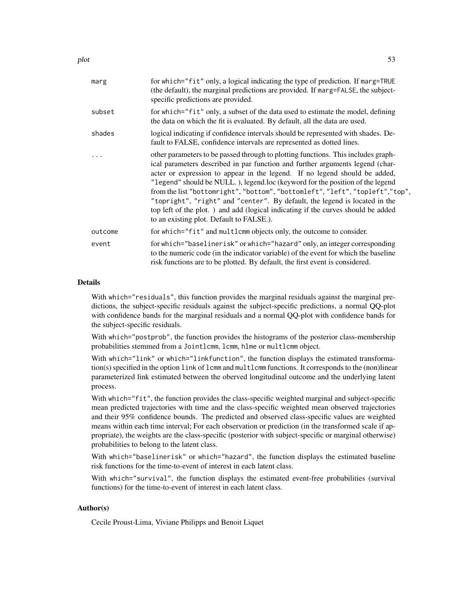| marg     | for which="fit" only, a logical indicating the type of prediction. If marg=TRUE<br>(the default), the marginal predictions are provided. If marg=FALSE, the subject-<br>specific predictions are provided.                                                                                                                                                                                                                                                                                                                                                                                                                       |
|----------|----------------------------------------------------------------------------------------------------------------------------------------------------------------------------------------------------------------------------------------------------------------------------------------------------------------------------------------------------------------------------------------------------------------------------------------------------------------------------------------------------------------------------------------------------------------------------------------------------------------------------------|
| subset   | for which="fit" only, a subset of the data used to estimate the model, defining<br>the data on which the fit is evaluated. By default, all the data are used.                                                                                                                                                                                                                                                                                                                                                                                                                                                                    |
| shades   | logical indicating if confidence intervals should be represented with shades. De-<br>fault to FALSE, confidence intervals are represented as dotted lines.                                                                                                                                                                                                                                                                                                                                                                                                                                                                       |
| $\ddots$ | other parameters to be passed through to plotting functions. This includes graph-<br>ical parameters described in par function and further arguments legend (char-<br>acter or expression to appear in the legend. If no legend should be added,<br>"legend" should be NULL.), legend.loc (keyword for the position of the legend<br>from the list "bottomright", "bottom", "bottomleft", "left", "topleft","top",<br>"topright", "right" and "center". By default, the legend is located in the<br>top left of the plot.) and add (logical indicating if the curves should be added<br>to an existing plot. Default to FALSE.). |
| outcome  | for which="fit" and multlcmm objects only, the outcome to consider.                                                                                                                                                                                                                                                                                                                                                                                                                                                                                                                                                              |
| event    | for which="baselinerisk" or which="hazard" only, an integer corresponding<br>to the numeric code (in the indicator variable) of the event for which the baseline<br>risk functions are to be plotted. By default, the first event is considered.                                                                                                                                                                                                                                                                                                                                                                                 |

## Details

With which="residuals", this function provides the marginal residuals against the marginal predictions, the subject-specific residuals against the subject-specific predictions, a normal QQ-plot with confidence bands for the marginal residuals and a normal QQ-plot with confidence bands for the subject-specific residuals.

With which="postprob", the function provides the histograms of the posterior class-membership probabilities stemmed from a Jointlcmm, lcmm, hlme or multlcmm object.

With which="link" or which="linkfunction", the function displays the estimated transformation(s) specified in the option link of lcmm and multlcmm functions. It corresponds to the (non)linear parameterized link estimated between the oberved longitudinal outcome and the underlying latent process.

With which="fit", the function provides the class-specific weighted marginal and subject-specific mean predicted trajectories with time and the class-specific weighted mean observed trajectories and their 95% confidence bounds. The predicted and observed class-specific values are weighted means within each time interval; For each observation or prediction (in the transformed scale if appropriate), the weights are the class-specific (posterior with subject-specific or marginal otherwise) probabilities to belong to the latent class.

With which="baselinerisk" or which="hazard", the function displays the estimated baseline risk functions for the time-to-event of interest in each latent class.

With which="survival", the function displays the estimated event-free probabilities (survival functions) for the time-to-event of interest in each latent class.

# Author(s)

Cecile Proust-Lima, Viviane Philipps and Benoit Liquet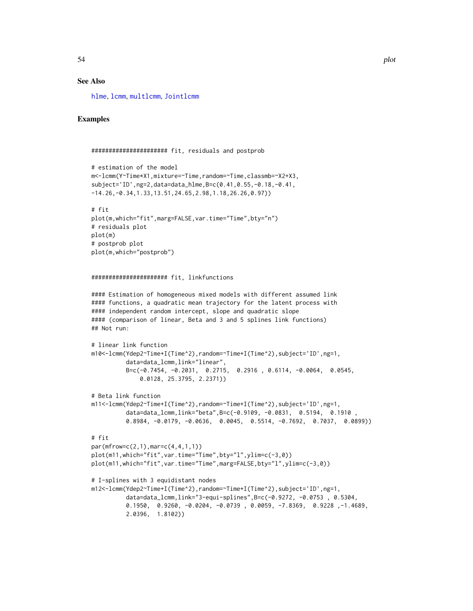# See Also

[hlme](#page-15-0), [lcmm](#page-29-0), [multlcmm](#page-42-0), [Jointlcmm](#page-21-0)

# Examples

```
###################### fit, residuals and postprob
# estimation of the model
m<-lcmm(Y~Time*X1,mixture=~Time,random=~Time,classmb=~X2+X3,
subject='ID',ng=2,data=data_hlme,B=c(0.41,0.55,-0.18,-0.41,
-14.26,-0.34,1.33,13.51,24.65,2.98,1.18,26.26,0.97))
# fit
plot(m,which="fit",marg=FALSE,var.time="Time",bty="n")
# residuals plot
plot(m)
# postprob plot
plot(m,which="postprob")
###################### fit, linkfunctions
#### Estimation of homogeneous mixed models with different assumed link
#### functions, a quadratic mean trajectory for the latent process with
#### independent random intercept, slope and quadratic slope
#### (comparison of linear, Beta and 3 and 5 splines link functions)
## Not run:
# linear link function
m10<-lcmm(Ydep2~Time+I(Time^2),random=~Time+I(Time^2),subject='ID',ng=1,
          data=data_lcmm,link="linear",
          B=c(-0.7454, -0.2031, 0.2715, 0.2916 , 0.6114, -0.0064, 0.0545,
              0.0128, 25.3795, 2.2371))
# Beta link function
m11<-lcmm(Ydep2~Time+I(Time^2),random=~Time+I(Time^2),subject='ID',ng=1,
          data=data_lcmm,link="beta",B=c(-0.9109, -0.0831, 0.5194, 0.1910 ,
          0.8984, -0.0179, -0.0636, 0.0045, 0.5514, -0.7692, 0.7037, 0.0899))
# fit
par(mfrow=c(2,1),mar=c(4,4,1,1))
plot(m11,which="fit",var.time="Time",bty="l",ylim=c(-3,0))
plot(m11,which="fit",var.time="Time",marg=FALSE,bty="l",ylim=c(-3,0))
# I-splines with 3 equidistant nodes
m12<-lcmm(Ydep2~Time+I(Time^2),random=~Time+I(Time^2),subject='ID',ng=1,
          data=data_lcmm,link="3-equi-splines",B=c(-0.9272, -0.0753 , 0.5304,
          0.1950, 0.9260, -0.0204, -0.0739 , 0.0059, -7.8369, 0.9228 ,-1.4689,
          2.0396, 1.8102))
```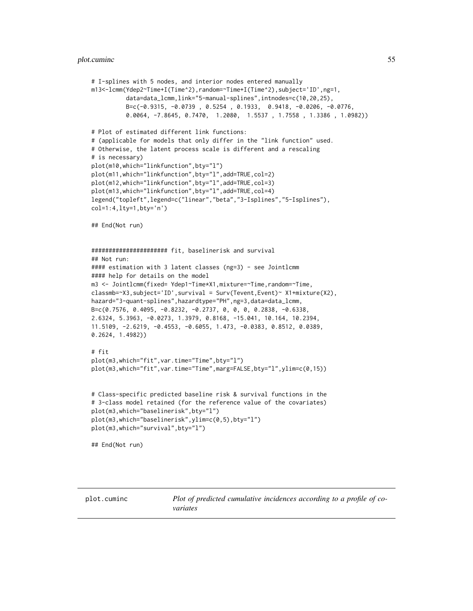#### plot.cuminc 55

```
# I-splines with 5 nodes, and interior nodes entered manually
m13<-lcmm(Ydep2~Time+I(Time^2),random=~Time+I(Time^2),subject='ID',ng=1,
          data=data_lcmm,link="5-manual-splines",intnodes=c(10,20,25),
         B=c(-0.9315, -0.0739 , 0.5254 , 0.1933, 0.9418, -0.0206, -0.0776,
          0.0064, -7.8645, 0.7470, 1.2080, 1.5537 , 1.7558 , 1.3386 , 1.0982))
# Plot of estimated different link functions:
# (applicable for models that only differ in the "link function" used.
# Otherwise, the latent process scale is different and a rescaling
# is necessary)
plot(m10,which="linkfunction",bty="l")
plot(m11,which="linkfunction",bty="l",add=TRUE,col=2)
plot(m12,which="linkfunction",bty="l",add=TRUE,col=3)
plot(m13,which="linkfunction",bty="l",add=TRUE,col=4)
legend("topleft",legend=c("linear","beta","3-Isplines","5-Isplines"),
col=1:4,lty=1,bty='n')
## End(Not run)
###################### fit, baselinerisk and survival
## Not run:
#### estimation with 3 latent classes (ng=3) - see Jointlcmm
#### help for details on the model
m3 <- Jointlcmm(fixed= Ydep1~Time*X1,mixture=~Time,random=~Time,
classmb=~X3,subject='ID',survival = Surv(Tevent,Event)~ X1+mixture(X2),
hazard="3-quant-splines",hazardtype="PH",ng=3,data=data_lcmm,
B=c(0.7576, 0.4095, -0.8232, -0.2737, 0, 0, 0, 0.2838, -0.6338,
2.6324, 5.3963, -0.0273, 1.3979, 0.8168, -15.041, 10.164, 10.2394,
11.5109, -2.6219, -0.4553, -0.6055, 1.473, -0.0383, 0.8512, 0.0389,
0.2624, 1.4982))
# fit
plot(m3,which="fit",var.time="Time",bty="l")
plot(m3,which="fit",var.time="Time",marg=FALSE,bty="l",ylim=c(0,15))
# Class-specific predicted baseline risk & survival functions in the
# 3-class model retained (for the reference value of the covariates)
plot(m3,which="baselinerisk",bty="l")
plot(m3,which="baselinerisk",ylim=c(0,5),bty="l")
plot(m3,which="survival",bty="l")
## End(Not run)
```
plot.cuminc *Plot of predicted cumulative incidences according to a profile of covariates*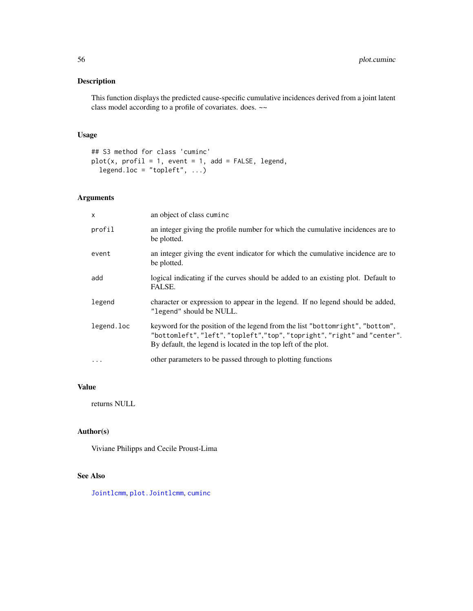This function displays the predicted cause-specific cumulative incidences derived from a joint latent class model according to a profile of covariates. does. ~~

# Usage

```
## S3 method for class 'cuminc'
plot(x, profit = 1, event = 1, add = FALSE, legend,legend.loc = "topleft", \ldots)
```
# Arguments

| $\mathsf{x}$ | an object of class cuminc                                                                                                                                                                                                   |
|--------------|-----------------------------------------------------------------------------------------------------------------------------------------------------------------------------------------------------------------------------|
| profil       | an integer giving the profile number for which the cumulative incidences are to<br>be plotted.                                                                                                                              |
| event        | an integer giving the event indicator for which the cumulative incidence are to<br>be plotted.                                                                                                                              |
| add          | logical indicating if the curves should be added to an existing plot. Default to<br>FALSE.                                                                                                                                  |
| legend       | character or expression to appear in the legend. If no legend should be added,<br>"legend" should be NULL.                                                                                                                  |
| legend.loc   | keyword for the position of the legend from the list "bottomright", "bottom",<br>"bottomleft", "left", "topleft","top", "topright", "right" and "center".<br>By default, the legend is located in the top left of the plot. |
| $\cdots$     | other parameters to be passed through to plotting functions                                                                                                                                                                 |

# Value

returns NULL

## Author(s)

Viviane Philipps and Cecile Proust-Lima

# See Also

[Jointlcmm](#page-21-0), [plot.Jointlcmm](#page-51-0), [cuminc](#page-3-0)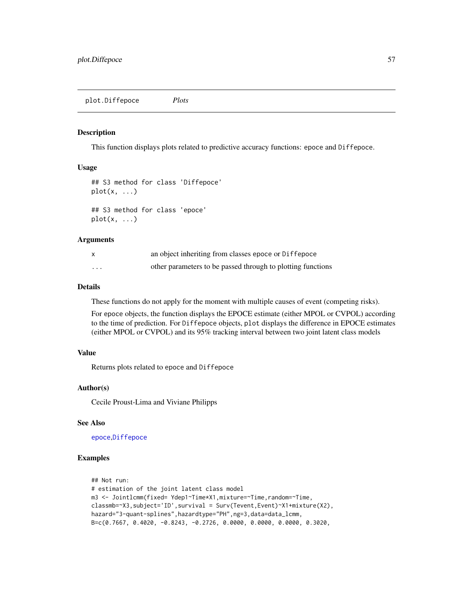This function displays plots related to predictive accuracy functions: epoce and Diffepoce.

#### Usage

```
## S3 method for class 'Diffepoce'
plot(x, \ldots)## S3 method for class 'epoce'
plot(x, \ldots)
```
#### **Arguments**

|          | an object inheriting from classes epoce or Diffepoce        |
|----------|-------------------------------------------------------------|
| $\cdots$ | other parameters to be passed through to plotting functions |

#### Details

These functions do not apply for the moment with multiple causes of event (competing risks).

For epoce objects, the function displays the EPOCE estimate (either MPOL or CVPOL) according to the time of prediction. For Diffepoce objects, plot displays the difference in EPOCE estimates (either MPOL or CVPOL) and its 95% tracking interval between two joint latent class models

# Value

Returns plots related to epoce and Diffepoce

#### Author(s)

Cecile Proust-Lima and Viviane Philipps

## See Also

[epoce](#page-10-0),[Diffepoce](#page-6-0)

## Examples

```
## Not run:
# estimation of the joint latent class model
m3 <- Jointlcmm(fixed= Ydep1~Time*X1,mixture=~Time,random=~Time,
classmb=~X3,subject='ID',survival = Surv(Tevent,Event)~X1+mixture(X2),
hazard="3-quant-splines",hazardtype="PH",ng=3,data=data_lcmm,
B=c(0.7667, 0.4020, -0.8243, -0.2726, 0.0000, 0.0000, 0.0000, 0.3020,
```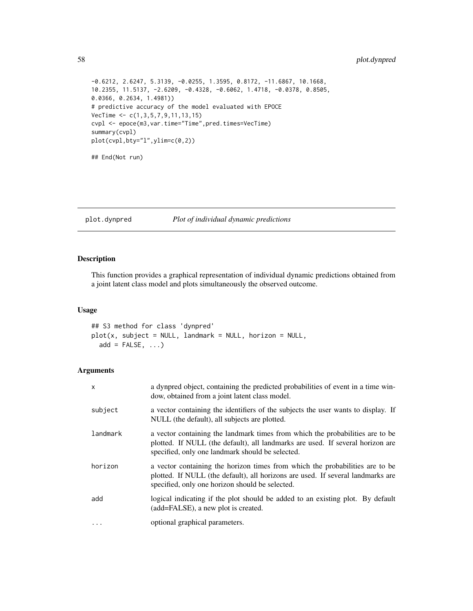```
-0.6212, 2.6247, 5.3139, -0.0255, 1.3595, 0.8172, -11.6867, 10.1668,
10.2355, 11.5137, -2.6209, -0.4328, -0.6062, 1.4718, -0.0378, 0.8505,
0.0366, 0.2634, 1.4981))
# predictive accuracy of the model evaluated with EPOCE
VecTime \leq c(1,3,5,7,9,11,13,15)cvpl <- epoce(m3,var.time="Time",pred.times=VecTime)
summary(cvpl)
plot(cvpl,bty="l",ylim=c(0,2))
## End(Not run)
```
plot.dynpred *Plot of individual dynamic predictions*

# Description

This function provides a graphical representation of individual dynamic predictions obtained from a joint latent class model and plots simultaneously the observed outcome.

# Usage

## S3 method for class 'dynpred'  $plot(x, subject = NULL, landmark = NULL, horizon = NULL,$  $add = FALSE, ...)$ 

#### Arguments

| X         | a dynpred object, containing the predicted probabilities of event in a time win-<br>dow, obtained from a joint latent class model.                                                                                  |
|-----------|---------------------------------------------------------------------------------------------------------------------------------------------------------------------------------------------------------------------|
| subject   | a vector containing the identifiers of the subjects the user wants to display. If<br>NULL (the default), all subjects are plotted.                                                                                  |
| landmark  | a vector containing the landmark times from which the probabilities are to be<br>plotted. If NULL (the default), all landmarks are used. If several horizon are<br>specified, only one landmark should be selected. |
| horizon   | a vector containing the horizon times from which the probabilities are to be<br>plotted. If NULL (the default), all horizons are used. If several landmarks are<br>specified, only one horizon should be selected.  |
| add       | logical indicating if the plot should be added to an existing plot. By default<br>(add=FALSE), a new plot is created.                                                                                               |
| $\ddotsc$ | optional graphical parameters.                                                                                                                                                                                      |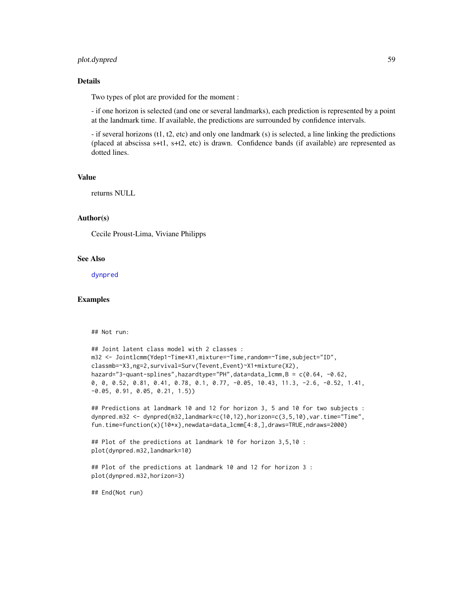# plot.dynpred 59

## Details

Two types of plot are provided for the moment :

- if one horizon is selected (and one or several landmarks), each prediction is represented by a point at the landmark time. If available, the predictions are surrounded by confidence intervals.

- if several horizons (t1, t2, etc) and only one landmark (s) is selected, a line linking the predictions (placed at abscissa s+t1, s+t2, etc) is drawn. Confidence bands (if available) are represented as dotted lines.

## Value

returns NULL

## Author(s)

Cecile Proust-Lima, Viviane Philipps

## See Also

[dynpred](#page-8-0)

## Examples

## Not run:

```
## Joint latent class model with 2 classes :
m32 <- Jointlcmm(Ydep1~Time*X1,mixture=~Time,random=~Time,subject="ID",
classmb=~X3,ng=2,survival=Surv(Tevent,Event)~X1+mixture(X2),
hazard="3-quant-splines",hazardtype="PH",data=data_lcmm,B = c(0.64, -0.62,
0, 0, 0.52, 0.81, 0.41, 0.78, 0.1, 0.77, -0.05, 10.43, 11.3, -2.6, -0.52, 1.41,
-0.05, 0.91, 0.05, 0.21, 1.5))
```
## Predictions at landmark 10 and 12 for horizon 3, 5 and 10 for two subjects : dynpred.m32 <- dynpred(m32,landmark=c(10,12),horizon=c(3,5,10),var.time="Time", fun.time=function(x){10\*x},newdata=data\_lcmm[4:8,],draws=TRUE,ndraws=2000)

```
## Plot of the predictions at landmark 10 for horizon 3,5,10 :
plot(dynpred.m32,landmark=10)
```
## Plot of the predictions at landmark 10 and 12 for horizon 3 : plot(dynpred.m32,horizon=3)

## End(Not run)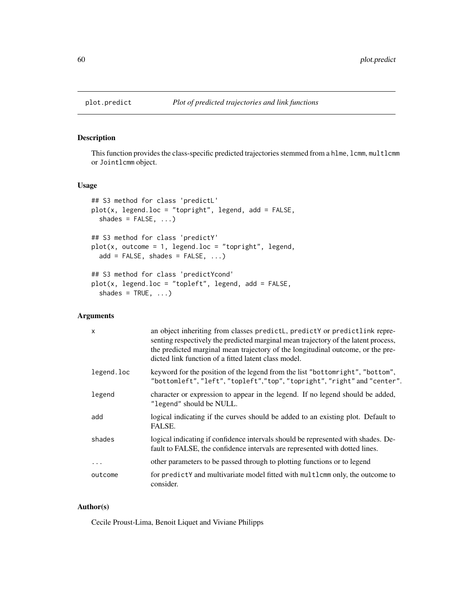This function provides the class-specific predicted trajectories stemmed from a hlme, lcmm, multlcmm or Jointlcmm object.

#### Usage

```
## S3 method for class 'predictL'
plot(x, legend.loc = "topright", legend, add = FALSE,shades = FALSE, ...)
## S3 method for class 'predictY'
plot(x, outcome = 1, legend.loc = "topright", legend,add = FALSE, shades = FALSE, ...)
## S3 method for class 'predictYcond'
plot(x, legend.loc = "topleft", legend, add = FALSE,
  shades = TRUE, ...)
```
# Arguments

| $\mathsf{x}$ | an object inheriting from classes predictL, predictY or predictlink repre-<br>senting respectively the predicted marginal mean trajectory of the latent process,<br>the predicted marginal mean trajectory of the longitudinal outcome, or the pre-<br>dicted link function of a fitted latent class model. |
|--------------|-------------------------------------------------------------------------------------------------------------------------------------------------------------------------------------------------------------------------------------------------------------------------------------------------------------|
| legend.loc   | keyword for the position of the legend from the list "bottomright", "bottom",<br>"bottomleft", "left", "topleft", "top", "topright", "right" and "center".                                                                                                                                                  |
| legend       | character or expression to appear in the legend. If no legend should be added,<br>"legend" should be NULL.                                                                                                                                                                                                  |
| add          | logical indicating if the curves should be added to an existing plot. Default to<br>FALSE.                                                                                                                                                                                                                  |
| shades       | logical indicating if confidence intervals should be represented with shades. De-<br>fault to FALSE, the confidence intervals are represented with dotted lines.                                                                                                                                            |
| .            | other parameters to be passed through to plotting functions or to legend                                                                                                                                                                                                                                    |
| outcome      | for predictY and multivariate model fitted with multlcmm only, the outcome to<br>consider.                                                                                                                                                                                                                  |

## Author(s)

Cecile Proust-Lima, Benoit Liquet and Viviane Philipps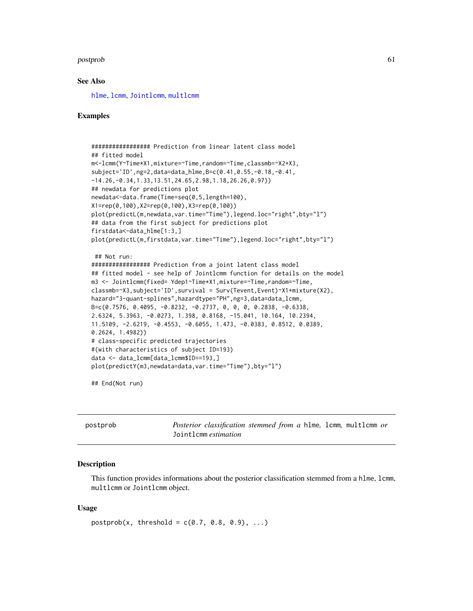#### postprob 61

## See Also

[hlme](#page-15-0), [lcmm](#page-29-0), [Jointlcmm](#page-21-0), [multlcmm](#page-42-0)

#### Examples

```
################# Prediction from linear latent class model
## fitted model
m<-lcmm(Y~Time*X1,mixture=~Time,random=~Time,classmb=~X2+X3,
subject='ID',ng=2,data=data_hlme,B=c(0.41,0.55,-0.18,-0.41,
-14.26,-0.34,1.33,13.51,24.65,2.98,1.18,26.26,0.97))
## newdata for predictions plot
newdata<-data.frame(Time=seq(0,5,length=100),
X1=rep(0,100),X2=rep(0,100),X3=rep(0,100))
plot(predictL(m,newdata,var.time="Time"),legend.loc="right",bty="l")
## data from the first subject for predictions plot
firstdata<-data_hlme[1:3,]
plot(predictL(m,firstdata,var.time="Time"),legend.loc="right",bty="l")
 ## Not run:
################# Prediction from a joint latent class model
## fitted model - see help of Jointlcmm function for details on the model
m3 <- Jointlcmm(fixed= Ydep1~Time*X1,mixture=~Time,random=~Time,
classmb=~X3,subject='ID',survival = Surv(Tevent,Event)~X1+mixture(X2),
hazard="3-quant-splines",hazardtype="PH",ng=3,data=data_lcmm,
B=c(0.7576, 0.4095, -0.8232, -0.2737, 0, 0, 0, 0.2838, -0.6338,
2.6324, 5.3963, -0.0273, 1.398, 0.8168, -15.041, 10.164, 10.2394,
11.5109, -2.6219, -0.4553, -0.6055, 1.473, -0.0383, 0.8512, 0.0389,
0.2624, 1.4982))
# class-specific predicted trajectories
#(with characteristics of subject ID=193)
data <- data_lcmm[data_lcmm$ID==193,]
plot(predictY(m3,newdata=data,var.time="Time"),bty="l")
```
## End(Not run)

<span id="page-60-0"></span>

| postprob | <i>Posterior classification stemmed from a hlme, lcmm, multlcmm or</i> |  |  |  |
|----------|------------------------------------------------------------------------|--|--|--|
|          | Jointlemm <i>estimation</i>                                            |  |  |  |

#### **Description**

This function provides informations about the posterior classification stemmed from a hlme, lcmm, multlcmm or Jointlcmm object.

## Usage

```
postprob(x, threshold = c(0.7, 0.8, 0.9), ...)
```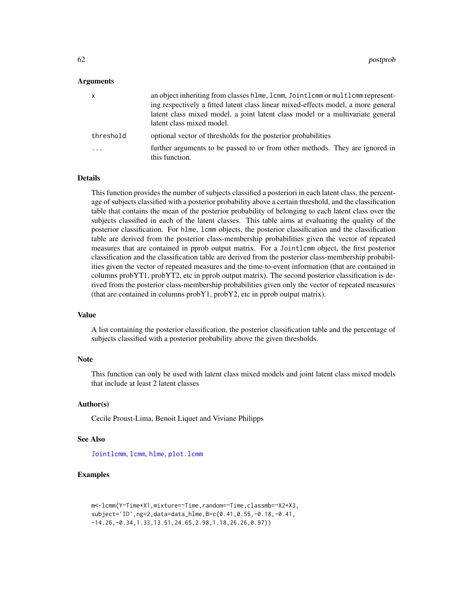## Arguments

| X         | an object inheriting from classes hlme, lcmm, Jointlcmm or multlcmm represent-<br>ing respectively a fitted latent class linear mixed-effects model, a more general<br>latent class mixed model, a joint latent class model or a multivariate general |
|-----------|-------------------------------------------------------------------------------------------------------------------------------------------------------------------------------------------------------------------------------------------------------|
|           | latent class mixed model.                                                                                                                                                                                                                             |
| threshold | optional vector of thresholds for the posterior probabilities                                                                                                                                                                                         |
| .         | further arguments to be passed to or from other methods. They are ignored in<br>this function.                                                                                                                                                        |

# Details

This function provides the number of subjects classified a posteriori in each latent class, the percentage of subjects classified with a posterior probability above a certain threshold, and the classification table that contains the mean of the posterior probability of belonging to each latent class over the subjects classified in each of the latent classes. This table aims at evaluating the quality of the posterior classification. For hlme, lcmm objects, the posterior classification and the classification table are derived from the posterior class-membership probabilities given the vector of repeated measures that are contained in pprob output matrix. For a Jointlcmm object, the first posterior classification and the classification table are derived from the posterior class-membership probabilities given the vector of repeated measures and the time-to-event information (that are contained in columns probYT1, probYT2, etc in pprob output matrix). The second posterior classification is derived from the posterior class-membership probabilities given only the vector of repeated measures (that are contained in columns probY1, probY2, etc in pprob output matrix).

## Value

A list containing the posterior classification, the posterior classification table and the percentage of subjects classified with a posterior probability above the given thresholds.

#### Note

This function can only be used with latent class mixed models and joint latent class mixed models that include at least 2 latent classes

## Author(s)

Cecile Proust-Lima, Benoit Liquet and Viviane Philipps

#### See Also

[Jointlcmm](#page-21-0), [lcmm](#page-29-0), [hlme](#page-15-0), [plot.lcmm](#page-51-0)

# Examples

```
m<-lcmm(Y~Time*X1,mixture=~Time,random=~Time,classmb=~X2+X3,
subject='ID',ng=2,data=data_hlme,B=c(0.41,0.55,-0.18,-0.41,
-14.26,-0.34,1.33,13.51,24.65,2.98,1.18,26.26,0.97))
```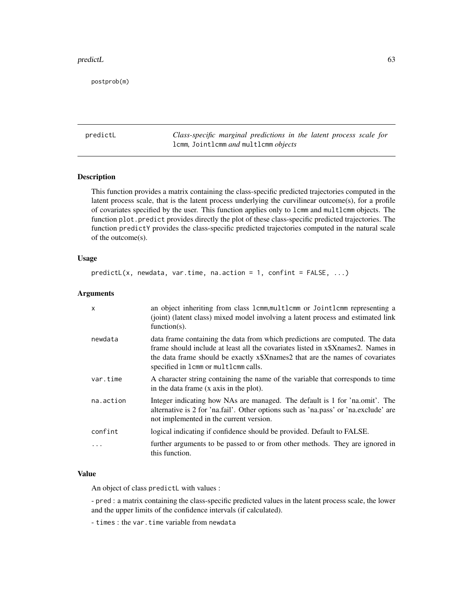#### predictL 63

postprob(m)

<span id="page-62-0"></span>predictL *Class-specific marginal predictions in the latent process scale for* lcmm*,* Jointlcmm *and* multlcmm *objects*

## Description

This function provides a matrix containing the class-specific predicted trajectories computed in the latent process scale, that is the latent process underlying the curvilinear outcome(s), for a profile of covariates specified by the user. This function applies only to lcmm and multlcmm objects. The function plot.predict provides directly the plot of these class-specific predicted trajectories. The function predictY provides the class-specific predicted trajectories computed in the natural scale of the outcome(s).

## Usage

```
predictL(x, newdata, var.time, na.action = 1, confirm = FALSE, ...)
```
# Arguments

| $\mathsf{x}$ | an object inheriting from class 1cmm, multlcmm or Jointlcmm representing a<br>(joint) (latent class) mixed model involving a latent process and estimated link<br>function $(s)$ .                                                                                                      |
|--------------|-----------------------------------------------------------------------------------------------------------------------------------------------------------------------------------------------------------------------------------------------------------------------------------------|
| newdata      | data frame containing the data from which predictions are computed. The data<br>frame should include at least all the covariates listed in x\$Xnames2. Names in<br>the data frame should be exactly x\$Xnames2 that are the names of covariates<br>specified in 1cmm or multlcmm calls. |
| var.time     | A character string containing the name of the variable that corresponds to time<br>in the data frame (x axis in the plot).                                                                                                                                                              |
| na.action    | Integer indicating how NAs are managed. The default is 1 for 'na.omit'. The<br>alternative is 2 for 'na.fail'. Other options such as 'na.pass' or 'na.exclude' are<br>not implemented in the current version.                                                                           |
| confint      | logical indicating if confidence should be provided. Default to FALSE.                                                                                                                                                                                                                  |
| $\ddots$     | further arguments to be passed to or from other methods. They are ignored in<br>this function.                                                                                                                                                                                          |

# Value

An object of class predictL with values :

- pred : a matrix containing the class-specific predicted values in the latent process scale, the lower and the upper limits of the confidence intervals (if calculated).

- times : the var.time variable from newdata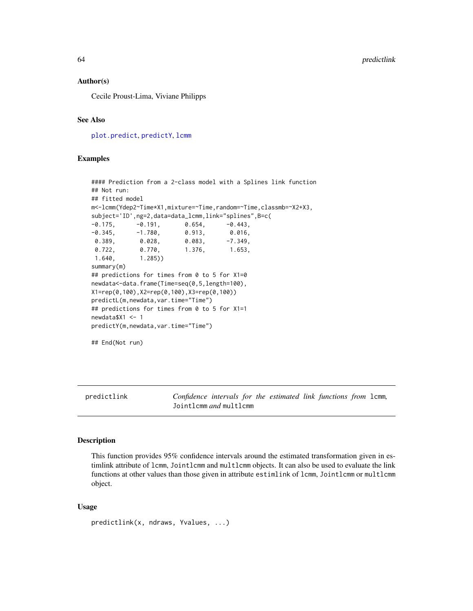64 predictlink

## Author(s)

Cecile Proust-Lima, Viviane Philipps

# See Also

[plot.predict](#page-59-0), [predictY](#page-65-0), [lcmm](#page-29-0)

## Examples

```
#### Prediction from a 2-class model with a Splines link function
## Not run:
## fitted model
m<-lcmm(Ydep2~Time*X1,mixture=~Time,random=~Time,classmb=~X2+X3,
subject='ID',ng=2,data=data_lcmm,link="splines",B=c(
-0.175, -0.191, 0.654, -0.443-0.345, -1.780, 0.913, 0.016,
0.389, 0.028, 0.083, -7.349,
0.722, 0.770, 1.376, 1.653,
1.640, 1.285))
summary(m)
## predictions for times from 0 to 5 for X1=0
newdata<-data.frame(Time=seq(0,5,length=100),
X1=rep(0,100),X2=rep(0,100),X3=rep(0,100))
predictL(m,newdata,var.time="Time")
## predictions for times from 0 to 5 for X1=1
newdata$X1 <- 1
predictY(m,newdata,var.time="Time")
## End(Not run)
```
<span id="page-63-0"></span>predictlink *Confidence intervals for the estimated link functions from* lcmm*,* Jointlcmm *and* multlcmm

# Description

This function provides 95% confidence intervals around the estimated transformation given in estimlink attribute of lcmm, Jointlcmm and multlcmm objects. It can also be used to evaluate the link functions at other values than those given in attribute estimlink of lcmm, Jointlcmm or multlcmm object.

## Usage

```
predictlink(x, ndraws, Yvalues, ...)
```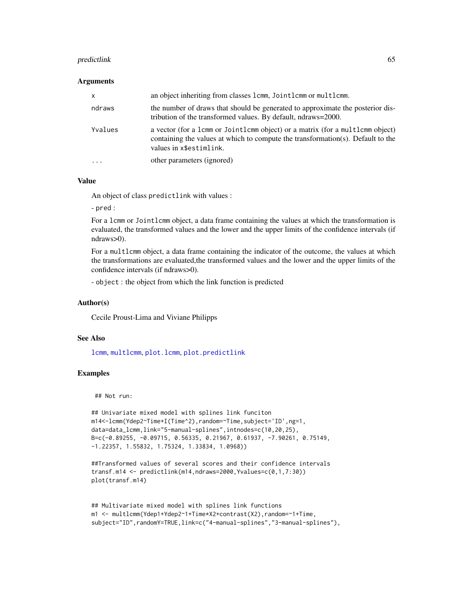#### predictlink 65

#### Arguments

| X         | an object inheriting from classes 1cmm, Joint1cmm or mult1cmm.                                                                                                                              |
|-----------|---------------------------------------------------------------------------------------------------------------------------------------------------------------------------------------------|
| ndraws    | the number of draws that should be generated to approximate the posterior dis-<br>tribution of the transformed values. By default, ndraws=2000.                                             |
| Yvalues   | a vector (for a 1cmm or Jointlemm object) or a matrix (for a multlemm object)<br>containing the values at which to compute the transformation(s). Default to the<br>values in x\$estimlink. |
| $\ddotsc$ | other parameters (ignored)                                                                                                                                                                  |

## Value

An object of class predictlink with values :

- pred :

For a lcmm or Jointlcmm object, a data frame containing the values at which the transformation is evaluated, the transformed values and the lower and the upper limits of the confidence intervals (if ndraws>0).

For a multlcmm object, a data frame containing the indicator of the outcome, the values at which the transformations are evaluated,the transformed values and the lower and the upper limits of the confidence intervals (if ndraws>0).

- object : the object from which the link function is predicted

#### Author(s)

Cecile Proust-Lima and Viviane Philipps

#### See Also

[lcmm](#page-29-0), [multlcmm](#page-42-0), [plot.lcmm](#page-51-0), [plot.predictlink](#page-59-1)

# Examples

## Not run:

```
## Univariate mixed model with splines link funciton
m14<-lcmm(Ydep2~Time+I(Time^2),random=~Time,subject='ID',ng=1,
data=data_lcmm,link="5-manual-splines",intnodes=c(10,20,25),
B=c(-0.89255, -0.09715, 0.56335, 0.21967, 0.61937, -7.90261, 0.75149,
-1.22357, 1.55832, 1.75324, 1.33834, 1.0968))
```

```
##Transformed values of several scores and their confidence intervals
transf.m14 <- predictlink(m14,ndraws=2000,Yvalues=c(0,1,7:30))
plot(transf.m14)
```

```
## Multivariate mixed model with splines link functions
m1 <- multlcmm(Ydep1+Ydep2~1+Time*X2+contrast(X2),random=~1+Time,
subject="ID",randomY=TRUE,link=c("4-manual-splines","3-manual-splines"),
```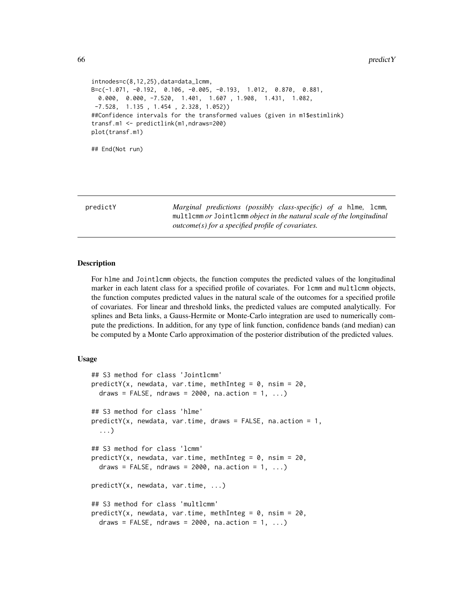```
intnodes=c(8,12,25),data=data_lcmm,
B=c(-1.071, -0.192, 0.106, -0.005, -0.193, 1.012, 0.870, 0.881,
 0.000, 0.000, -7.520, 1.401, 1.607 , 1.908, 1.431, 1.082,
-7.528, 1.135 , 1.454 , 2.328, 1.052))
##Confidence intervals for the transformed values (given in m1$estimlink)
transf.m1 <- predictlink(m1,ndraws=200)
plot(transf.m1)
## End(Not run)
```
<span id="page-65-0"></span>predictY *Marginal predictions (possibly class-specific) of a* hlme*,* lcmm*,* multlcmm *or* Jointlcmm *object in the natural scale of the longitudinal outcome(s) for a specified profile of covariates.*

#### Description

For hlme and Jointlcmm objects, the function computes the predicted values of the longitudinal marker in each latent class for a specified profile of covariates. For lcmm and multlcmm objects, the function computes predicted values in the natural scale of the outcomes for a specified profile of covariates. For linear and threshold links, the predicted values are computed analytically. For splines and Beta links, a Gauss-Hermite or Monte-Carlo integration are used to numerically compute the predictions. In addition, for any type of link function, confidence bands (and median) can be computed by a Monte Carlo approximation of the posterior distribution of the predicted values.

#### Usage

```
## S3 method for class 'Jointlcmm'
predictY(x, newdata, var.time, methInteg = 0, nsim = 20,
 draws = FALSE, ndraws = 2000, na.action = 1, ...)
## S3 method for class 'hlme'
predictY(x, newdata, var.time, draws = FALSE, na.action = 1,
  ...)
## S3 method for class 'lcmm'
predictY(x, newdata, var.time, methInteg = 0, nsim = 20,
  draws = FALSE, ndraws = 2000, na.action = 1, ...)
predictY(x, newdata, var.time, ...)
## S3 method for class 'multlcmm'
predictY(x, newdata, var.time, methInteg = 0, nsim = 20,draws = FALSE, ndraws = 2000, na.action = 1, ...)
```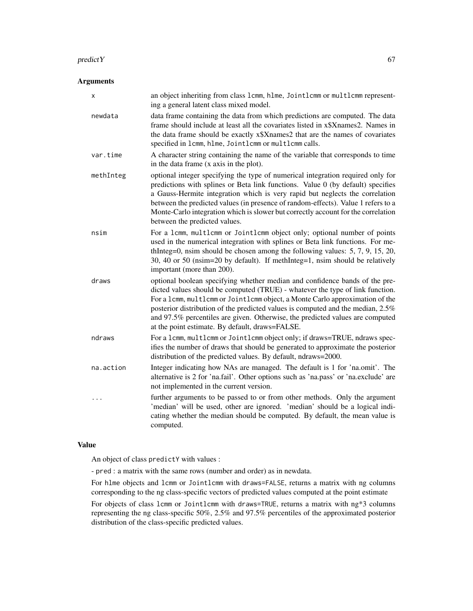#### $\blacksquare$ predict $Y$  67

# Arguments

| x         | an object inheriting from class 1cmm, h1me, Joint1cmm or mult1cmm represent-<br>ing a general latent class mixed model.                                                                                                                                                                                                                                                                                                                                             |
|-----------|---------------------------------------------------------------------------------------------------------------------------------------------------------------------------------------------------------------------------------------------------------------------------------------------------------------------------------------------------------------------------------------------------------------------------------------------------------------------|
| newdata   | data frame containing the data from which predictions are computed. The data<br>frame should include at least all the covariates listed in x\$Xnames2. Names in<br>the data frame should be exactly x\$Xnames2 that are the names of covariates<br>specified in 1cmm, hlme, Jointlcmm or multlcmm calls.                                                                                                                                                            |
| var.time  | A character string containing the name of the variable that corresponds to time<br>in the data frame (x axis in the plot).                                                                                                                                                                                                                                                                                                                                          |
| methInteg | optional integer specifying the type of numerical integration required only for<br>predictions with splines or Beta link functions. Value 0 (by default) specifies<br>a Gauss-Hermite integration which is very rapid but neglects the correlation<br>between the predicted values (in presence of random-effects). Value 1 refers to a<br>Monte-Carlo integration which is slower but correctly account for the correlation<br>between the predicted values.       |
| nsim      | For a 1cmm, multlcmm or Jointlcmm object only; optional number of points<br>used in the numerical integration with splines or Beta link functions. For me-<br>thInteg=0, nsim should be chosen among the following values: $5, 7, 9, 15, 20$ ,<br>30, 40 or 50 (nsim=20 by default). If methInteg=1, nsim should be relatively<br>important (more than 200).                                                                                                        |
| draws     | optional boolean specifying whether median and confidence bands of the pre-<br>dicted values should be computed (TRUE) - whatever the type of link function.<br>For a 1cmm, multlcmm or Jointlcmm object, a Monte Carlo approximation of the<br>posterior distribution of the predicted values is computed and the median, 2.5%<br>and 97.5% percentiles are given. Otherwise, the predicted values are computed<br>at the point estimate. By default, draws=FALSE. |
| ndraws    | For a 1cmm, multlcmm or Jointlcmm object only; if draws=TRUE, ndraws spec-<br>ifies the number of draws that should be generated to approximate the posterior<br>distribution of the predicted values. By default, ndraws=2000.                                                                                                                                                                                                                                     |
| na.action | Integer indicating how NAs are managed. The default is 1 for 'na.omit'. The<br>alternative is 2 for 'na.fail'. Other options such as 'na.pass' or 'na.exclude' are<br>not implemented in the current version.                                                                                                                                                                                                                                                       |
| .         | further arguments to be passed to or from other methods. Only the argument<br>'median' will be used, other are ignored. 'median' should be a logical indi-<br>cating whether the median should be computed. By default, the mean value is<br>computed.                                                                                                                                                                                                              |

## Value

An object of class predictY with values :

- pred : a matrix with the same rows (number and order) as in newdata.

For hlme objects and lcmm or Jointlcmm with draws=FALSE, returns a matrix with ng columns corresponding to the ng class-specific vectors of predicted values computed at the point estimate

For objects of class lcmm or Jointlcmm with draws=TRUE, returns a matrix with ng\*3 columns representing the ng class-specific 50%, 2.5% and 97.5% percentiles of the approximated posterior distribution of the class-specific predicted values.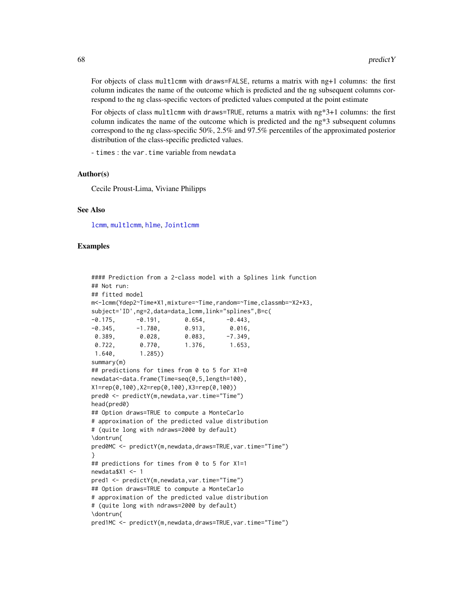For objects of class multlcmm with draws=FALSE, returns a matrix with ng+1 columns: the first column indicates the name of the outcome which is predicted and the ng subsequent columns correspond to the ng class-specific vectors of predicted values computed at the point estimate

For objects of class multlcmm with draws=TRUE, returns a matrix with ng\*3+1 columns: the first column indicates the name of the outcome which is predicted and the ng\*3 subsequent columns correspond to the ng class-specific 50%, 2.5% and 97.5% percentiles of the approximated posterior distribution of the class-specific predicted values.

- times : the var.time variable from newdata

#### Author(s)

Cecile Proust-Lima, Viviane Philipps

#### See Also

[lcmm](#page-29-0), [multlcmm](#page-42-0), [hlme](#page-15-0), [Jointlcmm](#page-21-0)

## Examples

```
#### Prediction from a 2-class model with a Splines link function
## Not run:
## fitted model
m<-lcmm(Ydep2~Time*X1,mixture=~Time,random=~Time,classmb=~X2+X3,
subject='ID',ng=2,data=data_lcmm,link="splines",B=c(
-0.175, -0.191, 0.654, -0.443-0.345, -1.780, 0.913, 0.016,0.389, 0.028, 0.083, -7.349,
0.722, 0.770, 1.376, 1.653,
1.640, 1.285))
summary(m)
## predictions for times from 0 to 5 for X1=0
newdata<-data.frame(Time=seq(0,5,length=100),
X1=rep(0,100),X2=rep(0,100),X3=rep(0,100))
pred0 <- predictY(m,newdata,var.time="Time")
head(pred0)
## Option draws=TRUE to compute a MonteCarlo
# approximation of the predicted value distribution
# (quite long with ndraws=2000 by default)
\dontrun{
pred0MC <- predictY(m,newdata,draws=TRUE,var.time="Time")
}
## predictions for times from 0 to 5 for X1=1
newdata$X1 <- 1
pred1 <- predictY(m,newdata,var.time="Time")
## Option draws=TRUE to compute a MonteCarlo
# approximation of the predicted value distribution
# (quite long with ndraws=2000 by default)
\dontrun{
pred1MC <- predictY(m,newdata,draws=TRUE,var.time="Time")
```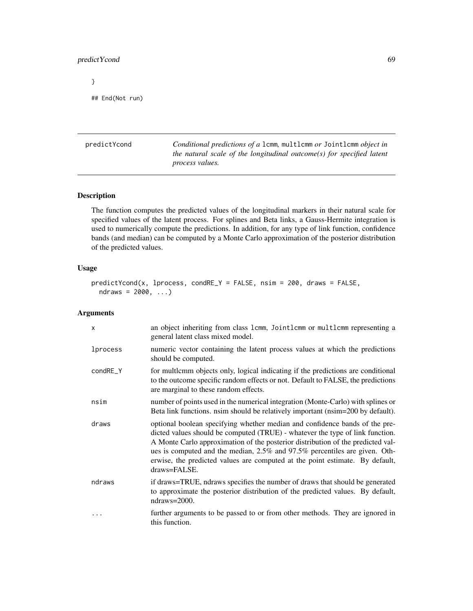# predictYcond 69

}

```
## End(Not run)
```
predictYcond *Conditional predictions of a* lcmm*,* multlcmm *or* Jointlcmm *object in the natural scale of the longitudinal outcome(s) for specified latent process values.*

# Description

The function computes the predicted values of the longitudinal markers in their natural scale for specified values of the latent process. For splines and Beta links, a Gauss-Hermite integration is used to numerically compute the predictions. In addition, for any type of link function, confidence bands (and median) can be computed by a Monte Carlo approximation of the posterior distribution of the predicted values.

# Usage

```
predictYcond(x, lprocess, condRE_Y = FALSE, nsim = 200, draws = FALSE,
  ndraws = 2000, ...
```
#### Arguments

| X        | an object inheriting from class 1cmm, Jointlemm or multlemm representing a<br>general latent class mixed model.                                                                                                                                                                                                                                                                                                               |
|----------|-------------------------------------------------------------------------------------------------------------------------------------------------------------------------------------------------------------------------------------------------------------------------------------------------------------------------------------------------------------------------------------------------------------------------------|
| lprocess | numeric vector containing the latent process values at which the predictions<br>should be computed.                                                                                                                                                                                                                                                                                                                           |
| condRE_Y | for multicmm objects only, logical indicating if the predictions are conditional<br>to the outcome specific random effects or not. Default to FALSE, the predictions<br>are marginal to these random effects.                                                                                                                                                                                                                 |
| nsim     | number of points used in the numerical integration (Monte-Carlo) with splines or<br>Beta link functions, nsim should be relatively important (nsim=200 by default).                                                                                                                                                                                                                                                           |
| draws    | optional boolean specifying whether median and confidence bands of the pre-<br>dicted values should be computed (TRUE) - whatever the type of link function.<br>A Monte Carlo approximation of the posterior distribution of the predicted val-<br>ues is computed and the median, 2.5% and 97.5% percentiles are given. Oth-<br>erwise, the predicted values are computed at the point estimate. By default,<br>draws=FALSE. |
| ndraws   | if draws=TRUE, ndraws specifies the number of draws that should be generated<br>to approximate the posterior distribution of the predicted values. By default,<br>ndraws= $2000$ .                                                                                                                                                                                                                                            |
|          | further arguments to be passed to or from other methods. They are ignored in<br>this function.                                                                                                                                                                                                                                                                                                                                |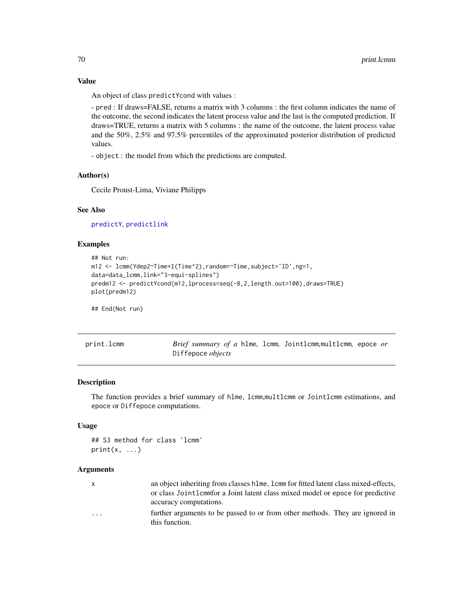An object of class predictYcond with values :

- pred : If draws=FALSE, returns a matrix with 3 columns : the first column indicates the name of the outcome, the second indicates the latent process value and the last is the computed prediction. If draws=TRUE, returns a matrix with 5 columns : the name of the outcome, the latent process value and the 50%, 2.5% and 97.5% percentiles of the approximated posterior distribution of predicted values.

- object : the model from which the predictions are computed.

## Author(s)

Cecile Proust-Lima, Viviane Philipps

## See Also

[predictY](#page-65-0), [predictlink](#page-63-0)

## Examples

```
## Not run:
m12 <- lcmm(Ydep2~Time+I(Time^2),random=~Time,subject='ID',ng=1,
data=data_lcmm,link="3-equi-splines")
predm12 <- predictYcond(m12,lprocess=seq(-8,2,length.out=100),draws=TRUE)
plot(predm12)
```
## End(Not run)

print.lcmm *Brief summary of a* hlme*,* lcmm*,* Jointlcmm*,*multlcmm*,* epoce *or* Diffepoce *objects*

#### Description

The function provides a brief summary of hlme, lcmm,multlcmm or Jointlcmm estimations, and epoce or Diffepoce computations.

## Usage

```
## S3 method for class 'lcmm'
print(x, \ldots)
```
## Arguments

x an object inheriting from classes hlme, lcmm for fitted latent class mixed-effects, or class Jointlcmmfor a Joint latent class mixed model or epoce for predictive accuracy computations.

... further arguments to be passed to or from other methods. They are ignored in this function.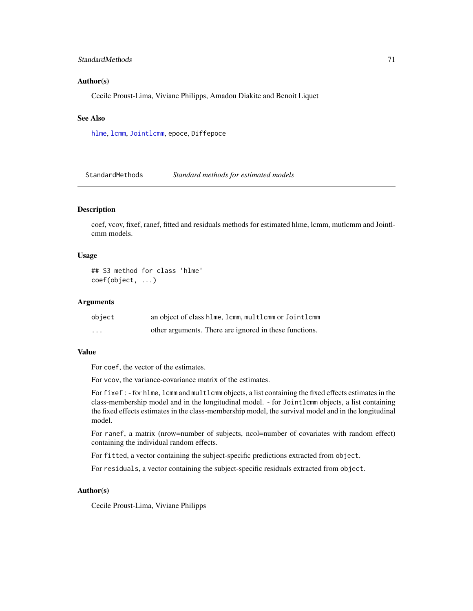## StandardMethods 71

## Author(s)

Cecile Proust-Lima, Viviane Philipps, Amadou Diakite and Benoit Liquet

# See Also

[hlme](#page-15-0), [lcmm](#page-29-0), [Jointlcmm](#page-21-0), epoce, Diffepoce

StandardMethods *Standard methods for estimated models*

## **Description**

coef, vcov, fixef, ranef, fitted and residuals methods for estimated hlme, lcmm, mutlcmm and Jointlcmm models.

## Usage

## S3 method for class 'hlme' coef(object, ...)

# Arguments

| object   | an object of class hlme, lcmm, multlcmm or Jointlcmm   |
|----------|--------------------------------------------------------|
| $\cdots$ | other arguments. There are ignored in these functions. |

## Value

For coef, the vector of the estimates.

For vcov, the variance-covariance matrix of the estimates.

For fixef : - for hlme, lcmm and multlcmm objects, a list containing the fixed effects estimates in the class-membership model and in the longitudinal model. - for Jointlcmm objects, a list containing the fixed effects estimates in the class-membership model, the survival model and in the longitudinal model.

For ranef, a matrix (nrow=number of subjects, ncol=number of covariates with random effect) containing the individual random effects.

For fitted, a vector containing the subject-specific predictions extracted from object.

For residuals, a vector containing the subject-specific residuals extracted from object.

#### Author(s)

Cecile Proust-Lima, Viviane Philipps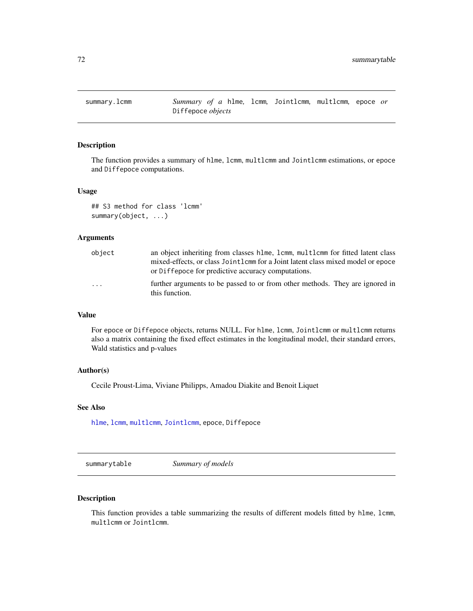The function provides a summary of hlme, lcmm, multlcmm and Jointlcmm estimations, or epoce and Diffepoce computations.

#### Usage

```
## S3 method for class 'lcmm'
summary(object, ...)
```
# Arguments

| object | an object inheriting from classes hlme, lcmm, multlcmm for fitted latent class<br>mixed-effects, or class Jointlemm for a Joint latent class mixed model or epoce<br>or Diffepoce for predictive accuracy computations. |
|--------|-------------------------------------------------------------------------------------------------------------------------------------------------------------------------------------------------------------------------|
| .      | further arguments to be passed to or from other methods. They are ignored in<br>this function.                                                                                                                          |

# Value

For epoce or Diffepoce objects, returns NULL. For hlme, lcmm, Jointlcmm or multlcmm returns also a matrix containing the fixed effect estimates in the longitudinal model, their standard errors, Wald statistics and p-values

#### Author(s)

Cecile Proust-Lima, Viviane Philipps, Amadou Diakite and Benoit Liquet

## See Also

[hlme](#page-15-0), [lcmm](#page-29-0), [multlcmm](#page-42-0), [Jointlcmm](#page-21-0), epoce, Diffepoce

summarytable *Summary of models*

# Description

This function provides a table summarizing the results of different models fitted by hlme, lcmm, multlcmm or Jointlcmm.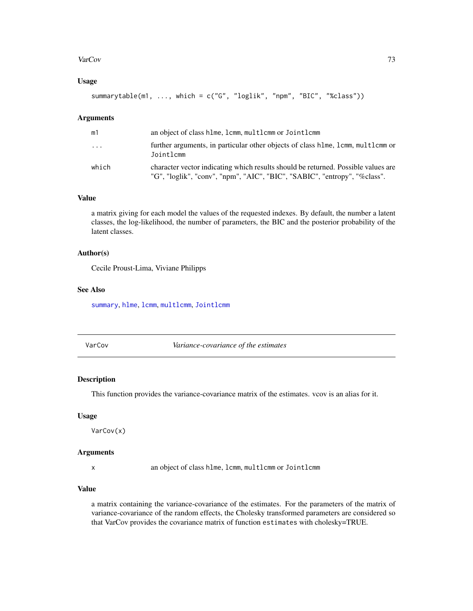## <span id="page-72-0"></span>VarCov 73

# Usage

summarytable(m1, ..., which = c("G", "loglik", "npm", "BIC", "%class"))

#### Arguments

| m1                      | an object of class hlme, lcmm, multlcmm or Jointlcmm                                                                                                           |
|-------------------------|----------------------------------------------------------------------------------------------------------------------------------------------------------------|
| $\cdot$ $\cdot$ $\cdot$ | further arguments, in particular other objects of class h lme, l cmm, multl cmm or<br>Jointlcmm                                                                |
| which                   | character vector indicating which results should be returned. Possible values are<br>"G", "loglik", "conv", "npm", "AIC", "BIC", "SABIC", "entropy", "%class". |

## Value

a matrix giving for each model the values of the requested indexes. By default, the number a latent classes, the log-likelihood, the number of parameters, the BIC and the posterior probability of the latent classes.

# Author(s)

Cecile Proust-Lima, Viviane Philipps

# See Also

[summary](#page-0-0), [hlme](#page-15-0), [lcmm](#page-29-0), [multlcmm](#page-42-0), [Jointlcmm](#page-21-0)

VarCov *Variance-covariance of the estimates*

# Description

This function provides the variance-covariance matrix of the estimates. vcov is an alias for it.

# Usage

VarCov(x)

## Arguments

x an object of class hlme, lcmm, multlcmm or Jointlcmm

# Value

a matrix containing the variance-covariance of the estimates. For the parameters of the matrix of variance-covariance of the random effects, the Cholesky transformed parameters are considered so that VarCov provides the covariance matrix of function estimates with cholesky=TRUE.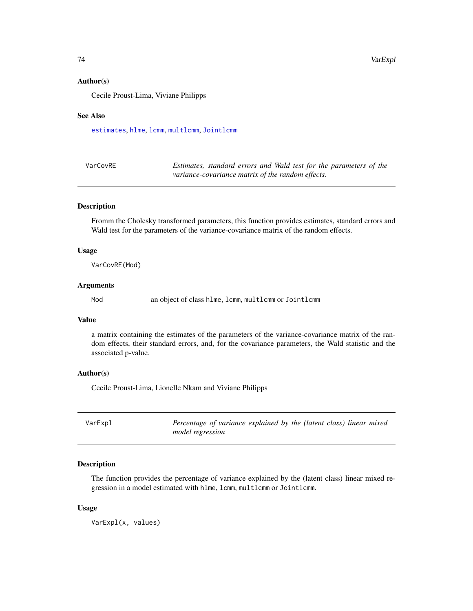## <span id="page-73-0"></span>Author(s)

Cecile Proust-Lima, Viviane Philipps

## See Also

[estimates](#page-12-0), [hlme](#page-15-0), [lcmm](#page-29-0), [multlcmm](#page-42-0), [Jointlcmm](#page-21-0)

| VarCovRE | Estimates, standard errors and Wald test for the parameters of the |
|----------|--------------------------------------------------------------------|
|          | variance-covariance matrix of the random effects.                  |

## Description

Fromm the Cholesky transformed parameters, this function provides estimates, standard errors and Wald test for the parameters of the variance-covariance matrix of the random effects.

## Usage

VarCovRE(Mod)

## **Arguments**

Mod an object of class hlme, lcmm, multlcmm or Jointlcmm

# Value

a matrix containing the estimates of the parameters of the variance-covariance matrix of the random effects, their standard errors, and, for the covariance parameters, the Wald statistic and the associated p-value.

# Author(s)

Cecile Proust-Lima, Lionelle Nkam and Viviane Philipps

| VarExpl | Percentage of variance explained by the (latent class) linear mixed |
|---------|---------------------------------------------------------------------|
|         | model regression                                                    |

# Description

The function provides the percentage of variance explained by the (latent class) linear mixed regression in a model estimated with hlme, lcmm, multlcmm or Jointlcmm.

#### Usage

VarExpl(x, values)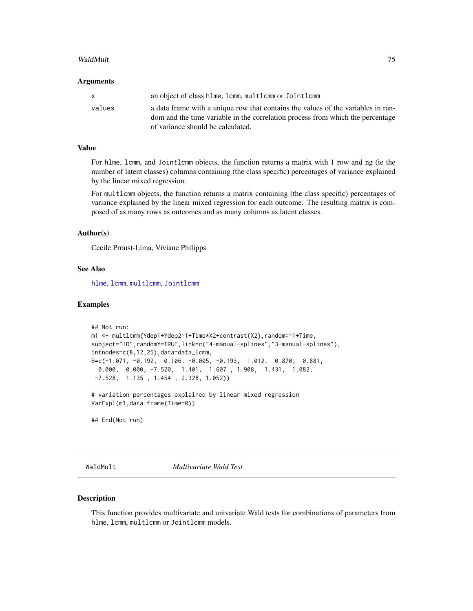## <span id="page-74-0"></span>WaldMult 25 November 2014 12:30 November 2014 12:30 November 2014 12:30 November 2014 12:30 November 2014 12:30

#### **Arguments**

| x.     | an object of class hlme, lcmm, multlcmm or Jointlcmm                                                                                                               |
|--------|--------------------------------------------------------------------------------------------------------------------------------------------------------------------|
| values | a data frame with a unique row that contains the values of the variables in ran-<br>dom and the time variable in the correlation process from which the percentage |
|        | of variance should be calculated.                                                                                                                                  |

# Value

For hlme, lcmm, and Jointlcmm objects, the function returns a matrix with 1 row and ng (ie the number of latent classes) columns containing (the class specific) percentages of variance explained by the linear mixed regression.

For multlcmm objects, the function returns a matrix containing (the class specific) percentages of variance explained by the linear mixed regression for each outcome. The resulting matrix is composed of as many rows as outcomes and as many columns as latent classes.

# Author(s)

Cecile Proust-Lima, Viviane Philipps

## See Also

[hlme](#page-15-0), [lcmm](#page-29-0), [multlcmm](#page-42-0), [Jointlcmm](#page-21-0)

## Examples

```
## Not run:
m1 <- multlcmm(Ydep1+Ydep2~1+Time*X2+contrast(X2),random=~1+Time,
subject="ID",randomY=TRUE,link=c("4-manual-splines","3-manual-splines"),
intnodes=c(8,12,25),data=data_lcmm,
B=c(-1.071, -0.192, 0.106, -0.005, -0.193, 1.012, 0.870, 0.881,
 0.000, 0.000, -7.520, 1.401, 1.607 , 1.908, 1.431, 1.082,
-7.528, 1.135 , 1.454 , 2.328, 1.052))
# variation percentages explained by linear mixed regression
VarExpl(m1,data.frame(Time=0))
```
## End(Not run)

WaldMult *Multivariate Wald Test*

#### Description

This function provides multivariate and univariate Wald tests for combinations of parameters from hlme, lcmm, multlcmm or Jointlcmm models.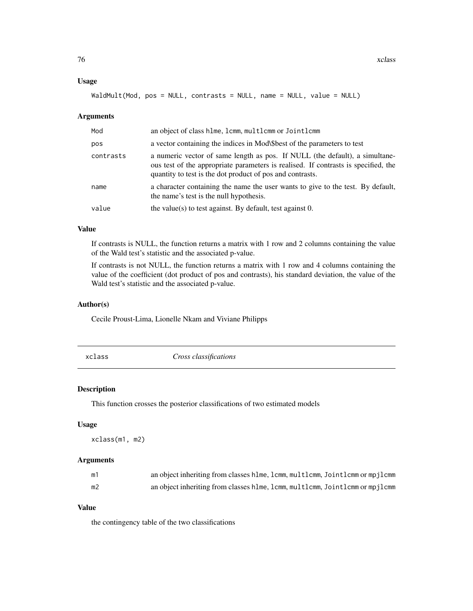## <span id="page-75-0"></span>Usage

WaldMult(Mod, pos = NULL, contrasts = NULL, name = NULL, value = NULL)

## Arguments

| Mod       | an object of class hlme, lcmm, multlcmm or Jointlcmm                                                                                                                                                                           |
|-----------|--------------------------------------------------------------------------------------------------------------------------------------------------------------------------------------------------------------------------------|
| pos       | a vector containing the indices in Mod\\$best of the parameters to test                                                                                                                                                        |
| contrasts | a numeric vector of same length as pos. If NULL (the default), a simultane-<br>ous test of the appropriate parameters is realised. If contrasts is specified, the<br>quantity to test is the dot product of pos and contrasts. |
| name      | a character containing the name the user wants to give to the test. By default,<br>the name's test is the null hypothesis.                                                                                                     |
| value     | the value(s) to test against. By default, test against 0.                                                                                                                                                                      |

# Value

If contrasts is NULL, the function returns a matrix with 1 row and 2 columns containing the value of the Wald test's statistic and the associated p-value.

If contrasts is not NULL, the function returns a matrix with 1 row and 4 columns containing the value of the coefficient (dot product of pos and contrasts), his standard deviation, the value of the Wald test's statistic and the associated p-value.

# Author(s)

Cecile Proust-Lima, Lionelle Nkam and Viviane Philipps

xclass *Cross classifications*

# Description

This function crosses the posterior classifications of two estimated models

# Usage

```
xclass(m1, m2)
```
## Arguments

| m1             | an object inheriting from classes hlme, lcmm, multlcmm, Jointlcmm or mpjlcmm |
|----------------|------------------------------------------------------------------------------|
| m <sub>2</sub> | an object inheriting from classes hime, lcmm, multicmm, Jointicmm or mpjlcmm |

# Value

the contingency table of the two classifications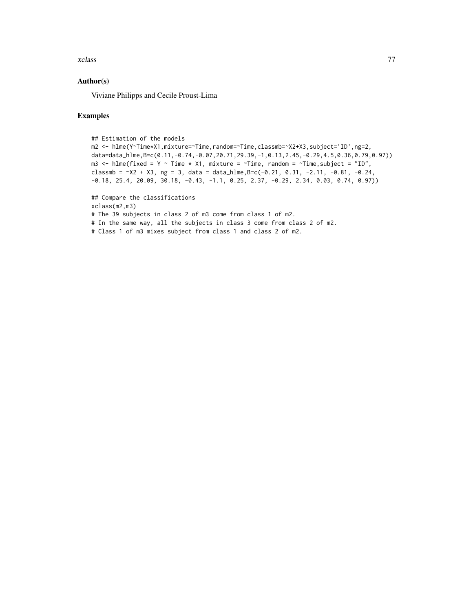#### xclass 77

# Author(s)

Viviane Philipps and Cecile Proust-Lima

## Examples

```
## Estimation of the models
m2 <- hlme(Y~Time*X1,mixture=~Time,random=~Time,classmb=~X2+X3,subject='ID',ng=2,
data=data_hlme,B=c(0.11,-0.74,-0.07,20.71,29.39,-1,0.13,2.45,-0.29,4.5,0.36,0.79,0.97))
m3 <- hlme(fixed = Y ~ Time * X1, mixture = ~Time, random = ~Time, subject = "ID",
classmb = X2 + X3, ng = 3, data = data_hlme, B=c(-0.21, 0.31, -2.11, -0.81, -0.24,
-0.18, 25.4, 20.09, 30.18, -0.43, -1.1, 0.25, 2.37, -0.29, 2.34, 0.03, 0.74, 0.97))
## Compare the classifications
xclass(m2,m3)
# The 39 subjects in class 2 of m3 come from class 1 of m2.
# In the same way, all the subjects in class 3 come from class 2 of m2.
```
# Class 1 of m3 mixes subject from class 1 and class 2 of m2.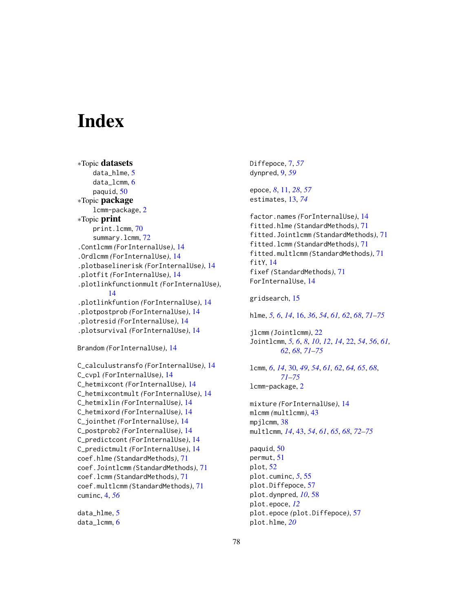# **Index**

```
∗Topic datasets
    data_hlme, 5
    data_lcmm, 6
    paquid, 50
∗Topic package
    lcmm-package, 2
∗Topic print
    print.lcmm, 70
    72
.Contlcmm (ForInternalUse), 14
.Ordlcmm (ForInternalUse), 14
.plotbaselinerisk (ForInternalUse), 14
.plotfit (ForInternalUse), 14
.plotlinkfunctionmult (ForInternalUse),
        14
.plotlinkfuntion (ForInternalUse), 14
.plotpostprob (ForInternalUse), 14
.plotresid (ForInternalUse), 14
.plotsurvival (ForInternalUse), 14
```

```
Brandom (ForInternalUse), 14
```

```
C_calculustransfo (ForInternalUse), 14
C_cvpl (ForInternalUse), 14
C_hetmixcont (ForInternalUse), 14
C_hetmixcontmult (ForInternalUse), 14
C_hetmixlin (ForInternalUse), 14
C_hetmixord (ForInternalUse), 14
C_jointhet (ForInternalUse), 14
C_postprob2 (ForInternalUse), 14
C_predictcont (ForInternalUse), 14
C_predictmult (ForInternalUse), 14
coef.hlme (StandardMethods), 71
coef.Jointlcmm (StandardMethods), 71
coef.lcmm (StandardMethods), 71
coef.multlcmm (StandardMethods), 71
cuminc, 4, 56
```
data\_hlme, [5](#page-4-0) data\_lcmm, [6](#page-5-0) Diffepoce, [7,](#page-6-0) *[57](#page-56-0)* dynpred, [9,](#page-8-0) *[59](#page-58-0)* epoce, *[8](#page-7-0)*, [11,](#page-10-0) *[28](#page-27-0)*, *[57](#page-56-0)* estimates, [13,](#page-12-1) *[74](#page-73-0)* factor.names *(*ForInternalUse*)*, [14](#page-13-0) fitted.hlme *(*StandardMethods*)*, [71](#page-70-0) fitted.Jointlcmm *(*StandardMethods*)*, [71](#page-70-0) fitted.lcmm *(*StandardMethods*)*, [71](#page-70-0) fitted.multlcmm *(*StandardMethods*)*, [71](#page-70-0) fitY, [14](#page-13-0) fixef *(*StandardMethods*)*, [71](#page-70-0) ForInternalUse, [14](#page-13-0) gridsearch, [15](#page-14-0) hlme, *[5,](#page-4-0) [6](#page-5-0)*, *[14](#page-13-0)*, [16,](#page-15-1) *[36](#page-35-0)*, *[54](#page-53-0)*, *[61,](#page-60-0) [62](#page-61-0)*, *[68](#page-67-0)*, *[71](#page-70-0)[–75](#page-74-0)* jlcmm *(*Jointlcmm*)*, [22](#page-21-1) Jointlcmm, *[5,](#page-4-0) [6](#page-5-0)*, *[8](#page-7-0)*, *[10](#page-9-0)*, *[12](#page-11-0)*, *[14](#page-13-0)*, [22,](#page-21-1) *[54](#page-53-0)*, *[56](#page-55-0)*, *[61,](#page-60-0) [62](#page-61-0)*, *[68](#page-67-0)*, *[71](#page-70-0)[–75](#page-74-0)* lcmm, *[6](#page-5-0)*, *[14](#page-13-0)*, [30,](#page-29-1) *[49](#page-48-0)*, *[54](#page-53-0)*, *[61,](#page-60-0) [62](#page-61-0)*, *[64,](#page-63-0) [65](#page-64-0)*, *[68](#page-67-0)*, *[71](#page-70-0)[–75](#page-74-0)* lcmm-package, [2](#page-1-0) mixture *(*ForInternalUse*)*, [14](#page-13-0) mlcmm *(*multlcmm*)*, [43](#page-42-1) mpjlcmm, [38](#page-37-0) multlcmm, *[14](#page-13-0)*, [43,](#page-42-1) *[54](#page-53-0)*, *[61](#page-60-0)*, *[65](#page-64-0)*, *[68](#page-67-0)*, *[72](#page-71-0)[–75](#page-74-0)* paquid, [50](#page-49-0) permut, [51](#page-50-0) plot, [52](#page-51-0) plot.cuminc, *[5](#page-4-0)*, [55](#page-54-0) plot.Diffepoce, [57](#page-56-0) plot.dynpred, *[10](#page-9-0)*, [58](#page-57-0) plot.epoce, *[12](#page-11-0)* plot.epoce *(*plot.Diffepoce*)*, [57](#page-56-0) plot.hlme, *[20](#page-19-0)*